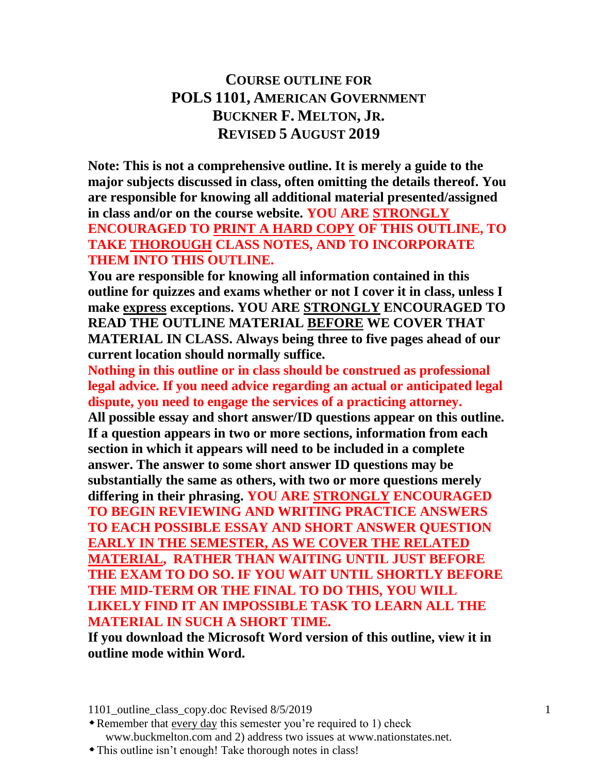# **COURSE OUTLINE FOR POLS 1101, AMERICAN GOVERNMENT BUCKNER F. MELTON, JR. REVISED 5 AUGUST 2019**

**Note: This is not a comprehensive outline. It is merely a guide to the major subjects discussed in class, often omitting the details thereof. You are responsible for knowing all additional material presented/assigned in class and/or on the course website. YOU ARE STRONGLY ENCOURAGED TO PRINT A HARD COPY OF THIS OUTLINE, TO TAKE THOROUGH CLASS NOTES, AND TO INCORPORATE THEM INTO THIS OUTLINE.**

**You are responsible for knowing all information contained in this outline for quizzes and exams whether or not I cover it in class, unless I make express exceptions. YOU ARE STRONGLY ENCOURAGED TO READ THE OUTLINE MATERIAL BEFORE WE COVER THAT MATERIAL IN CLASS. Always being three to five pages ahead of our current location should normally suffice.**

**Nothing in this outline or in class should be construed as professional legal advice. If you need advice regarding an actual or anticipated legal dispute, you need to engage the services of a practicing attorney.**

**All possible essay and short answer/ID questions appear on this outline. If a question appears in two or more sections, information from each section in which it appears will need to be included in a complete answer. The answer to some short answer ID questions may be substantially the same as others, with two or more questions merely differing in their phrasing. YOU ARE STRONGLY ENCOURAGED TO BEGIN REVIEWING AND WRITING PRACTICE ANSWERS TO EACH POSSIBLE ESSAY AND SHORT ANSWER QUESTION EARLY IN THE SEMESTER, AS WE COVER THE RELATED MATERIAL, RATHER THAN WAITING UNTIL JUST BEFORE THE EXAM TO DO SO. IF YOU WAIT UNTIL SHORTLY BEFORE THE MID-TERM OR THE FINAL TO DO THIS, YOU WILL LIKELY FIND IT AN IMPOSSIBLE TASK TO LEARN ALL THE MATERIAL IN SUCH A SHORT TIME.**

**If you download the Microsoft Word version of this outline, view it in outline mode within Word.**

1101 outline class copy.doc Revised 8/5/2019 1

Remember that every day this semester you're required to 1) check www.buckmelton.com and 2) address two issues at www.nationstates.net.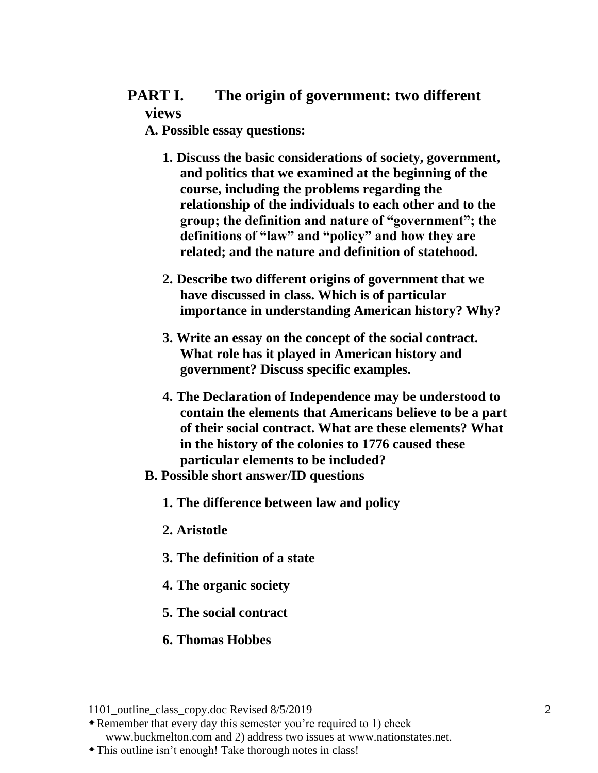# **PART I. The origin of government: two different views**

**A. Possible essay questions:**

- **1. Discuss the basic considerations of society, government, and politics that we examined at the beginning of the course, including the problems regarding the relationship of the individuals to each other and to the group; the definition and nature of "government"; the definitions of "law" and "policy" and how they are related; and the nature and definition of statehood.**
- **2. Describe two different origins of government that we have discussed in class. Which is of particular importance in understanding American history? Why?**
- **3. Write an essay on the concept of the social contract. What role has it played in American history and government? Discuss specific examples.**
- **4. The Declaration of Independence may be understood to contain the elements that Americans believe to be a part of their social contract. What are these elements? What in the history of the colonies to 1776 caused these particular elements to be included?**
- **B. Possible short answer/ID questions**
	- **1. The difference between law and policy**
	- **2. Aristotle**
	- **3. The definition of a state**
	- **4. The organic society**
	- **5. The social contract**
	- **6. Thomas Hobbes**

Remember that every day this semester you're required to 1) check

www.buckmelton.com and 2) address two issues at www.nationstates.net.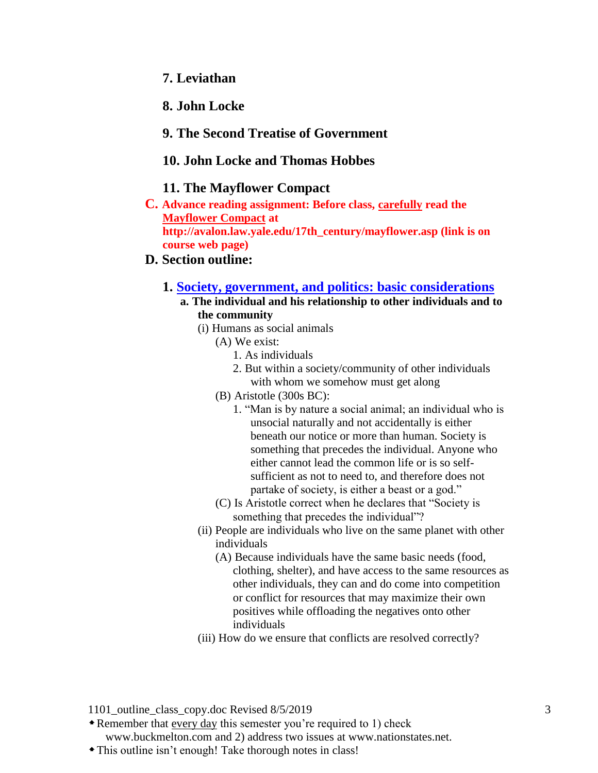## **7. Leviathan**

## **8. John Locke**

## **9. The Second Treatise of Government**

## **10. John Locke and Thomas Hobbes**

### **11. The Mayflower Compact**

**C. Advance reading assignment: Before class, carefully read the [Mayflower Compact](http://avalon.law.yale.edu/17th_century/mayflower.asp) at http://avalon.law.yale.edu/17th\_century/mayflower.asp (link is on course web page)**

## **D. Section outline:**

#### **1. [Society, government, and politics: basic considerations](http://www.buckmelton.com/government_politics_basic_considerations.pdf)**

- **a. The individual and his relationship to other individuals and to the community**
	- (i) Humans as social animals
		- (A) We exist:
			- 1. As individuals
			- 2. But within a society/community of other individuals with whom we somehow must get along
		- (B) Aristotle (300s BC):
			- 1. "Man is by nature a social animal; an individual who is unsocial naturally and not accidentally is either beneath our notice or more than human. Society is something that precedes the individual. Anyone who either cannot lead the common life or is so selfsufficient as not to need to, and therefore does not partake of society, is either a beast or a god."
		- (C) Is Aristotle correct when he declares that "Society is something that precedes the individual"?
	- (ii) People are individuals who live on the same planet with other individuals
		- (A) Because individuals have the same basic needs (food, clothing, shelter), and have access to the same resources as other individuals, they can and do come into competition or conflict for resources that may maximize their own positives while offloading the negatives onto other individuals
	- (iii) How do we ensure that conflicts are resolved correctly?

1101 outline class copy.doc Revised 8/5/2019 3

Remember that every day this semester you're required to 1) check www.buckmelton.com and 2) address two issues at www.nationstates.net.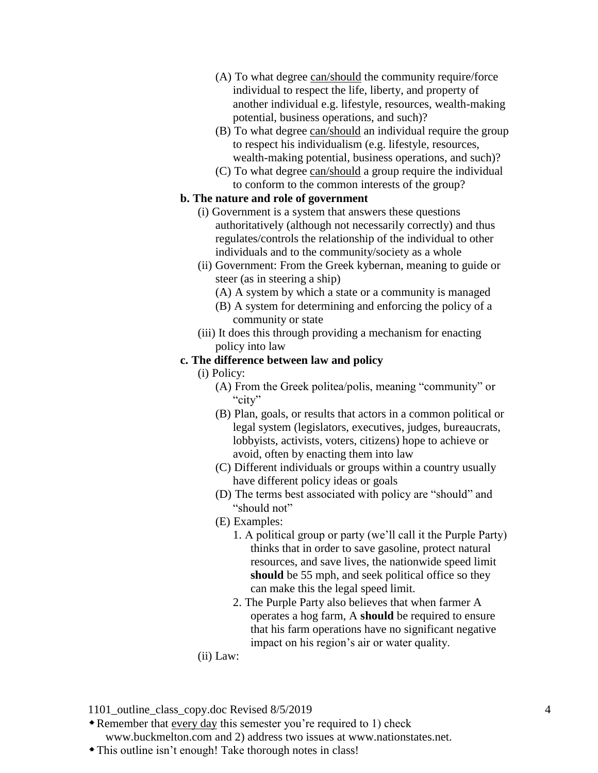- (A) To what degree can/should the community require/force individual to respect the life, liberty, and property of another individual e.g. lifestyle, resources, wealth-making potential, business operations, and such)?
- (B) To what degree can/should an individual require the group to respect his individualism (e.g. lifestyle, resources, wealth-making potential, business operations, and such)?
- (C) To what degree can/should a group require the individual to conform to the common interests of the group?

#### **b. The nature and role of government**

- (i) Government is a system that answers these questions authoritatively (although not necessarily correctly) and thus regulates/controls the relationship of the individual to other individuals and to the community/society as a whole
- (ii) Government: From the Greek kybernan, meaning to guide or steer (as in steering a ship)
	- (A) A system by which a state or a community is managed
	- (B) A system for determining and enforcing the policy of a community or state
- (iii) It does this through providing a mechanism for enacting policy into law

## **c. The difference between law and policy**

- (i) Policy:
	- $(A)$  From the Greek politea/polis, meaning "community" or "city"
	- (B) Plan, goals, or results that actors in a common political or legal system (legislators, executives, judges, bureaucrats, lobbyists, activists, voters, citizens) hope to achieve or avoid, often by enacting them into law
	- (C) Different individuals or groups within a country usually have different policy ideas or goals
	- (D) The terms best associated with policy are "should" and "should not"
	- (E) Examples:
		- 1. A political group or party (we'll call it the Purple Party) thinks that in order to save gasoline, protect natural resources, and save lives, the nationwide speed limit should be 55 mph, and seek political office so they can make this the legal speed limit.
		- 2. The Purple Party also believes that when farmer A operates a hog farm, A **should** be required to ensure that his farm operations have no significant negative impact on his region's air or water quality.
- (ii) Law:

1101 outline class copy.doc Revised 8/5/2019 4

Remember that every day this semester you're required to 1) check

www.buckmelton.com and 2) address two issues at www.nationstates.net.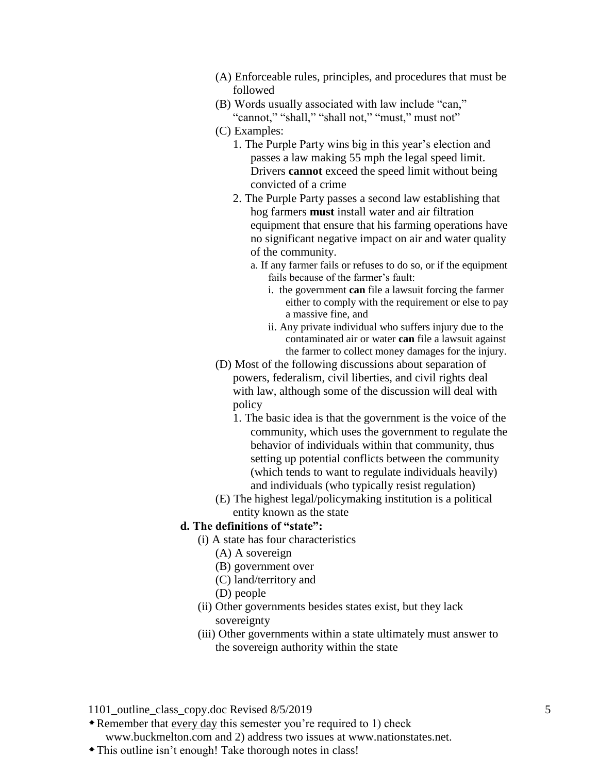- (A) Enforceable rules, principles, and procedures that must be followed
- (B) Words usually associated with law include "can," "cannot," "shall," "shall not," "must," must not"
- (C) Examples:
	- 1. The Purple Party wins big in this year's election and passes a law making 55 mph the legal speed limit. Drivers **cannot** exceed the speed limit without being convicted of a crime
	- 2. The Purple Party passes a second law establishing that hog farmers **must** install water and air filtration equipment that ensure that his farming operations have no significant negative impact on air and water quality of the community.
		- a. If any farmer fails or refuses to do so, or if the equipment fails because of the farmer's fault:
			- i. the government **can** file a lawsuit forcing the farmer either to comply with the requirement or else to pay a massive fine, and
			- ii. Any private individual who suffers injury due to the contaminated air or water **can** file a lawsuit against the farmer to collect money damages for the injury.
- (D) Most of the following discussions about separation of powers, federalism, civil liberties, and civil rights deal with law, although some of the discussion will deal with policy
	- 1. The basic idea is that the government is the voice of the community, which uses the government to regulate the behavior of individuals within that community, thus setting up potential conflicts between the community (which tends to want to regulate individuals heavily) and individuals (who typically resist regulation)
- (E) The highest legal/policymaking institution is a political entity known as the state

#### **d. The definitions of "state":**

- (i) A state has four characteristics
	- (A) A sovereign
	- (B) government over
	- (C) land/territory and
	- (D) people
- (ii) Other governments besides states exist, but they lack sovereignty
- (iii) Other governments within a state ultimately must answer to the sovereign authority within the state

1101 outline class copy.doc Revised 8/5/2019 5

Remember that every day this semester you're required to 1) check

www.buckmelton.com and 2) address two issues at www.nationstates.net.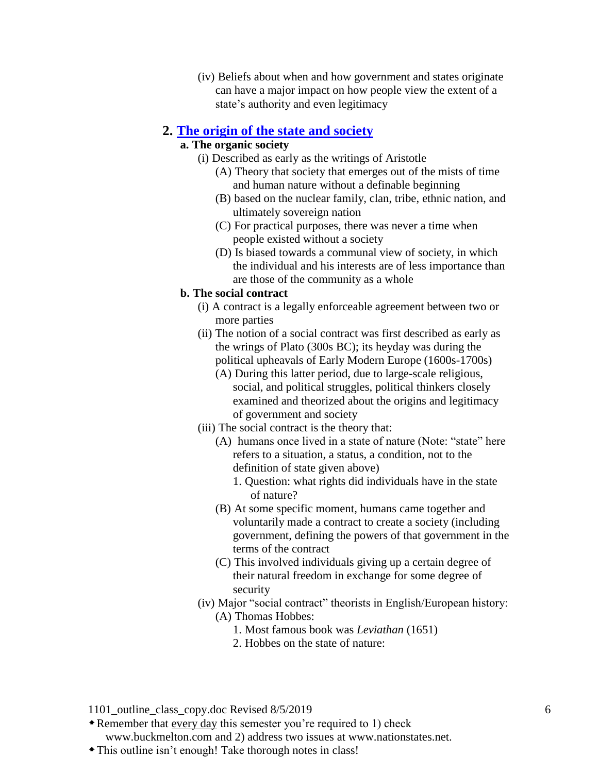(iv) Beliefs about when and how government and states originate can have a major impact on how people view the extent of a state's authority and even legitimacy

## **2. [The origin of the state and society](http://www.buckmelton.com/origin_of_society.pdf)**

## **a. The organic society**

- (i) Described as early as the writings of Aristotle
	- (A) Theory that society that emerges out of the mists of time and human nature without a definable beginning
	- (B) based on the nuclear family, clan, tribe, ethnic nation, and ultimately sovereign nation
	- (C) For practical purposes, there was never a time when people existed without a society
	- (D) Is biased towards a communal view of society, in which the individual and his interests are of less importance than are those of the community as a whole

#### **b. The social contract**

- (i) A contract is a legally enforceable agreement between two or more parties
- (ii) The notion of a social contract was first described as early as the wrings of Plato (300s BC); its heyday was during the political upheavals of Early Modern Europe (1600s-1700s)
	- (A) During this latter period, due to large-scale religious, social, and political struggles, political thinkers closely examined and theorized about the origins and legitimacy of government and society
- (iii) The social contract is the theory that:
	- (A) humans once lived in a state of nature (Note: "state" here refers to a situation, a status, a condition, not to the definition of state given above)
		- 1. Question: what rights did individuals have in the state of nature?
	- (B) At some specific moment, humans came together and voluntarily made a contract to create a society (including government, defining the powers of that government in the terms of the contract
	- (C) This involved individuals giving up a certain degree of their natural freedom in exchange for some degree of security
- (iv) Major "social contract" theorists in English/European history: (A) Thomas Hobbes:
	- 1. Most famous book was *Leviathan* (1651)
	- 2. Hobbes on the state of nature:

1101 outline class copy.doc Revised 8/5/2019 6

Remember that every day this semester you're required to 1) check

www.buckmelton.com and 2) address two issues at www.nationstates.net.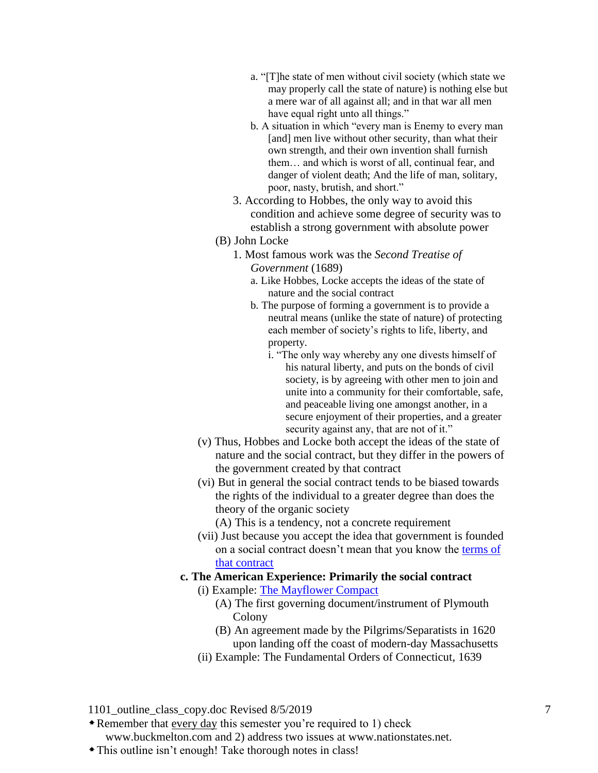- a. "[T]he state of men without civil society (which state we may properly call the state of nature) is nothing else but a mere war of all against all; and in that war all men have equal right unto all things."
- b. A situation in which "every man is Enemy to every man [and] men live without other security, than what their own strength, and their own invention shall furnish them… and which is worst of all, continual fear, and danger of violent death; And the life of man, solitary, poor, nasty, brutish, and short."
- 3. According to Hobbes, the only way to avoid this condition and achieve some degree of security was to establish a strong government with absolute power
- (B) John Locke
	- 1. Most famous work was the *Second Treatise of Government* (1689)
		- a. Like Hobbes, Locke accepts the ideas of the state of nature and the social contract
		- b. The purpose of forming a government is to provide a neutral means (unlike the state of nature) of protecting each member of society's rights to life, liberty, and property.
			- i. "The only way whereby any one divests himself of his natural liberty, and puts on the bonds of civil society, is by agreeing with other men to join and unite into a community for their comfortable, safe, and peaceable living one amongst another, in a secure enjoyment of their properties, and a greater security against any, that are not of it."
- (v) Thus, Hobbes and Locke both accept the ideas of the state of nature and the social contract, but they differ in the powers of the government created by that contract
- (vi) But in general the social contract tends to be biased towards the rights of the individual to a greater degree than does the theory of the organic society
	- (A) This is a tendency, not a concrete requirement
- (vii) Just because you accept the idea that government is founded on a social contract doesn't mean that you know the terms of [that contract](http://www.buckmelton.com/hypothetical_social_contracts.pdf)
- **c. The American Experience: Primarily the social contract** (i) Example: [The Mayflower Compact](http://avalon.law.yale.edu/17th_century/mayflower.asp)
	- (A) The first governing document/instrument of Plymouth
		- Colony
		- (B) An agreement made by the Pilgrims/Separatists in 1620 upon landing off the coast of modern-day Massachusetts
	- (ii) Example: The Fundamental Orders of Connecticut, 1639

Remember that every day this semester you're required to 1) check

www.buckmelton.com and 2) address two issues at www.nationstates.net.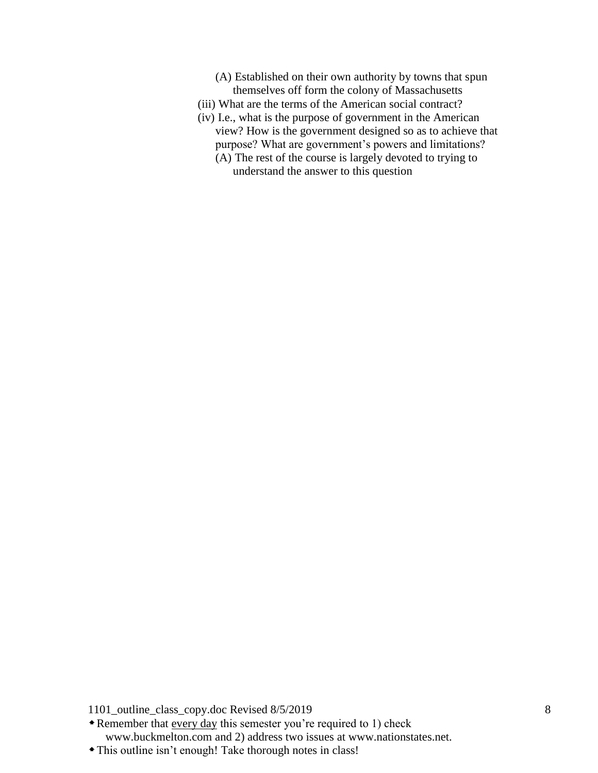- (A) Established on their own authority by towns that spun themselves off form the colony of Massachusetts
- (iii) What are the terms of the American social contract?
- (iv) I.e., what is the purpose of government in the American view? How is the government designed so as to achieve that purpose? What are government's powers and limitations? (A) The rest of the course is largely devoted to trying to
	- understand the answer to this question

Remember that every day this semester you're required to 1) check www.buckmelton.com and 2) address two issues at www.nationstates.net.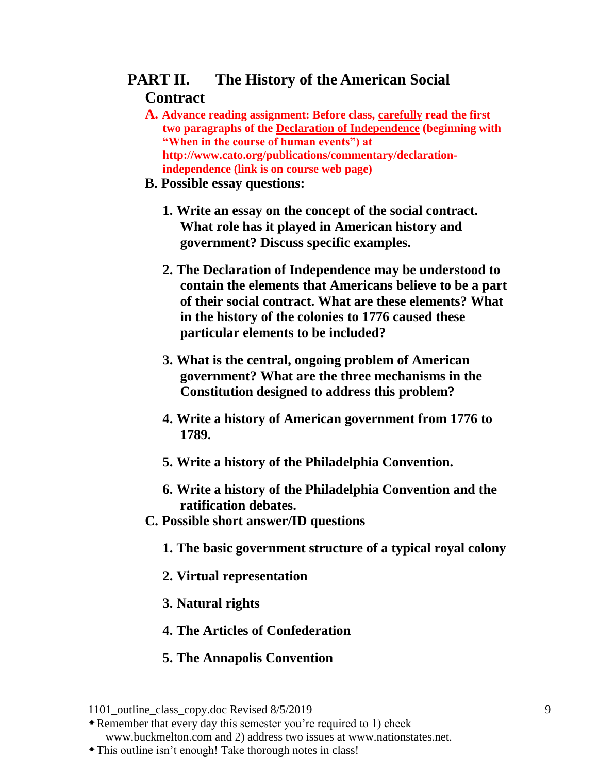# **PART II. The History of the American Social Contract**

- **A. Advance reading assignment: Before class, carefully read the first two paragraphs of the [Declaration of Independence](http://www.cato.org/publications/commentary/declaration-independence) (beginning with "When in the course of human events") at http://www.cato.org/publications/commentary/declarationindependence (link is on course web page)**
- **B. Possible essay questions:**
	- **1. Write an essay on the concept of the social contract. What role has it played in American history and government? Discuss specific examples.**
	- **2. The Declaration of Independence may be understood to contain the elements that Americans believe to be a part of their social contract. What are these elements? What in the history of the colonies to 1776 caused these particular elements to be included?**
	- **3. What is the central, ongoing problem of American government? What are the three mechanisms in the Constitution designed to address this problem?**
	- **4. Write a history of American government from 1776 to 1789.**
	- **5. Write a history of the Philadelphia Convention.**
	- **6. Write a history of the Philadelphia Convention and the ratification debates.**
- **C. Possible short answer/ID questions**
	- **1. The basic government structure of a typical royal colony**
	- **2. Virtual representation**
	- **3. Natural rights**
	- **4. The Articles of Confederation**
	- **5. The Annapolis Convention**

Remember that every day this semester you're required to 1) check

www.buckmelton.com and 2) address two issues at www.nationstates.net.

<sup>1101</sup> outline class copy.doc Revised 8/5/2019 9

This outline isn't enough! Take thorough notes in class!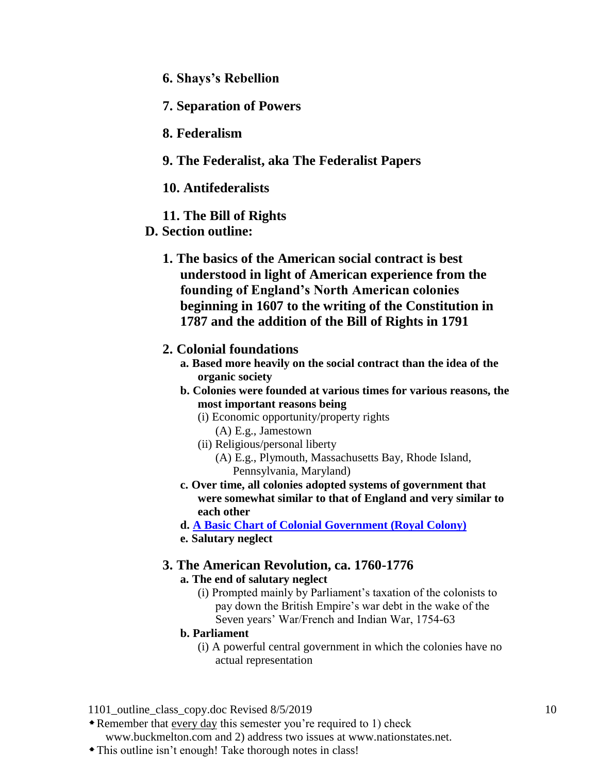- **6. Shays's Rebellion**
- **7. Separation of Powers**
- **8. Federalism**
- **9. The Federalist, aka The Federalist Papers**
- **10. Antifederalists**
- **11. The Bill of Rights**
- **D. Section outline:**
	- **1. The basics of the American social contract is best understood in light of American experience from the founding of England's North American colonies beginning in 1607 to the writing of the Constitution in 1787 and the addition of the Bill of Rights in 1791**

## **2. Colonial foundations**

- **a. Based more heavily on the social contract than the idea of the organic society**
- **b. Colonies were founded at various times for various reasons, the most important reasons being**
	- (i) Economic opportunity/property rights
		- (A) E.g., Jamestown
	- (ii) Religious/personal liberty
		- (A) E.g., Plymouth, Massachusetts Bay, Rhode Island, Pennsylvania, Maryland)
- **c. Over time, all colonies adopted systems of government that were somewhat similar to that of England and very similar to each other**

**d. [A Basic Chart of Colonial Government \(Royal Colony\)](http://www.buckmelton.com/Colonial_Government.jpg)**

**e. Salutary neglect**

## **3. The American Revolution, ca. 1760-1776**

#### **a. The end of salutary neglect**

(i) Prompted mainly by Parliament's taxation of the colonists to pay down the British Empire's war debt in the wake of the Seven years' War/French and Indian War, 1754-63

#### **b. Parliament**

(i) A powerful central government in which the colonies have no actual representation

1101 outline class copy.doc Revised 8/5/2019 10

Remember that every day this semester you're required to 1) check

www.buckmelton.com and 2) address two issues at www.nationstates.net.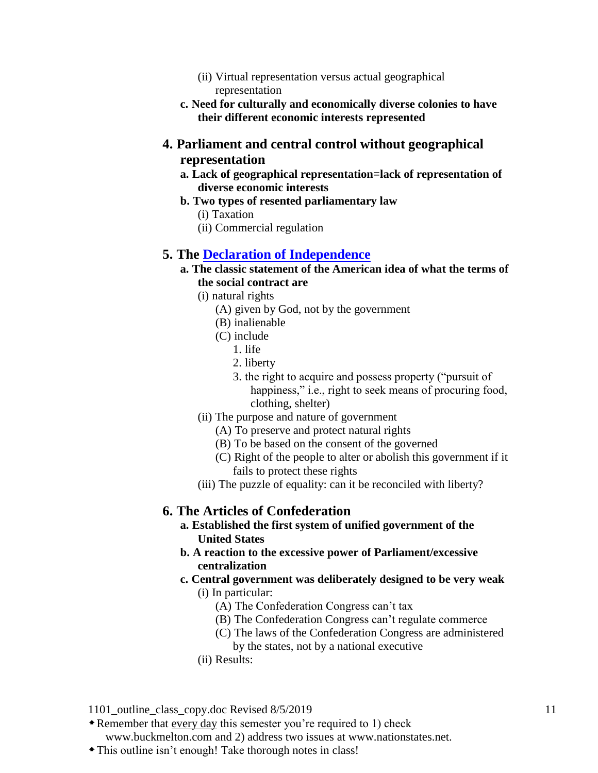- (ii) Virtual representation versus actual geographical representation
- **c. Need for culturally and economically diverse colonies to have their different economic interests represented**
- **4. Parliament and central control without geographical representation**
	- **a. Lack of geographical representation=lack of representation of diverse economic interests**
	- **b. Two types of resented parliamentary law**
		- (i) Taxation
		- (ii) Commercial regulation

## **5. The [Declaration of Independence](http://www.cato.org/publications/commentary/declaration-independence)**

- **a. The classic statement of the American idea of what the terms of the social contract are**
	- (i) natural rights
		- (A) given by God, not by the government
		- (B) inalienable
		- (C) include
			- 1. life
			- 2. liberty
			- 3. the right to acquire and possess property ("pursuit of happiness," i.e., right to seek means of procuring food, clothing, shelter)
	- (ii) The purpose and nature of government
		- (A) To preserve and protect natural rights
		- (B) To be based on the consent of the governed
		- (C) Right of the people to alter or abolish this government if it fails to protect these rights
	- (iii) The puzzle of equality: can it be reconciled with liberty?

## **6. The Articles of Confederation**

- **a. Established the first system of unified government of the United States**
- **b. A reaction to the excessive power of Parliament/excessive centralization**
- **c. Central government was deliberately designed to be very weak** (i) In particular:
	- (A) The Confederation Congress can't tax
	- (B) The Confederation Congress can't regulate commerce
	- (C) The laws of the Confederation Congress are administered
		- by the states, not by a national executive
	- (ii) Results:

1101 outline class copy.doc Revised 8/5/2019 11

Remember that every day this semester you're required to 1) check

www.buckmelton.com and 2) address two issues at www.nationstates.net.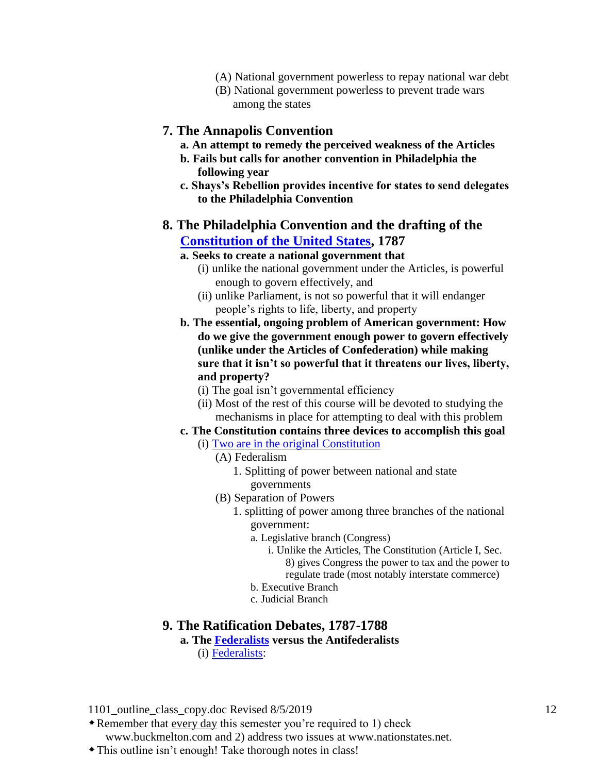- (A) National government powerless to repay national war debt
- (B) National government powerless to prevent trade wars among the states

#### **7. The Annapolis Convention**

- **a. An attempt to remedy the perceived weakness of the Articles**
- **b. Fails but calls for another convention in Philadelphia the following year**
- **c. Shays's Rebellion provides incentive for states to send delegates to the Philadelphia Convention**

## **8. The Philadelphia Convention and the drafting of the [Constitution of the United States,](http://www.aclu.org/constitution-united-states-america) 1787**

## **a. Seeks to create a national government that**

- (i) unlike the national government under the Articles, is powerful enough to govern effectively, and
- (ii) unlike Parliament, is not so powerful that it will endanger people's rights to life, liberty, and property
- **b. The essential, ongoing problem of American government: How do we give the government enough power to govern effectively (unlike under the Articles of Confederation) while making sure that it isn't so powerful that it threatens our lives, liberty, and property?**
	- (i) The goal isn't governmental efficiency
	- (ii) Most of the rest of this course will be devoted to studying the mechanisms in place for attempting to deal with this problem

## **c. The Constitution contains three devices to accomplish this goal**

- (i) [Two are in the original Constitution](http://www.buckmelton.com/ho_constitution_chart.pdf)
	- (A) Federalism
		- 1. Splitting of power between national and state governments
	- (B) Separation of Powers
		- 1. splitting of power among three branches of the national government:
			- a. Legislative branch (Congress)
				- i. Unlike the Articles, The Constitution (Article I, Sec. 8) gives Congress the power to tax and the power to regulate trade (most notably interstate commerce)
			- b. Executive Branch
			- c. Judicial Branch

## **9. The Ratification Debates, 1787-1788**

#### **a. The [Federalists](http://www.buckmelton.com/federalist_chart.pdf) versus the Antifederalists**

(i) [Federalists:](http://www.buckmelton.com/federalist_chart.pdf)

1101 outline class copy.doc Revised 8/5/2019 12

Remember that every day this semester you're required to 1) check www.buckmelton.com and 2) address two issues at www.nationstates.net.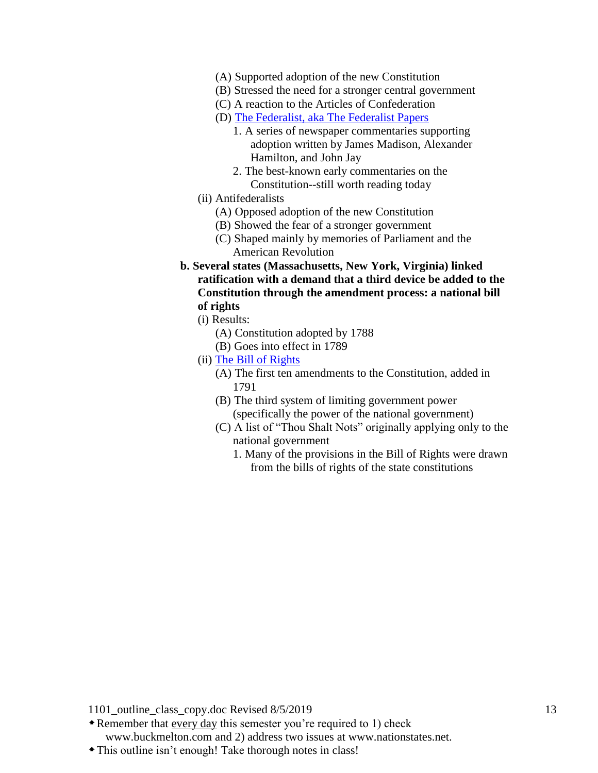- (A) Supported adoption of the new Constitution
- (B) Stressed the need for a stronger central government
- (C) A reaction to the Articles of Confederation
- (D) [The Federalist, aka The Federalist Papers](http://www.buckmelton.com/federalist_chart.pdf)
	- 1. A series of newspaper commentaries supporting adoption written by James Madison, Alexander Hamilton, and John Jay
	- 2. The best-known early commentaries on the Constitution--still worth reading today
- (ii) Antifederalists
	- (A) Opposed adoption of the new Constitution
	- (B) Showed the fear of a stronger government
	- (C) Shaped mainly by memories of Parliament and the American Revolution
- **b. Several states (Massachusetts, New York, Virginia) linked ratification with a demand that a third device be added to the Constitution through the amendment process: a national bill of rights**
	- (i) Results:
		- (A) Constitution adopted by 1788
		- (B) Goes into effect in 1789
	- (ii) [The Bill of Rights](http://www.let.rug.nl/usa/documents/1786-1800/bill-of-rights-and-the-amendments-to-the-constitution.php)
		- (A) The first ten amendments to the Constitution, added in 1791
		- (B) The third system of limiting government power (specifically the power of the national government)
		- (C) A list of "Thou Shalt Nots" originally applying only to the national government
			- 1. Many of the provisions in the Bill of Rights were drawn from the bills of rights of the state constitutions

- Remember that every day this semester you're required to 1) check www.buckmelton.com and 2) address two issues at www.nationstates.net.
- This outline isn't enough! Take thorough notes in class!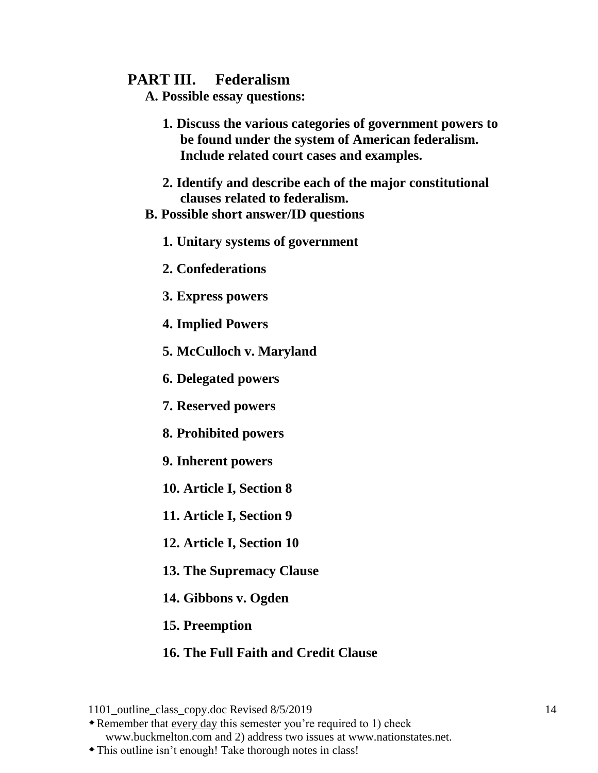## **PART III. Federalism**

**A. Possible essay questions:**

- **1. Discuss the various categories of government powers to be found under the system of American federalism. Include related court cases and examples.**
- **2. Identify and describe each of the major constitutional clauses related to federalism.**
- **B. Possible short answer/ID questions**
	- **1. Unitary systems of government**
	- **2. Confederations**
	- **3. Express powers**
	- **4. Implied Powers**
	- **5. McCulloch v. Maryland**
	- **6. Delegated powers**
	- **7. Reserved powers**
	- **8. Prohibited powers**
	- **9. Inherent powers**
	- **10. Article I, Section 8**
	- **11. Article I, Section 9**
	- **12. Article I, Section 10**
	- **13. The Supremacy Clause**
	- **14. Gibbons v. Ogden**
	- **15. Preemption**

## **16. The Full Faith and Credit Clause**

Remember that every day this semester you're required to 1) check

www.buckmelton.com and 2) address two issues at www.nationstates.net. This outline isn't enough! Take thorough notes in class!

<sup>1101</sup> outline class copy.doc Revised 8/5/2019 14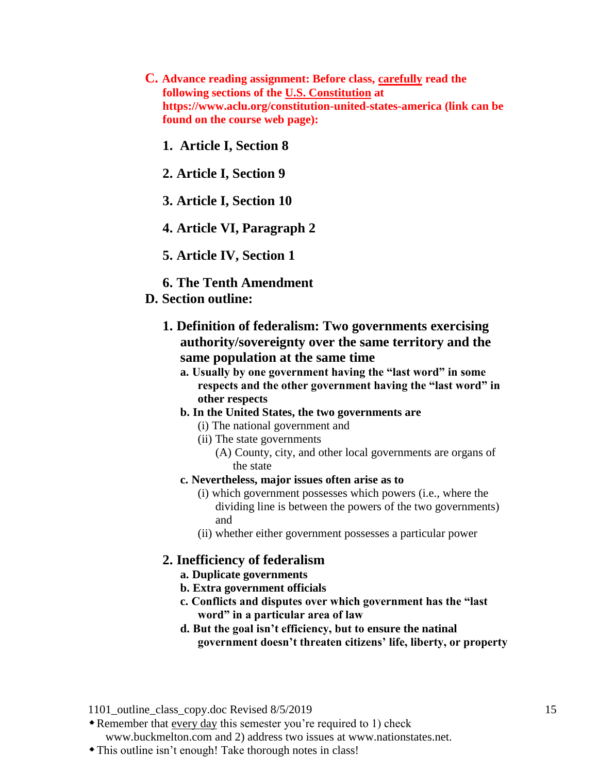- **C. Advance reading assignment: Before class, carefully read the following sections of the [U.S. Constitution](http://www.aclu.org/constitution-united-states-america) at https://www.aclu.org/constitution-united-states-america (link can be found on the course web page):**
	- **1. Article I, Section 8**
	- **2. Article I, Section 9**
	- **3. Article I, Section 10**
	- **4. Article VI, Paragraph 2**
	- **5. Article IV, Section 1**
	- **6. The Tenth Amendment**
- **D. Section outline:**
	- **1. Definition of federalism: Two governments exercising authority/sovereignty over the same territory and the same population at the same time**
		- **a. Usually by one government having the "last word" in some respects and the other government having the "last word" in other respects**
		- **b. In the United States, the two governments are** 
			- (i) The national government and
			- (ii) The state governments
				- (A) County, city, and other local governments are organs of the state
		- **c. Nevertheless, major issues often arise as to**
			- (i) which government possesses which powers (i.e., where the dividing line is between the powers of the two governments) and
			- (ii) whether either government possesses a particular power

#### **2. Inefficiency of federalism**

- **a. Duplicate governments**
- **b. Extra government officials**
- **c. Conflicts and disputes over which government has the "last word" in a particular area of law**
- **d. But the goal isn't efficiency, but to ensure the natinal government doesn't threaten citizens' life, liberty, or property**

1101 outline class copy.doc Revised 8/5/2019 15

Remember that every day this semester you're required to 1) check

www.buckmelton.com and 2) address two issues at www.nationstates.net.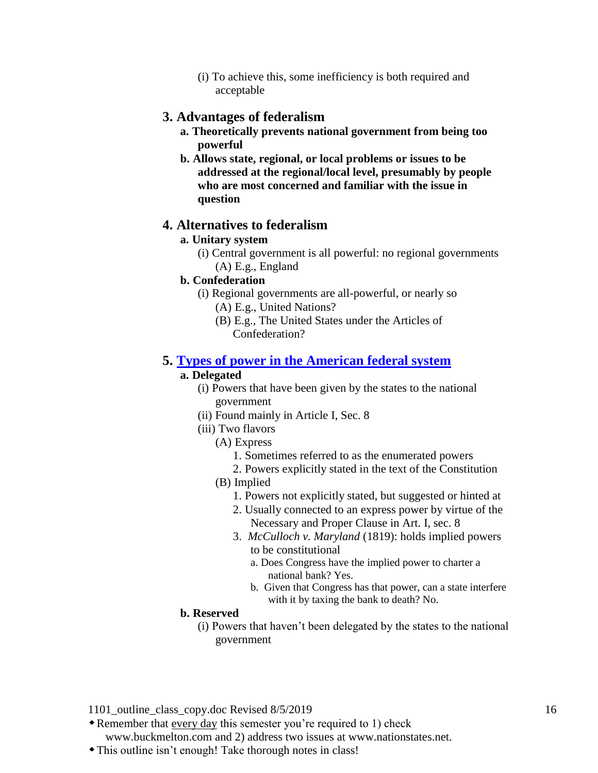(i) To achieve this, some inefficiency is both required and acceptable

## **3. Advantages of federalism**

- **a. Theoretically prevents national government from being too powerful**
- **b. Allows state, regional, or local problems or issues to be addressed at the regional/local level, presumably by people who are most concerned and familiar with the issue in question**

## **4. Alternatives to federalism**

## **a. Unitary system**

- (i) Central government is all powerful: no regional governments (A) E.g., England
- 
- **b. Confederation**
	- (i) Regional governments are all-powerful, or nearly so
		- (A) E.g., United Nations?
		- (B) E.g., The United States under the Articles of Confederation?

## **5. [Types of power in the American federal system](http://www.buckmelton.com/government_power.pdf)**

#### **a. Delegated**

- (i) Powers that have been given by the states to the national government
- (ii) Found mainly in Article I, Sec. 8
- (iii) Two flavors
	- (A) Express
		- 1. Sometimes referred to as the enumerated powers
		- 2. Powers explicitly stated in the text of the Constitution
	- (B) Implied
		- 1. Powers not explicitly stated, but suggested or hinted at
		- 2. Usually connected to an express power by virtue of the Necessary and Proper Clause in Art. I, sec. 8
		- 3. *McCulloch v. Maryland* (1819): holds implied powers to be constitutional
			- a. Does Congress have the implied power to charter a national bank? Yes.
			- b. Given that Congress has that power, can a state interfere with it by taxing the bank to death? No.

#### **b. Reserved**

(i) Powers that haven't been delegated by the states to the national government

1101 outline class copy.doc Revised 8/5/2019 16

Remember that every day this semester you're required to 1) check

www.buckmelton.com and 2) address two issues at www.nationstates.net.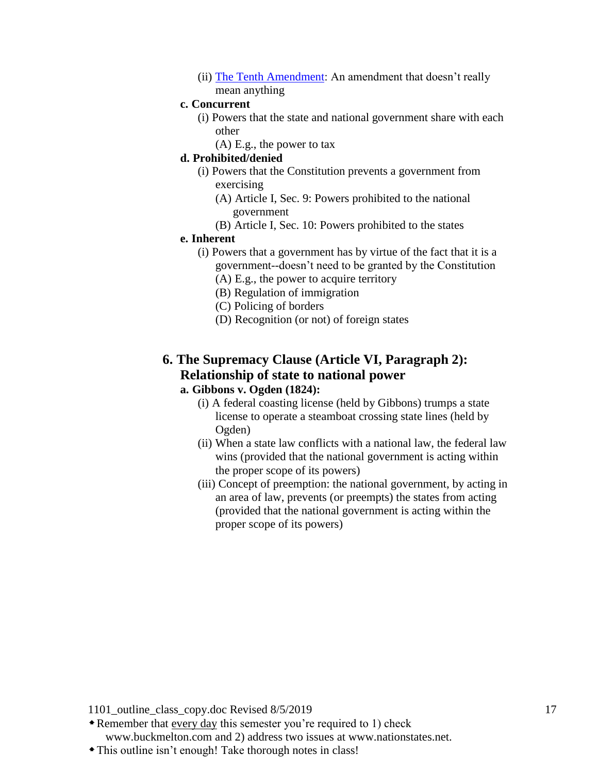(ii) [The Tenth Amendment:](http://www.buckmelton.com/The_Tenth_Amendment.pdf) An amendment that doesn't really mean anything

#### **c. Concurrent**

- (i) Powers that the state and national government share with each other
	- (A) E.g., the power to tax

## **d. Prohibited/denied**

- (i) Powers that the Constitution prevents a government from exercising
	- (A) Article I, Sec. 9: Powers prohibited to the national government
	- (B) Article I, Sec. 10: Powers prohibited to the states

#### **e. Inherent**

- (i) Powers that a government has by virtue of the fact that it is a government--doesn't need to be granted by the Constitution
	- (A) E.g., the power to acquire territory
	- (B) Regulation of immigration
	- (C) Policing of borders
	- (D) Recognition (or not) of foreign states

## **6. The Supremacy Clause (Article VI, Paragraph 2): Relationship of state to national power**

## **a. Gibbons v. Ogden (1824):**

- (i) A federal coasting license (held by Gibbons) trumps a state license to operate a steamboat crossing state lines (held by Ogden)
- (ii) When a state law conflicts with a national law, the federal law wins (provided that the national government is acting within the proper scope of its powers)
- (iii) Concept of preemption: the national government, by acting in an area of law, prevents (or preempts) the states from acting (provided that the national government is acting within the proper scope of its powers)

1101 outline class copy.doc Revised 8/5/2019 17

Remember that every day this semester you're required to 1) check www.buckmelton.com and 2) address two issues at www.nationstates.net.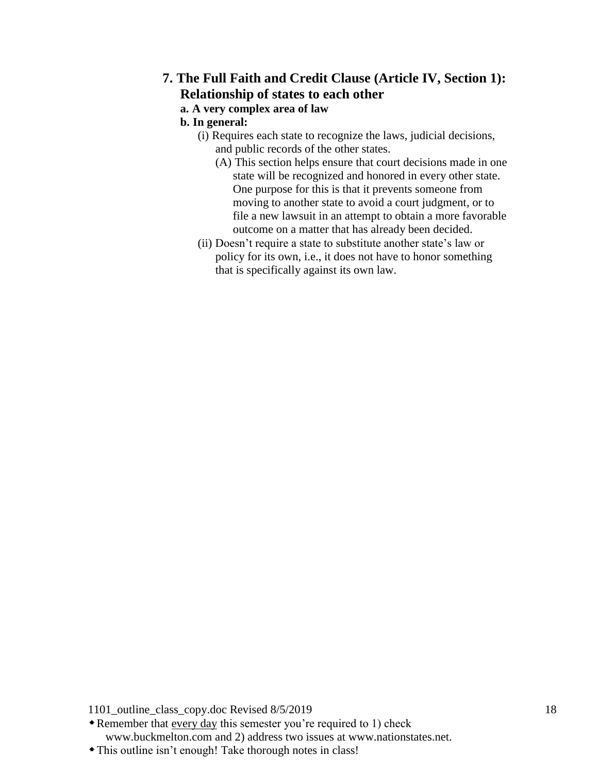## **7. The Full Faith and Credit Clause (Article IV, Section 1): Relationship of states to each other a. A very complex area of law**

## **b. In general:**

- (i) Requires each state to recognize the laws, judicial decisions, and public records of the other states.
	- (A) This section helps ensure that court decisions made in one state will be recognized and honored in every other state. One purpose for this is that it prevents someone from moving to another state to avoid a court judgment, or to file a new lawsuit in an attempt to obtain a more favorable outcome on a matter that has already been decided.
- (ii) Doesn't require a state to substitute another state's law or policy for its own, i.e., it does not have to honor something that is specifically against its own law.

1101\_outline\_class\_copy.doc Revised 8/5/2019 18

Remember that every day this semester you're required to 1) check www.buckmelton.com and 2) address two issues at www.nationstates.net.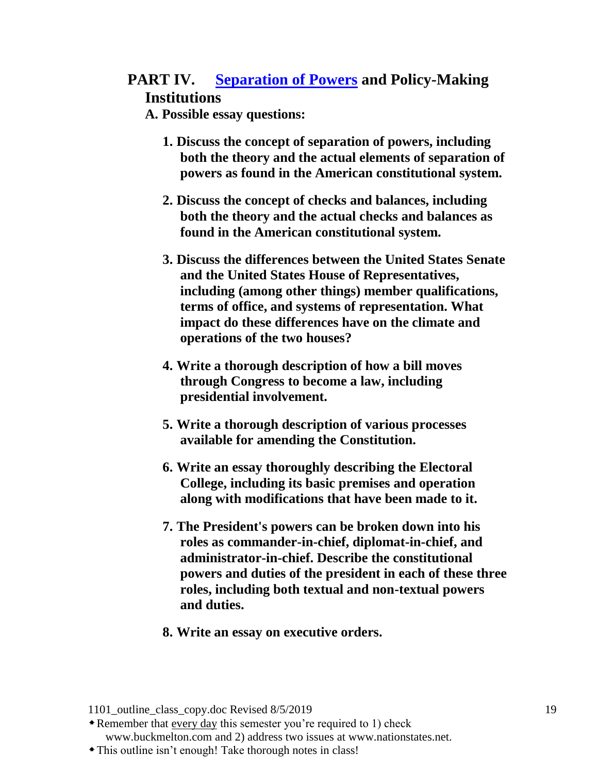# **PART IV. [Separation of Powers](http://www.buckmelton.com/ho_constitution_chart.pdf) and Policy-Making Institutions**

**A. Possible essay questions:**

- **1. Discuss the concept of separation of powers, including both the theory and the actual elements of separation of powers as found in the American constitutional system.**
- **2. Discuss the concept of checks and balances, including both the theory and the actual checks and balances as found in the American constitutional system.**
- **3. Discuss the differences between the United States Senate and the United States House of Representatives, including (among other things) member qualifications, terms of office, and systems of representation. What impact do these differences have on the climate and operations of the two houses?**
- **4. Write a thorough description of how a bill moves through Congress to become a law, including presidential involvement.**
- **5. Write a thorough description of various processes available for amending the Constitution.**
- **6. Write an essay thoroughly describing the Electoral College, including its basic premises and operation along with modifications that have been made to it.**
- **7. The President's powers can be broken down into his roles as commander-in-chief, diplomat-in-chief, and administrator-in-chief. Describe the constitutional powers and duties of the president in each of these three roles, including both textual and non-textual powers and duties.**
- **8. Write an essay on executive orders.**

<sup>1101</sup> outline class copy.doc Revised 8/5/2019 19

Remember that every day this semester you're required to 1) check www.buckmelton.com and 2) address two issues at www.nationstates.net.

This outline isn't enough! Take thorough notes in class!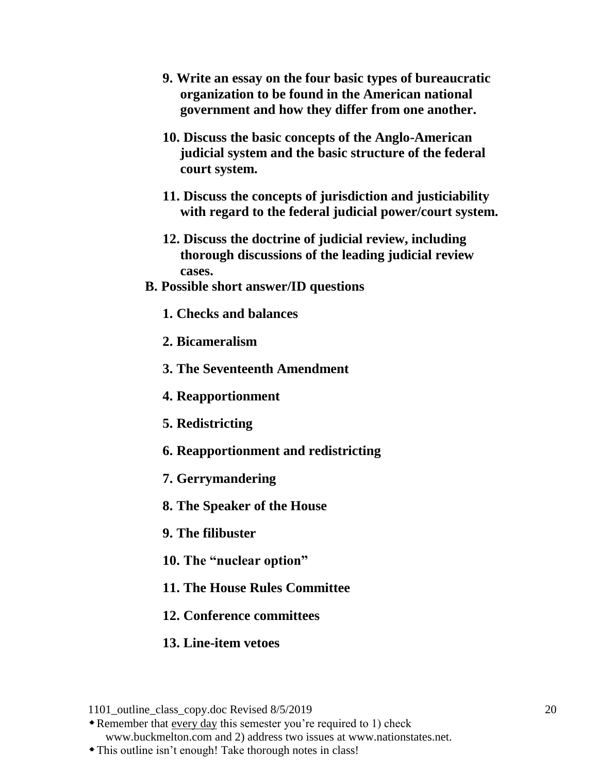- **9. Write an essay on the four basic types of bureaucratic organization to be found in the American national government and how they differ from one another.**
- **10. Discuss the basic concepts of the Anglo-American judicial system and the basic structure of the federal court system.**
- **11. Discuss the concepts of jurisdiction and justiciability with regard to the federal judicial power/court system.**
- **12. Discuss the doctrine of judicial review, including thorough discussions of the leading judicial review cases.**
- **B. Possible short answer/ID questions**
	- **1. Checks and balances**
	- **2. Bicameralism**
	- **3. The Seventeenth Amendment**
	- **4. Reapportionment**
	- **5. Redistricting**
	- **6. Reapportionment and redistricting**
	- **7. Gerrymandering**
	- **8. The Speaker of the House**
	- **9. The filibuster**
	- **10. The "nuclear option"**
	- **11. The House Rules Committee**
	- **12. Conference committees**
	- **13. Line-item vetoes**

Remember that every day this semester you're required to 1) check

www.buckmelton.com and 2) address two issues at www.nationstates.net.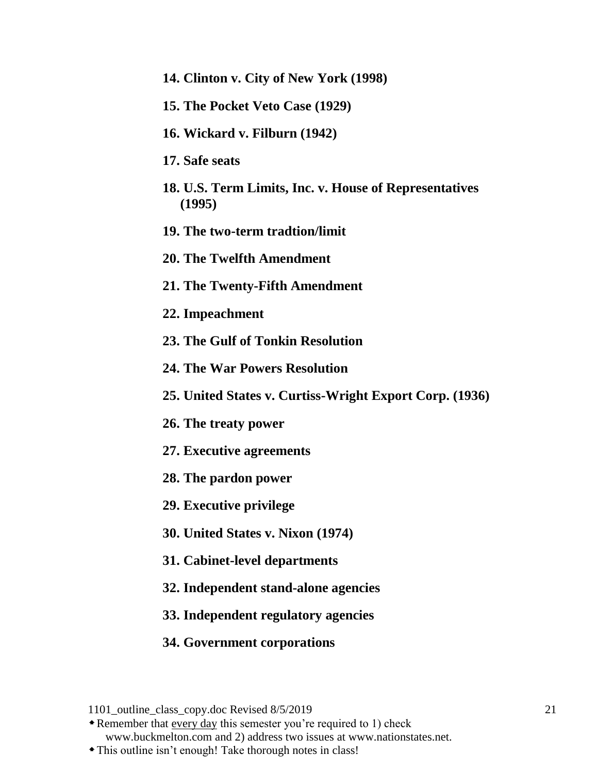- **14. Clinton v. City of New York (1998)**
- **15. The Pocket Veto Case (1929)**
- **16. Wickard v. Filburn (1942)**
- **17. Safe seats**
- **18. U.S. Term Limits, Inc. v. House of Representatives (1995)**
- **19. The two-term tradtion/limit**
- **20. The Twelfth Amendment**
- **21. The Twenty-Fifth Amendment**
- **22. Impeachment**
- **23. The Gulf of Tonkin Resolution**
- **24. The War Powers Resolution**
- **25. United States v. Curtiss-Wright Export Corp. (1936)**
- **26. The treaty power**
- **27. Executive agreements**
- **28. The pardon power**
- **29. Executive privilege**
- **30. United States v. Nixon (1974)**
- **31. Cabinet-level departments**
- **32. Independent stand-alone agencies**
- **33. Independent regulatory agencies**
- **34. Government corporations**

Remember that every day this semester you're required to 1) check

www.buckmelton.com and 2) address two issues at www.nationstates.net.

<sup>1101</sup> outline class copy.doc Revised 8/5/2019 21

This outline isn't enough! Take thorough notes in class!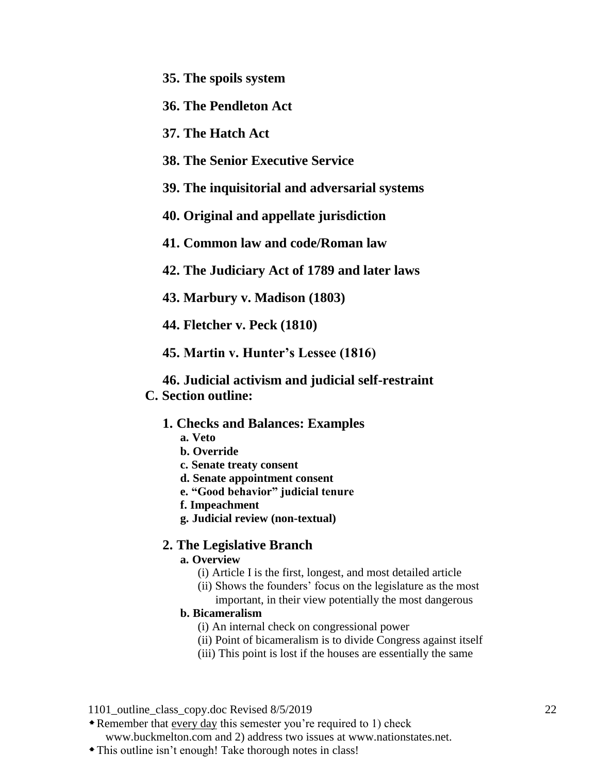**35. The spoils system**

**36. The Pendleton Act**

**37. The Hatch Act**

- **38. The Senior Executive Service**
- **39. The inquisitorial and adversarial systems**
- **40. Original and appellate jurisdiction**
- **41. Common law and code/Roman law**
- **42. The Judiciary Act of 1789 and later laws**
- **43. Marbury v. Madison (1803)**
- **44. Fletcher v. Peck (1810)**
- **45. Martin v. Hunter's Lessee (1816)**
- **46. Judicial activism and judicial self-restraint C. Section outline:**
	- **1. Checks and Balances: Examples**
		- **a. Veto**
		- **b. Override**
		- **c. Senate treaty consent**
		- **d. Senate appointment consent**
		- **e. "Good behavior" judicial tenure**
		- **f. Impeachment**
		- **g. Judicial review (non-textual)**

### **2. The Legislative Branch**

- **a. Overview**
	- (i) Article I is the first, longest, and most detailed article
	- (ii) Shows the founders' focus on the legislature as the most important, in their view potentially the most dangerous

#### **b. Bicameralism**

- (i) An internal check on congressional power
- (ii) Point of bicameralism is to divide Congress against itself
- (iii) This point is lost if the houses are essentially the same

1101 outline class copy.doc Revised 8/5/2019 22

Remember that every day this semester you're required to 1) check

www.buckmelton.com and 2) address two issues at www.nationstates.net.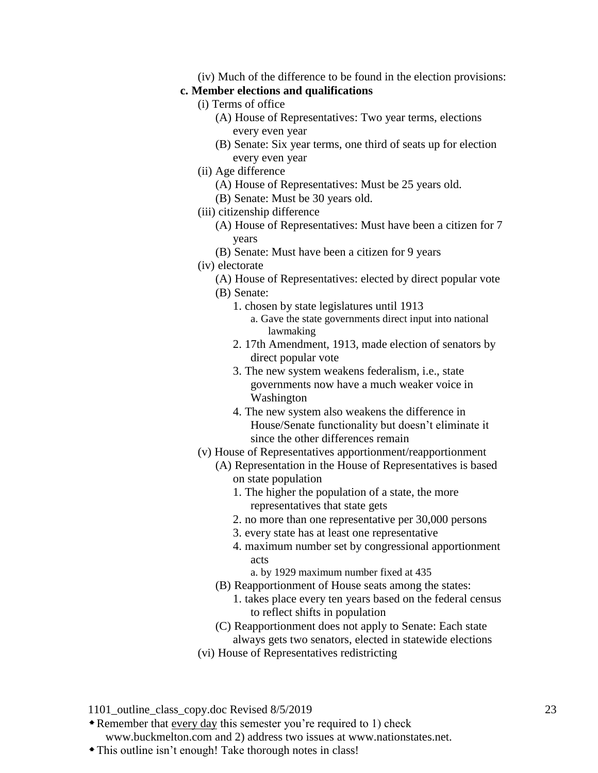(iv) Much of the difference to be found in the election provisions:

#### **c. Member elections and qualifications**

- (i) Terms of office
	- (A) House of Representatives: Two year terms, elections every even year
	- (B) Senate: Six year terms, one third of seats up for election every even year
- (ii) Age difference
	- (A) House of Representatives: Must be 25 years old.
	- (B) Senate: Must be 30 years old.
- (iii) citizenship difference
	- (A) House of Representatives: Must have been a citizen for 7 years
	- (B) Senate: Must have been a citizen for 9 years
- (iv) electorate
	- (A) House of Representatives: elected by direct popular vote
	- (B) Senate:
		- 1. chosen by state legislatures until 1913
			- a. Gave the state governments direct input into national lawmaking
		- 2. 17th Amendment, 1913, made election of senators by direct popular vote
		- 3. The new system weakens federalism, i.e., state governments now have a much weaker voice in Washington
		- 4. The new system also weakens the difference in House/Senate functionality but doesn't eliminate it since the other differences remain
- (v) House of Representatives apportionment/reapportionment
	- (A) Representation in the House of Representatives is based on state population
		- 1. The higher the population of a state, the more representatives that state gets
		- 2. no more than one representative per 30,000 persons
		- 3. every state has at least one representative
		- 4. maximum number set by congressional apportionment acts
			- a. by 1929 maximum number fixed at 435
	- (B) Reapportionment of House seats among the states:
		- 1. takes place every ten years based on the federal census to reflect shifts in population
	- (C) Reapportionment does not apply to Senate: Each state always gets two senators, elected in statewide elections
- (vi) House of Representatives redistricting

1101 outline class copy.doc Revised 8/5/2019 23

Remember that every day this semester you're required to 1) check

www.buckmelton.com and 2) address two issues at www.nationstates.net.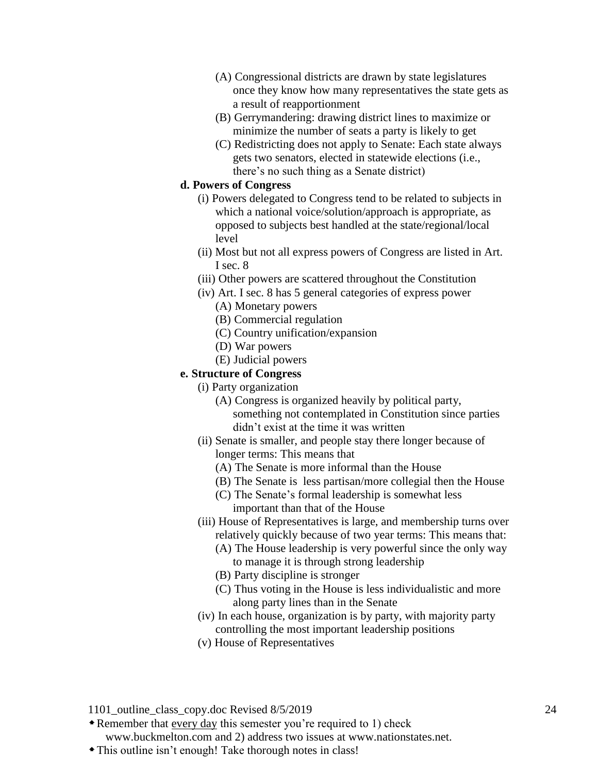- (A) Congressional districts are drawn by state legislatures once they know how many representatives the state gets as a result of reapportionment
- (B) Gerrymandering: drawing district lines to maximize or minimize the number of seats a party is likely to get
- (C) Redistricting does not apply to Senate: Each state always gets two senators, elected in statewide elections (i.e., there's no such thing as a Senate district)

#### **d. Powers of Congress**

- (i) Powers delegated to Congress tend to be related to subjects in which a national voice/solution/approach is appropriate, as opposed to subjects best handled at the state/regional/local level
- (ii) Most but not all express powers of Congress are listed in Art. I sec. 8
- (iii) Other powers are scattered throughout the Constitution
- (iv) Art. I sec. 8 has 5 general categories of express power
	- (A) Monetary powers
	- (B) Commercial regulation
	- (C) Country unification/expansion
	- (D) War powers
	- (E) Judicial powers

#### **e. Structure of Congress**

- (i) Party organization
	- (A) Congress is organized heavily by political party, something not contemplated in Constitution since parties didn't exist at the time it was written
- (ii) Senate is smaller, and people stay there longer because of longer terms: This means that
	- (A) The Senate is more informal than the House
	- (B) The Senate is less partisan/more collegial then the House
	- (C) The Senate's formal leadership is somewhat less important than that of the House
- (iii) House of Representatives is large, and membership turns over relatively quickly because of two year terms: This means that:
	- (A) The House leadership is very powerful since the only way to manage it is through strong leadership
	- (B) Party discipline is stronger
	- (C) Thus voting in the House is less individualistic and more along party lines than in the Senate
- (iv) In each house, organization is by party, with majority party controlling the most important leadership positions
- (v) House of Representatives

1101 outline class copy.doc Revised 8/5/2019 24

Remember that every day this semester you're required to 1) check

www.buckmelton.com and 2) address two issues at www.nationstates.net.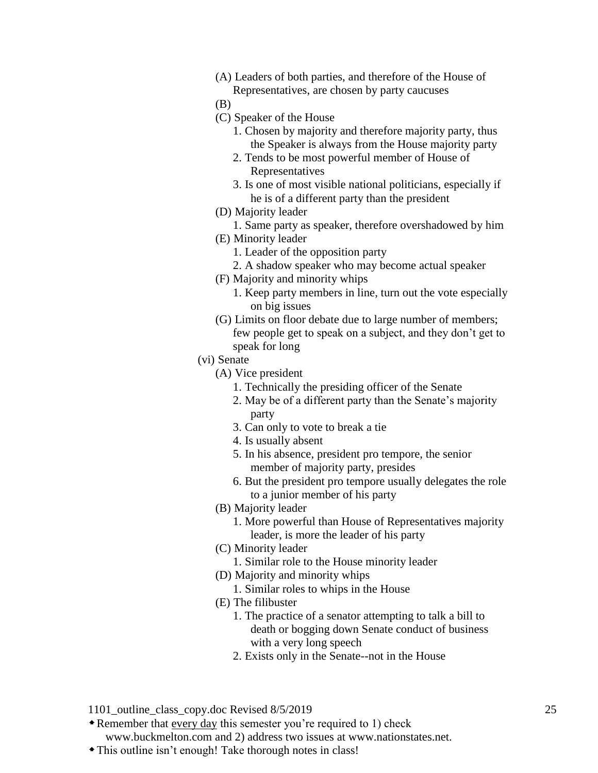(A) Leaders of both parties, and therefore of the House of Representatives, are chosen by party caucuses

(B)

- (C) Speaker of the House
	- 1. Chosen by majority and therefore majority party, thus the Speaker is always from the House majority party
	- 2. Tends to be most powerful member of House of Representatives
	- 3. Is one of most visible national politicians, especially if he is of a different party than the president
- (D) Majority leader
- 1. Same party as speaker, therefore overshadowed by him
- (E) Minority leader
	- 1. Leader of the opposition party
	- 2. A shadow speaker who may become actual speaker
- (F) Majority and minority whips
	- 1. Keep party members in line, turn out the vote especially on big issues
- (G) Limits on floor debate due to large number of members; few people get to speak on a subject, and they don't get to speak for long
- (vi) Senate
	- (A) Vice president
		- 1. Technically the presiding officer of the Senate
		- 2. May be of a different party than the Senate's majority party
		- 3. Can only to vote to break a tie
		- 4. Is usually absent
		- 5. In his absence, president pro tempore, the senior member of majority party, presides
		- 6. But the president pro tempore usually delegates the role to a junior member of his party
	- (B) Majority leader
		- 1. More powerful than House of Representatives majority leader, is more the leader of his party
	- (C) Minority leader
		- 1. Similar role to the House minority leader
	- (D) Majority and minority whips
		- 1. Similar roles to whips in the House
	- (E) The filibuster
		- 1. The practice of a senator attempting to talk a bill to death or bogging down Senate conduct of business with a very long speech
		- 2. Exists only in the Senate--not in the House
- 1101 outline class copy.doc Revised 8/5/2019 25
- Remember that every day this semester you're required to 1) check

www.buckmelton.com and 2) address two issues at www.nationstates.net.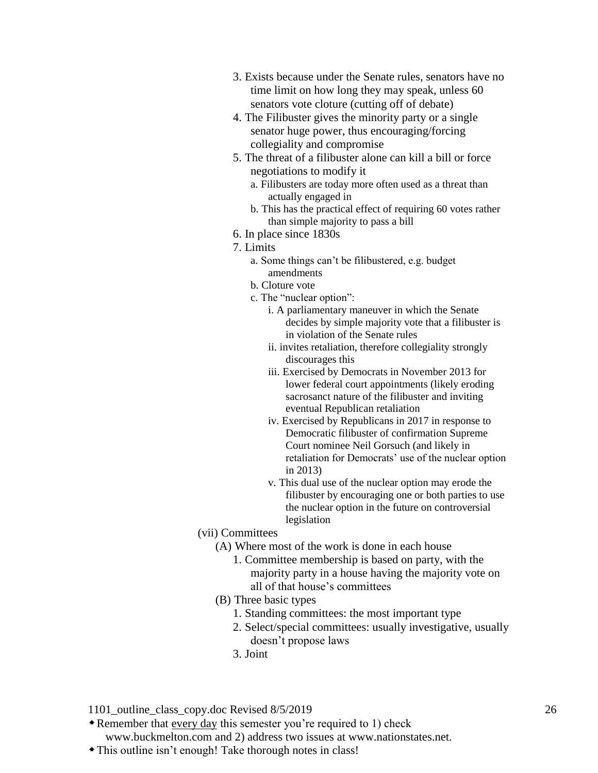- 3. Exists because under the Senate rules, senators have no time limit on how long they may speak, unless 60 senators vote cloture (cutting off of debate)
- 4. The Filibuster gives the minority party or a single senator huge power, thus encouraging/forcing collegiality and compromise
- 5. The threat of a filibuster alone can kill a bill or force negotiations to modify it
	- a. Filibusters are today more often used as a threat than actually engaged in
	- b. This has the practical effect of requiring 60 votes rather than simple majority to pass a bill
- 6. In place since 1830s
- 7. Limits
	- a. Some things can't be filibustered, e.g. budget amendments
	- b. Cloture vote
	- c. The "nuclear option":
		- i. A parliamentary maneuver in which the Senate decides by simple majority vote that a filibuster is in violation of the Senate rules
		- ii. invites retaliation, therefore collegiality strongly discourages this
		- iii. Exercised by Democrats in November 2013 for lower federal court appointments (likely eroding sacrosanct nature of the filibuster and inviting eventual Republican retaliation
		- iv. Exercised by Republicans in 2017 in response to Democratic filibuster of confirmation Supreme Court nominee Neil Gorsuch (and likely in retaliation for Democrats' use of the nuclear option in 2013)
		- v. This dual use of the nuclear option may erode the filibuster by encouraging one or both parties to use the nuclear option in the future on controversial legislation
- (vii) Committees
	- (A) Where most of the work is done in each house
		- 1. Committee membership is based on party, with the majority party in a house having the majority vote on all of that house's committees
	- (B) Three basic types
		- 1. Standing committees: the most important type
		- 2. Select/special committees: usually investigative, usually doesn't propose laws
		- 3. Joint

Remember that every day this semester you're required to 1) check

www.buckmelton.com and 2) address two issues at www.nationstates.net.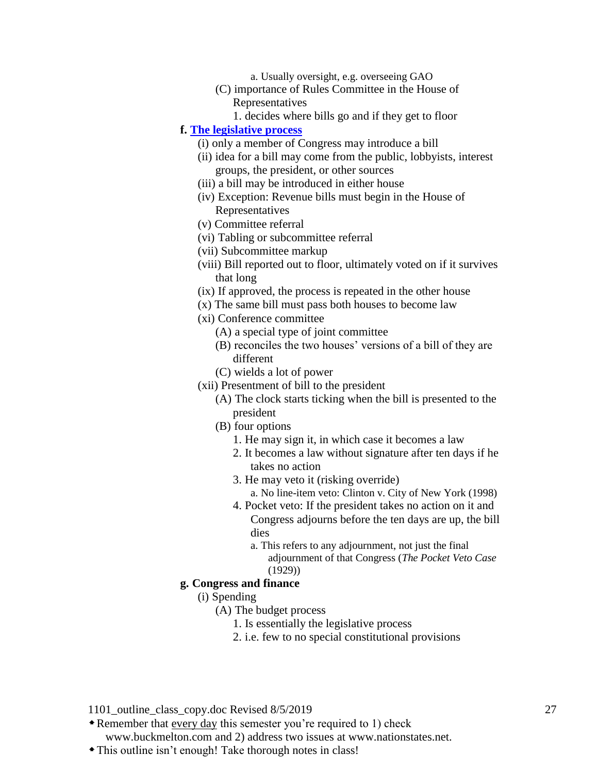a. Usually oversight, e.g. overseeing GAO

- (C) importance of Rules Committee in the House of Representatives
	- 1. decides where bills go and if they get to floor

#### **f. [The legislative process](http://www.buckmelton.com/legislative_process.jpg)**

- (i) only a member of Congress may introduce a bill
- (ii) idea for a bill may come from the public, lobbyists, interest groups, the president, or other sources
- (iii) a bill may be introduced in either house
- (iv) Exception: Revenue bills must begin in the House of Representatives
- (v) Committee referral
- (vi) Tabling or subcommittee referral
- (vii) Subcommittee markup
- (viii) Bill reported out to floor, ultimately voted on if it survives that long
- (ix) If approved, the process is repeated in the other house
- (x) The same bill must pass both houses to become law
- (xi) Conference committee
	- (A) a special type of joint committee
	- (B) reconciles the two houses' versions of a bill of they are different
	- (C) wields a lot of power
- (xii) Presentment of bill to the president
	- (A) The clock starts ticking when the bill is presented to the president
	- (B) four options
		- 1. He may sign it, in which case it becomes a law
		- 2. It becomes a law without signature after ten days if he takes no action
		- 3. He may veto it (risking override)
			- a. No line-item veto: Clinton v. City of New York (1998)
		- 4. Pocket veto: If the president takes no action on it and Congress adjourns before the ten days are up, the bill dies
			- a. This refers to any adjournment, not just the final adjournment of that Congress (*The Pocket Veto Case* (1929))

#### **g. Congress and finance**

#### (i) Spending

- (A) The budget process
	- 1. Is essentially the legislative process
	- 2. i.e. few to no special constitutional provisions

1101 outline class copy.doc Revised 8/5/2019 27

Remember that every day this semester you're required to 1) check

www.buckmelton.com and 2) address two issues at www.nationstates.net.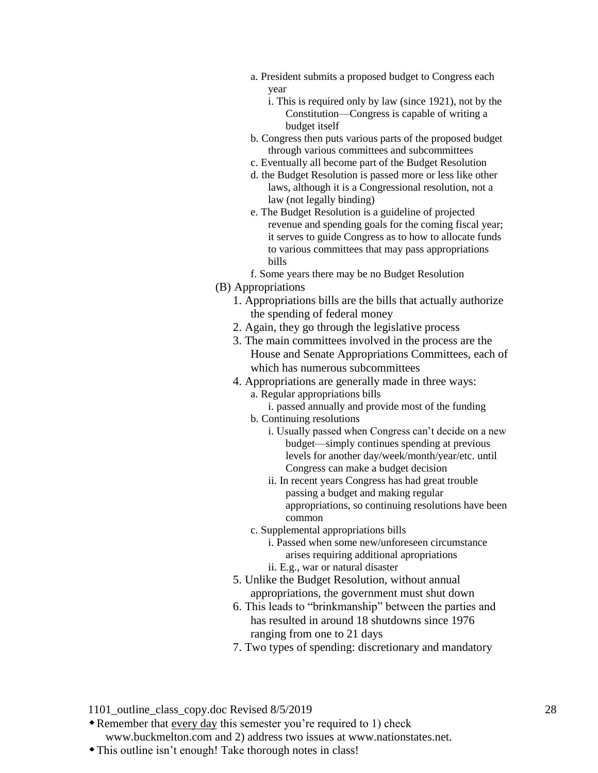- a. President submits a proposed budget to Congress each year
	- i. This is required only by law (since 1921), not by the Constitution—Congress is capable of writing a budget itself
- b. Congress then puts various parts of the proposed budget through various committees and subcommittees
- c. Eventually all become part of the Budget Resolution
- d. the Budget Resolution is passed more or less like other laws, although it is a Congressional resolution, not a law (not legally binding)
- e. The Budget Resolution is a guideline of projected revenue and spending goals for the coming fiscal year; it serves to guide Congress as to how to allocate funds to various committees that may pass appropriations bills
- f. Some years there may be no Budget Resolution
- (B) Appropriations
	- 1. Appropriations bills are the bills that actually authorize the spending of federal money
	- 2. Again, they go through the legislative process
	- 3. The main committees involved in the process are the House and Senate Appropriations Committees, each of which has numerous subcommittees
	- 4. Appropriations are generally made in three ways: a. Regular appropriations bills
		- i. passed annually and provide most of the funding
		- b. Continuing resolutions
			- i. Usually passed when Congress can't decide on a new budget—simply continues spending at previous levels for another day/week/month/year/etc. until Congress can make a budget decision
			- ii. In recent years Congress has had great trouble passing a budget and making regular appropriations, so continuing resolutions have been common
		- c. Supplemental appropriations bills
			- i. Passed when some new/unforeseen circumstance arises requiring additional apropriations
			- ii. E.g., war or natural disaster
	- 5. Unlike the Budget Resolution, without annual appropriations, the government must shut down
	- 6. This leads to "brinkmanship" between the parties and has resulted in around 18 shutdowns since 1976 ranging from one to 21 days
	- 7. Two types of spending: discretionary and mandatory

Remember that every day this semester you're required to 1) check

www.buckmelton.com and 2) address two issues at www.nationstates.net.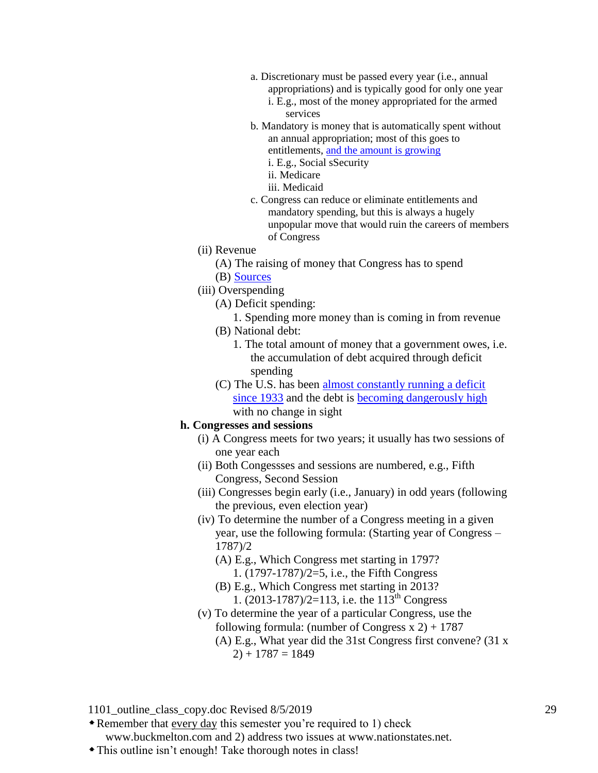- a. Discretionary must be passed every year (i.e., annual appropriations) and is typically good for only one year
	- i. E.g., most of the money appropriated for the armed services
- b. Mandatory is money that is automatically spent without an annual appropriation; most of this goes to entitlements, [and the amount is growing](http://www.buckmelton.com/entitlements_and_discretionary_pie.jpg) i. E.g., Social sSecurity
	- ii. Medicare
	- iii. Medicaid
- c. Congress can reduce or eliminate entitlements and mandatory spending, but this is always a hugely unpopular move that would ruin the careers of members of Congress
- (ii) Revenue
	- (A) The raising of money that Congress has to spend
	- (B) [Sources](http://www.buckmelton.com/0017_taxes-snapshot-full.gif)
- (iii) Overspending
	- (A) Deficit spending:
		- 1. Spending more money than is coming in from revenue
	- (B) National debt:
		- 1. The total amount of money that a government owes, i.e. the accumulation of debt acquired through deficit spending
	- (C) The U.S. has been almost constantly running a deficit [since 1933](http://www.buckmelton.com/annual_deficit.png) and the debt is [becoming dangerously high](http://www.buckmelton.com/GDP_to_Federal_debt_of_the_United_States.png) with no change in sight

#### **h. Congresses and sessions**

- (i) A Congress meets for two years; it usually has two sessions of one year each
- (ii) Both Congessses and sessions are numbered, e.g., Fifth Congress, Second Session
- (iii) Congresses begin early (i.e., January) in odd years (following the previous, even election year)
- (iv) To determine the number of a Congress meeting in a given year, use the following formula: (Starting year of Congress – 1787)/2
	- (A) E.g., Which Congress met starting in 1797? 1. (1797-1787)/2=5, i.e., the Fifth Congress
	- (B) E.g., Which Congress met starting in 2013? 1.  $(2013-1787)/2=113$ , i.e. the 113<sup>th</sup> Congress
- (v) To determine the year of a particular Congress, use the following formula: (number of Congress  $x$  2) + 1787 (A) E.g., What year did the 31st Congress first convene? (31 x
	- $2) + 1787 = 1849$

1101 outline class copy.doc Revised 8/5/2019 29

Remember that every day this semester you're required to 1) check

www.buckmelton.com and 2) address two issues at www.nationstates.net.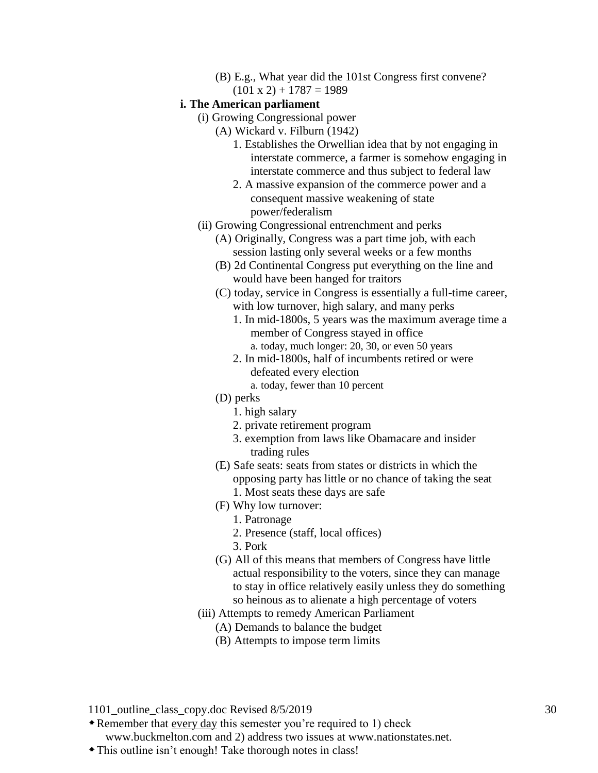(B) E.g., What year did the 101st Congress first convene?

 $(101 \times 2) + 1787 = 1989$ 

#### **i. The American parliament**

- (i) Growing Congressional power
	- (A) Wickard v. Filburn (1942)
		- 1. Establishes the Orwellian idea that by not engaging in interstate commerce, a farmer is somehow engaging in interstate commerce and thus subject to federal law
		- 2. A massive expansion of the commerce power and a consequent massive weakening of state power/federalism
- (ii) Growing Congressional entrenchment and perks
	- (A) Originally, Congress was a part time job, with each session lasting only several weeks or a few months
	- (B) 2d Continental Congress put everything on the line and would have been hanged for traitors
	- (C) today, service in Congress is essentially a full-time career, with low turnover, high salary, and many perks
		- 1. In mid-1800s, 5 years was the maximum average time a member of Congress stayed in office a. today, much longer: 20, 30, or even 50 years
		- 2. In mid-1800s, half of incumbents retired or were defeated every election

a. today, fewer than 10 percent

- (D) perks
	- 1. high salary
	- 2. private retirement program
	- 3. exemption from laws like Obamacare and insider trading rules
- (E) Safe seats: seats from states or districts in which the opposing party has little or no chance of taking the seat 1. Most seats these days are safe
- (F) Why low turnover:
	- 1. Patronage
	- 2. Presence (staff, local offices)
	- 3. Pork
- (G) All of this means that members of Congress have little actual responsibility to the voters, since they can manage to stay in office relatively easily unless they do something so heinous as to alienate a high percentage of voters
- (iii) Attempts to remedy American Parliament
	- (A) Demands to balance the budget
	- (B) Attempts to impose term limits

1101 outline class copy.doc Revised 8/5/2019 30

Remember that every day this semester you're required to 1) check

www.buckmelton.com and 2) address two issues at www.nationstates.net.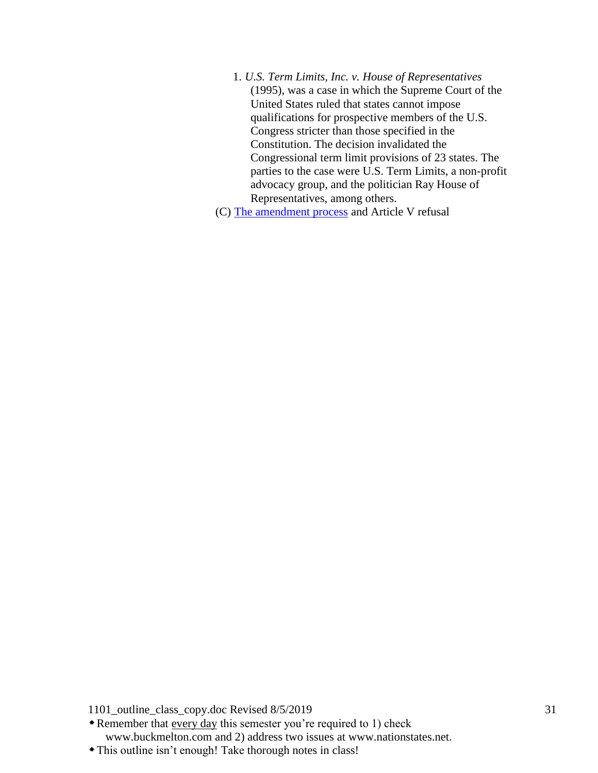1. *U.S. Term Limits, Inc. v. House of Representatives* (1995), was a case in which the Supreme Court of the United States ruled that states cannot impose qualifications for prospective members of the U.S. Congress stricter than those specified in the Constitution. The decision invalidated the Congressional term limit provisions of 23 states. The parties to the case were U.S. Term Limits, a non-profit advocacy group, and the politician Ray House of Representatives, among others.

(C) [The amendment process](http://www.buckmelton.com/amendment_process.pdf) and Article V refusal

1101\_outline\_class\_copy.doc Revised 8/5/2019 31

Remember that every day this semester you're required to 1) check www.buckmelton.com and 2) address two issues at www.nationstates.net.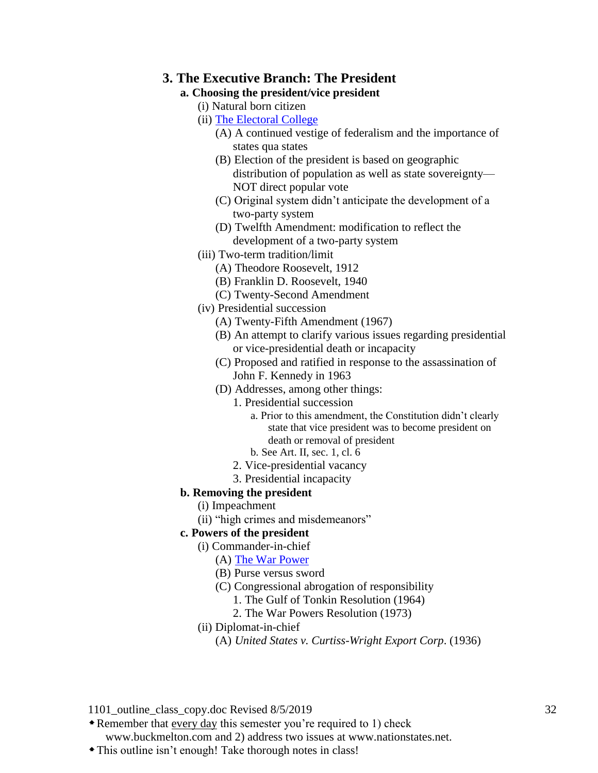#### **3. The Executive Branch: The President**

## **a. Choosing the president/vice president**

- (i) Natural born citizen
- (ii) [The Electoral College](http://www.buckmelton.com/electoral_college.pdf)
	- (A) A continued vestige of federalism and the importance of states qua states
	- (B) Election of the president is based on geographic distribution of population as well as state sovereignty— NOT direct popular vote
	- (C) Original system didn't anticipate the development of a two-party system
	- (D) Twelfth Amendment: modification to reflect the development of a two-party system
- (iii) Two-term tradition/limit
	- (A) Theodore Roosevelt, 1912
	- (B) Franklin D. Roosevelt, 1940
	- (C) Twenty-Second Amendment
- (iv) Presidential succession
	- (A) Twenty-Fifth Amendment (1967)
	- (B) An attempt to clarify various issues regarding presidential or vice-presidential death or incapacity
	- (C) Proposed and ratified in response to the assassination of John F. Kennedy in 1963
	- (D) Addresses, among other things:
		- 1. Presidential succession
			- a. Prior to this amendment, the Constitution didn't clearly state that vice president was to become president on death or removal of president
			- b. See Art. II, sec. 1, cl. 6
		- 2. Vice-presidential vacancy
		- 3. Presidential incapacity
- **b. Removing the president**
	- (i) Impeachment
	- (ii) "high crimes and misdemeanors"

## **c. Powers of the president**

- (i) Commander-in-chief
	- (A) [The War Power](http://www.buckmelton.com/war_power.pdf)
	- (B) Purse versus sword
	- (C) Congressional abrogation of responsibility
		- 1. The Gulf of Tonkin Resolution (1964)
		- 2. The War Powers Resolution (1973)
- (ii) Diplomat-in-chief
	- (A) *United States v. Curtiss-Wright Export Corp*. (1936)

1101 outline class copy.doc Revised 8/5/2019 32

Remember that every day this semester you're required to 1) check

www.buckmelton.com and 2) address two issues at www.nationstates.net.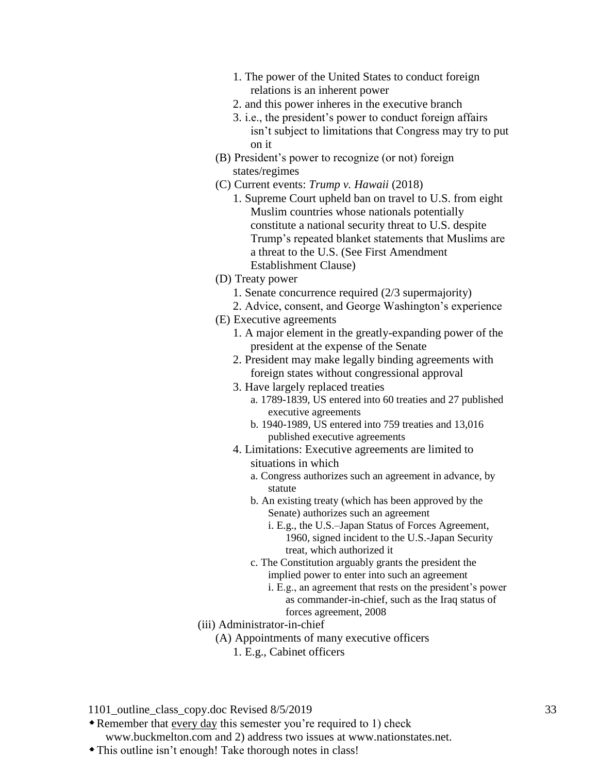- 1. The power of the United States to conduct foreign relations is an inherent power
- 2. and this power inheres in the executive branch
- 3. i.e., the president's power to conduct foreign affairs isn't subject to limitations that Congress may try to put on it
- (B) President's power to recognize (or not) foreign states/regimes
- (C) Current events: *Trump v. Hawaii* (2018)
	- 1. Supreme Court upheld ban on travel to U.S. from eight Muslim countries whose nationals potentially constitute a national security threat to U.S. despite Trump's repeated blanket statements that Muslims are a threat to the U.S. (See First Amendment Establishment Clause)
- (D) Treaty power
	- 1. Senate concurrence required (2/3 supermajority)
	- 2. Advice, consent, and George Washington's experience
- (E) Executive agreements
	- 1. A major element in the greatly-expanding power of the president at the expense of the Senate
	- 2. President may make legally binding agreements with foreign states without congressional approval
	- 3. Have largely replaced treaties
		- a. 1789-1839, US entered into 60 treaties and 27 published executive agreements
		- b. 1940-1989, US entered into 759 treaties and 13,016 published executive agreements
	- 4. Limitations: Executive agreements are limited to situations in which
		- a. Congress authorizes such an agreement in advance, by statute
		- b. An existing treaty (which has been approved by the Senate) authorizes such an agreement
			- i. E.g., the U.S.–Japan Status of Forces Agreement, 1960, signed incident to the U.S.-Japan Security treat, which authorized it
		- c. The Constitution arguably grants the president the implied power to enter into such an agreement
			- i. E.g., an agreement that rests on the president's power as commander-in-chief, such as the Iraq status of forces agreement, 2008
- (iii) Administrator-in-chief
	- (A) Appointments of many executive officers
		- 1. E.g., Cabinet officers

Remember that every day this semester you're required to 1) check

www.buckmelton.com and 2) address two issues at www.nationstates.net.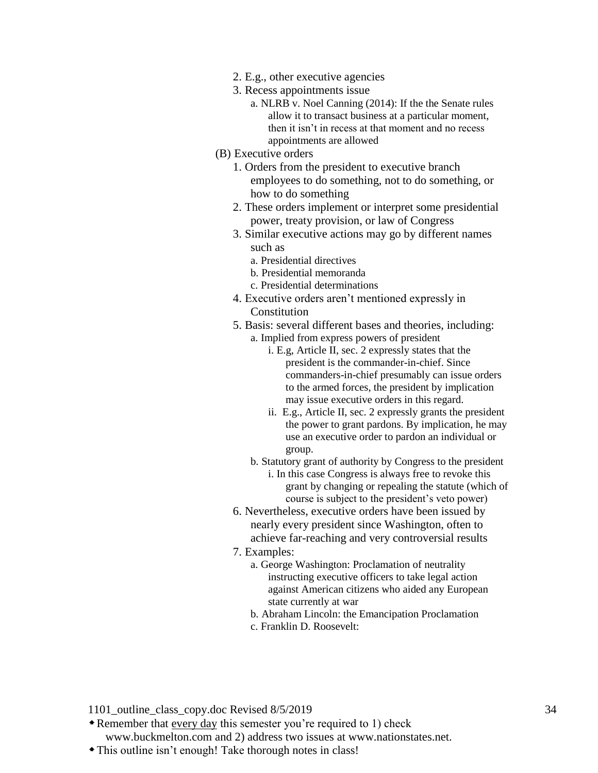- 2. E.g., other executive agencies
- 3. Recess appointments issue
	- a. NLRB v. Noel Canning (2014): If the the Senate rules allow it to transact business at a particular moment, then it isn't in recess at that moment and no recess appointments are allowed
- (B) Executive orders
	- 1. Orders from the president to executive branch employees to do something, not to do something, or how to do something
	- 2. These orders implement or interpret some presidential power, treaty provision, or law of Congress
	- 3. Similar executive actions may go by different names such as
		- a. Presidential directives
		- b. Presidential memoranda
		- c. Presidential determinations
	- 4. Executive orders aren't mentioned expressly in Constitution
	- 5. Basis: several different bases and theories, including:
		- a. Implied from express powers of president
			- i. E.g, Article II, sec. 2 expressly states that the president is the commander-in-chief. Since commanders-in-chief presumably can issue orders to the armed forces, the president by implication may issue executive orders in this regard.
			- ii. E.g., Article II, sec. 2 expressly grants the president the power to grant pardons. By implication, he may use an executive order to pardon an individual or group.
		- b. Statutory grant of authority by Congress to the president i. In this case Congress is always free to revoke this grant by changing or repealing the statute (which of course is subject to the president's veto power)
	- 6. Nevertheless, executive orders have been issued by nearly every president since Washington, often to achieve far-reaching and very controversial results
	- 7. Examples:
		- a. George Washington: Proclamation of neutrality instructing executive officers to take legal action against American citizens who aided any European state currently at war
		- b. Abraham Lincoln: the Emancipation Proclamation
		- c. Franklin D. Roosevelt:

- Remember that every day this semester you're required to 1) check www.buckmelton.com and 2) address two issues at www.nationstates.net.
- This outline isn't enough! Take thorough notes in class!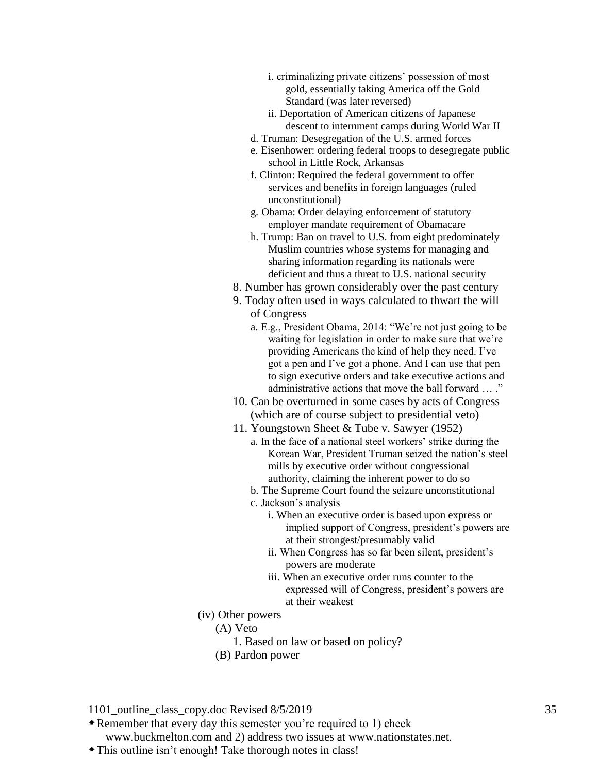- i. criminalizing private citizens' possession of most gold, essentially taking America off the Gold Standard (was later reversed)
- ii. Deportation of American citizens of Japanese descent to internment camps during World War II
- d. Truman: Desegregation of the U.S. armed forces
- e. Eisenhower: ordering federal troops to desegregate public school in Little Rock, Arkansas
- f. Clinton: Required the federal government to offer services and benefits in foreign languages (ruled unconstitutional)
- g. Obama: Order delaying enforcement of statutory employer mandate requirement of Obamacare
- h. Trump: Ban on travel to U.S. from eight predominately Muslim countries whose systems for managing and sharing information regarding its nationals were deficient and thus a threat to U.S. national security
- 8. Number has grown considerably over the past century
- 9. Today often used in ways calculated to thwart the will of Congress
	- a. E.g., President Obama, 2014: "We're not just going to be waiting for legislation in order to make sure that we're providing Americans the kind of help they need. I've got a pen and I've got a phone. And I can use that pen to sign executive orders and take executive actions and administrative actions that move the ball forward ... ."
- 10. Can be overturned in some cases by acts of Congress (which are of course subject to presidential veto)
- 11. Youngstown Sheet & Tube v. Sawyer (1952)
	- a. In the face of a national steel workers' strike during the Korean War, President Truman seized the nation's steel mills by executive order without congressional authority, claiming the inherent power to do so
	- b. The Supreme Court found the seizure unconstitutional
	- c. Jackson's analysis
		- i. When an executive order is based upon express or implied support of Congress, president's powers are at their strongest/presumably valid
		- ii. When Congress has so far been silent, president's powers are moderate
		- iii. When an executive order runs counter to the expressed will of Congress, president's powers are at their weakest
- (iv) Other powers
	- (A) Veto
		- 1. Based on law or based on policy?
	- (B) Pardon power

Remember that every day this semester you're required to 1) check

www.buckmelton.com and 2) address two issues at www.nationstates.net.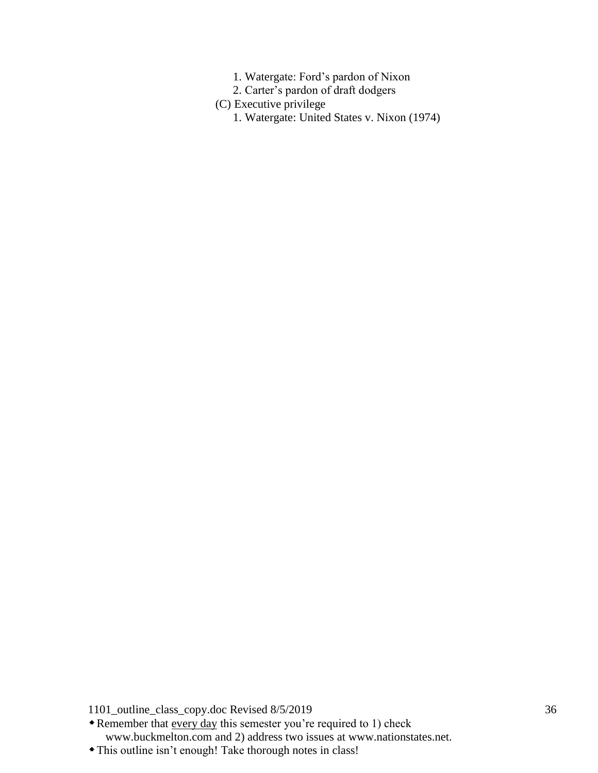- 1. Watergate: Ford's pardon of Nixon
- 2. Carter's pardon of draft dodgers
- (C) Executive privilege
	- 1. Watergate: United States v. Nixon (1974)

\* Remember that every day this semester you're required to 1) check www.buckmelton.com and 2) address two issues at www.nationstates.net.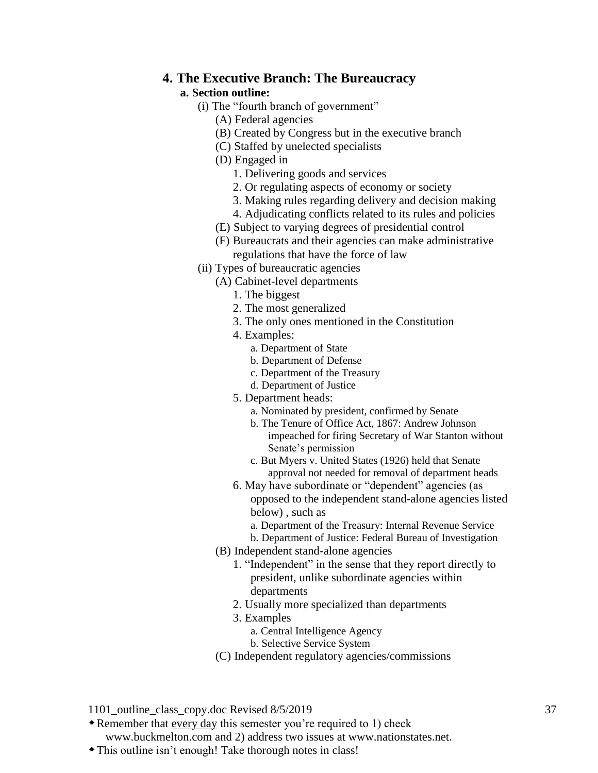### **4. The Executive Branch: The Bureaucracy**

### **a. Section outline:**

- (i) The "fourth branch of government"
	- (A) Federal agencies
	- (B) Created by Congress but in the executive branch
	- (C) Staffed by unelected specialists
	- (D) Engaged in
		- 1. Delivering goods and services
		- 2. Or regulating aspects of economy or society
		- 3. Making rules regarding delivery and decision making
		- 4. Adjudicating conflicts related to its rules and policies
	- (E) Subject to varying degrees of presidential control
	- (F) Bureaucrats and their agencies can make administrative regulations that have the force of law
- (ii) Types of bureaucratic agencies
	- (A) Cabinet-level departments
		- 1. The biggest
		- 2. The most generalized
		- 3. The only ones mentioned in the Constitution
		- 4. Examples:
			- a. Department of State
			- b. Department of Defense
			- c. Department of the Treasury
			- d. Department of Justice
		- 5. Department heads:
			- a. Nominated by president, confirmed by Senate
			- b. The Tenure of Office Act, 1867: Andrew Johnson impeached for firing Secretary of War Stanton without Senate's permission
			- c. But Myers v. United States (1926) held that Senate approval not needed for removal of department heads
		- 6. May have subordinate or "dependent" agencies (as opposed to the independent stand-alone agencies listed below) , such as
			- a. Department of the Treasury: Internal Revenue Service
			- b. Department of Justice: Federal Bureau of Investigation
	- (B) Independent stand-alone agencies
		- 1. "Independent" in the sense that they report directly to president, unlike subordinate agencies within departments
		- 2. Usually more specialized than departments
		- 3. Examples
			- a. Central Intelligence Agency
			- b. Selective Service System
	- (C) Independent regulatory agencies/commissions
- 1101 outline class copy.doc Revised 8/5/2019 37
- Remember that every day this semester you're required to 1) check

www.buckmelton.com and 2) address two issues at www.nationstates.net.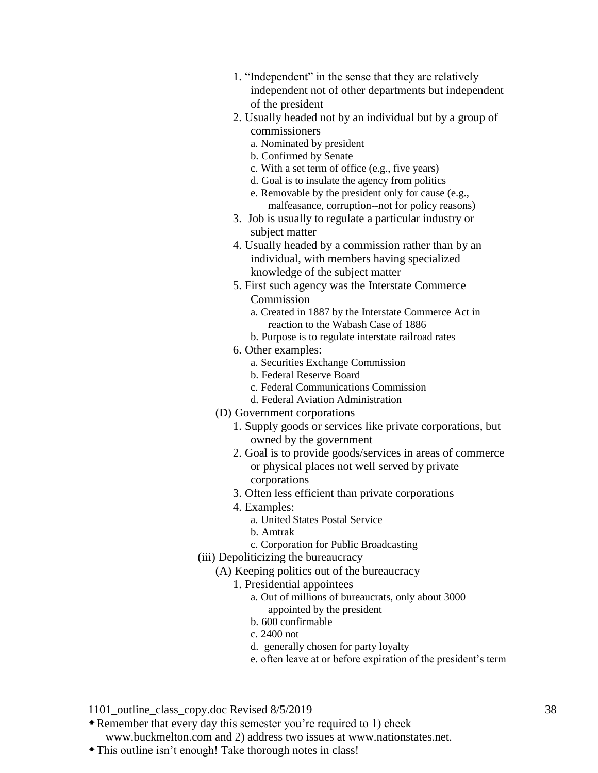- 1. "Independent" in the sense that they are relatively independent not of other departments but independent of the president
- 2. Usually headed not by an individual but by a group of commissioners
	- a. Nominated by president
	- b. Confirmed by Senate
	- c. With a set term of office (e.g., five years)
	- d. Goal is to insulate the agency from politics
	- e. Removable by the president only for cause (e.g., malfeasance, corruption--not for policy reasons)
- 3. Job is usually to regulate a particular industry or subject matter
- 4. Usually headed by a commission rather than by an individual, with members having specialized knowledge of the subject matter
- 5. First such agency was the Interstate Commerce Commission
	- a. Created in 1887 by the Interstate Commerce Act in reaction to the Wabash Case of 1886
	- b. Purpose is to regulate interstate railroad rates
- 6. Other examples:
	- a. Securities Exchange Commission
	- b. Federal Reserve Board
	- c. Federal Communications Commission
	- d. Federal Aviation Administration
- (D) Government corporations
	- 1. Supply goods or services like private corporations, but owned by the government
	- 2. Goal is to provide goods/services in areas of commerce or physical places not well served by private corporations
	- 3. Often less efficient than private corporations
	- 4. Examples:
		- a. United States Postal Service
		- b. Amtrak
		- c. Corporation for Public Broadcasting
- (iii) Depoliticizing the bureaucracy
	- (A) Keeping politics out of the bureaucracy
		- 1. Presidential appointees
			- a. Out of millions of bureaucrats, only about 3000 appointed by the president
			- b. 600 confirmable
			- c. 2400 not
			- d. generally chosen for party loyalty
			- e. often leave at or before expiration of the president's term
- 1101 outline class copy.doc Revised 8/5/2019 38
- Remember that every day this semester you're required to 1) check

www.buckmelton.com and 2) address two issues at www.nationstates.net.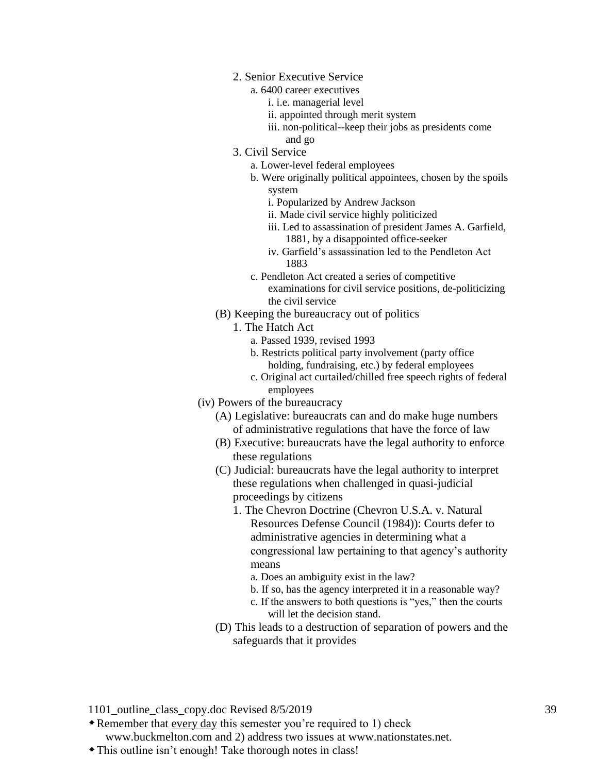- 2. Senior Executive Service
	- a. 6400 career executives
		- i. i.e. managerial level
		- ii. appointed through merit system
		- iii. non-political--keep their jobs as presidents come and go
- 3. Civil Service
	- a. Lower-level federal employees
	- b. Were originally political appointees, chosen by the spoils system
		- i. Popularized by Andrew Jackson
		- ii. Made civil service highly politicized
		- iii. Led to assassination of president James A. Garfield, 1881, by a disappointed office-seeker
		- iv. Garfield's assassination led to the Pendleton Act 1883
	- c. Pendleton Act created a series of competitive examinations for civil service positions, de-politicizing the civil service
- (B) Keeping the bureaucracy out of politics
	- 1. The Hatch Act
		- a. Passed 1939, revised 1993
		- b. Restricts political party involvement (party office holding, fundraising, etc.) by federal employees
		- c. Original act curtailed/chilled free speech rights of federal employees
- (iv) Powers of the bureaucracy
	- (A) Legislative: bureaucrats can and do make huge numbers of administrative regulations that have the force of law
	- (B) Executive: bureaucrats have the legal authority to enforce these regulations
	- (C) Judicial: bureaucrats have the legal authority to interpret these regulations when challenged in quasi-judicial proceedings by citizens
		- 1. The Chevron Doctrine (Chevron U.S.A. v. Natural Resources Defense Council (1984)): Courts defer to administrative agencies in determining what a congressional law pertaining to that agency's authority means
			- a. Does an ambiguity exist in the law?
			- b. If so, has the agency interpreted it in a reasonable way?
			- c. If the answers to both questions is "yes," then the courts will let the decision stand.
	- (D) This leads to a destruction of separation of powers and the safeguards that it provides

- Remember that every day this semester you're required to 1) check www.buckmelton.com and 2) address two issues at www.nationstates.net.
- This outline isn't enough! Take thorough notes in class!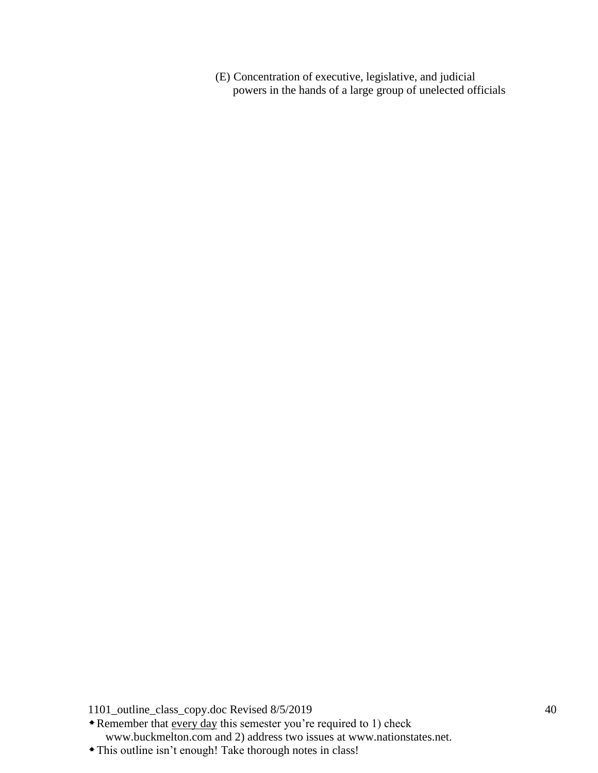(E) Concentration of executive, legislative, and judicial powers in the hands of a large group of unelected officials

1101\_outline\_class\_copy.doc Revised 8/5/2019 40

\* Remember that every day this semester you're required to 1) check www.buckmelton.com and 2) address two issues at www.nationstates.net.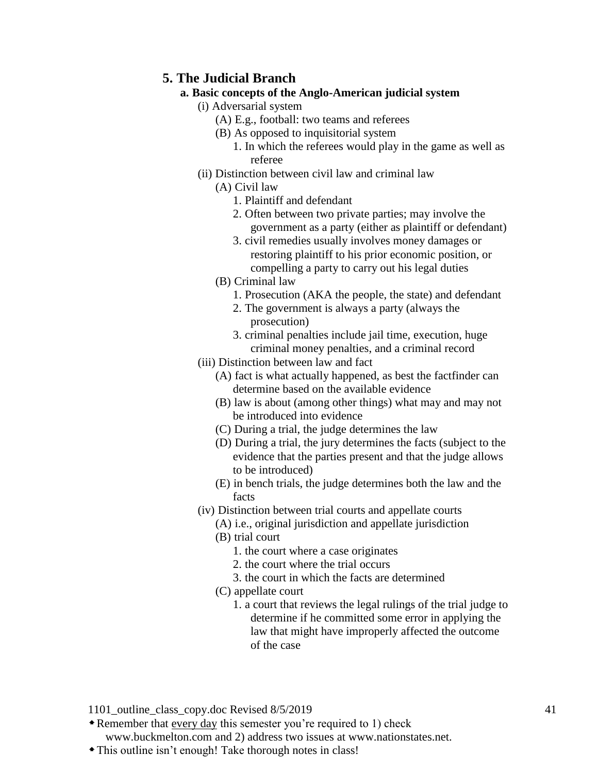## **5. The Judicial Branch**

### **a. Basic concepts of the Anglo-American judicial system**

- (i) Adversarial system
	- (A) E.g., football: two teams and referees
	- (B) As opposed to inquisitorial system
		- 1. In which the referees would play in the game as well as referee
- (ii) Distinction between civil law and criminal law
	- (A) Civil law
		- 1. Plaintiff and defendant
		- 2. Often between two private parties; may involve the government as a party (either as plaintiff or defendant)
		- 3. civil remedies usually involves money damages or restoring plaintiff to his prior economic position, or compelling a party to carry out his legal duties
	- (B) Criminal law
		- 1. Prosecution (AKA the people, the state) and defendant
		- 2. The government is always a party (always the prosecution)
		- 3. criminal penalties include jail time, execution, huge criminal money penalties, and a criminal record
- (iii) Distinction between law and fact
	- (A) fact is what actually happened, as best the factfinder can determine based on the available evidence
	- (B) law is about (among other things) what may and may not be introduced into evidence
	- (C) During a trial, the judge determines the law
	- (D) During a trial, the jury determines the facts (subject to the evidence that the parties present and that the judge allows to be introduced)
	- (E) in bench trials, the judge determines both the law and the facts
- (iv) Distinction between trial courts and appellate courts
	- (A) i.e., original jurisdiction and appellate jurisdiction
	- (B) trial court
		- 1. the court where a case originates
		- 2. the court where the trial occurs
		- 3. the court in which the facts are determined
	- (C) appellate court
		- 1. a court that reviews the legal rulings of the trial judge to determine if he committed some error in applying the law that might have improperly affected the outcome of the case

1101 outline class copy.doc Revised 8/5/2019 41

Remember that every day this semester you're required to 1) check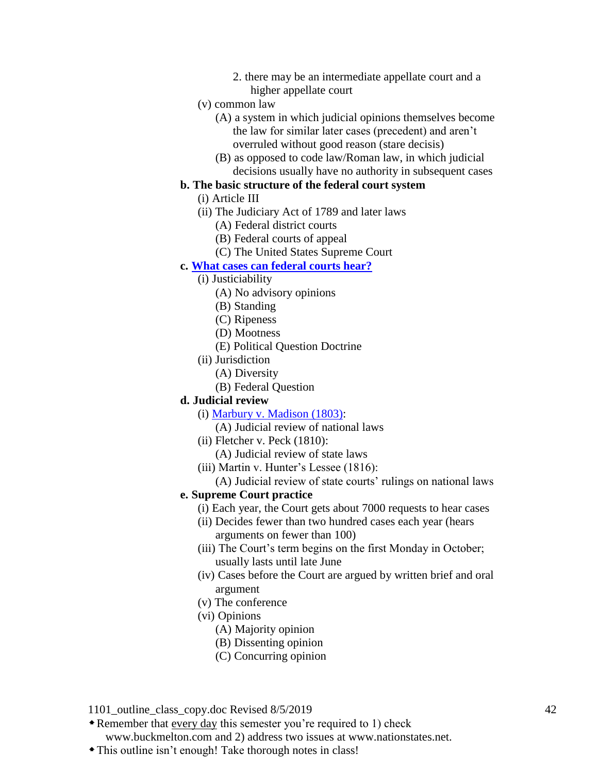- 2. there may be an intermediate appellate court and a higher appellate court
- (v) common law
	- (A) a system in which judicial opinions themselves become the law for similar later cases (precedent) and aren't overruled without good reason (stare decisis)
	- (B) as opposed to code law/Roman law, in which judicial decisions usually have no authority in subsequent cases

### **b. The basic structure of the federal court system**

- (i) Article III
- (ii) The Judiciary Act of 1789 and later laws
	- (A) Federal district courts
	- (B) Federal courts of appeal
	- (C) The United States Supreme Court

#### **c. [What cases can federal courts hear?](http://www.buckmelton.com/justiciability_and_jurisdiction.pdf)**

- (i) Justiciability
	- (A) No advisory opinions
	- (B) Standing
	- (C) Ripeness
	- (D) Mootness
	- (E) Political Question Doctrine
- (ii) Jurisdiction
	- (A) Diversity
	- (B) Federal Question

#### **d. Judicial review**

- (i) [Marbury v. Madison \(1803\):](http://www.buckmelton.com/marbury.pdf)
	- (A) Judicial review of national laws
- (ii) Fletcher v. Peck (1810):
	- (A) Judicial review of state laws
- (iii) Martin v. Hunter's Lessee (1816):
- (A) Judicial review of state courts' rulings on national laws

#### **e. Supreme Court practice**

- (i) Each year, the Court gets about 7000 requests to hear cases
- (ii) Decides fewer than two hundred cases each year (hears arguments on fewer than 100)
- (iii) The Court's term begins on the first Monday in October; usually lasts until late June
- (iv) Cases before the Court are argued by written brief and oral argument
- (v) The conference
- (vi) Opinions
	- (A) Majority opinion
	- (B) Dissenting opinion
	- (C) Concurring opinion

1101 outline class copy.doc Revised 8/5/2019 42

Remember that every day this semester you're required to 1) check

www.buckmelton.com and 2) address two issues at www.nationstates.net.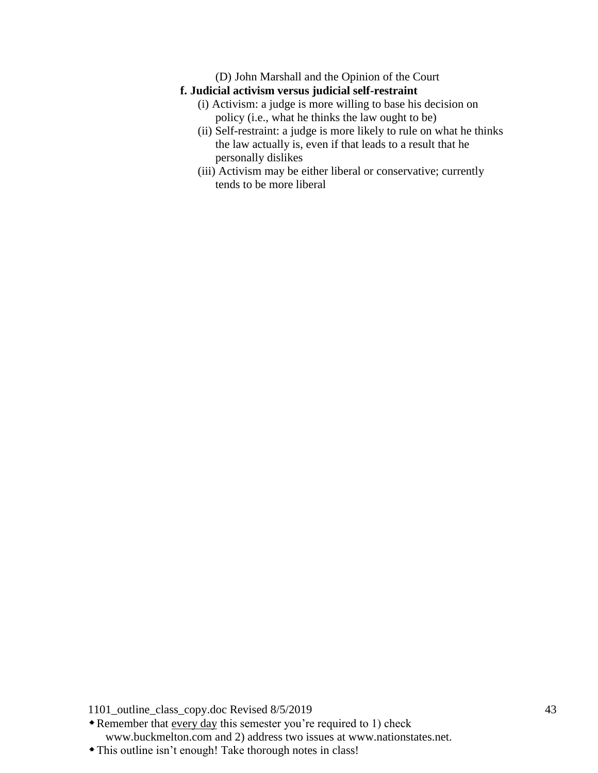(D) John Marshall and the Opinion of the Court

## **f. Judicial activism versus judicial self-restraint**

- (i) Activism: a judge is more willing to base his decision on policy (i.e., what he thinks the law ought to be)
- (ii) Self-restraint: a judge is more likely to rule on what he thinks the law actually is, even if that leads to a result that he personally dislikes
- (iii) Activism may be either liberal or conservative; currently tends to be more liberal

1101\_outline\_class\_copy.doc Revised 8/5/2019 43

Remember that every day this semester you're required to 1) check www.buckmelton.com and 2) address two issues at www.nationstates.net.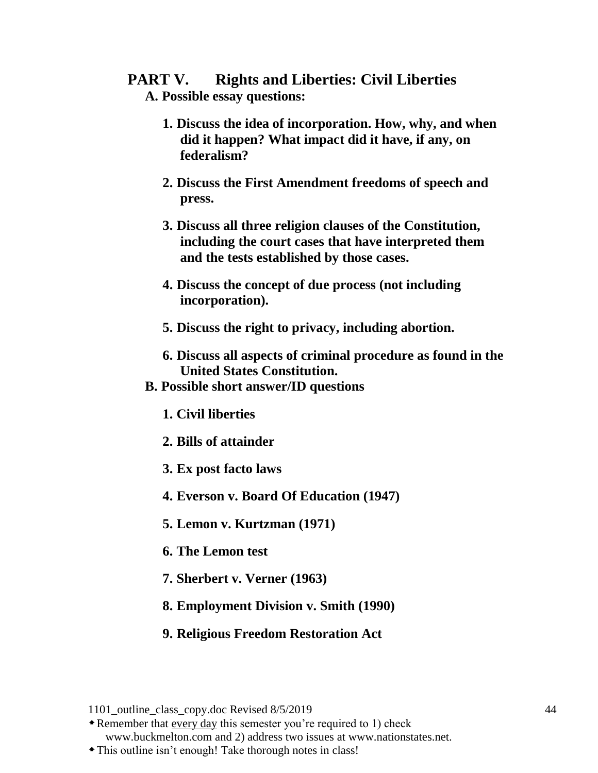# **PART V. Rights and Liberties: Civil Liberties**

- **A. Possible essay questions:**
	- **1. Discuss the idea of incorporation. How, why, and when did it happen? What impact did it have, if any, on federalism?**
	- **2. Discuss the First Amendment freedoms of speech and press.**
	- **3. Discuss all three religion clauses of the Constitution, including the court cases that have interpreted them and the tests established by those cases.**
	- **4. Discuss the concept of due process (not including incorporation).**
	- **5. Discuss the right to privacy, including abortion.**
	- **6. Discuss all aspects of criminal procedure as found in the United States Constitution.**
- **B. Possible short answer/ID questions**
	- **1. Civil liberties**
	- **2. Bills of attainder**
	- **3. Ex post facto laws**
	- **4. Everson v. Board Of Education (1947)**
	- **5. Lemon v. Kurtzman (1971)**
	- **6. The Lemon test**
	- **7. Sherbert v. Verner (1963)**
	- **8. Employment Division v. Smith (1990)**
	- **9. Religious Freedom Restoration Act**

Remember that every day this semester you're required to 1) check

www.buckmelton.com and 2) address two issues at www.nationstates.net.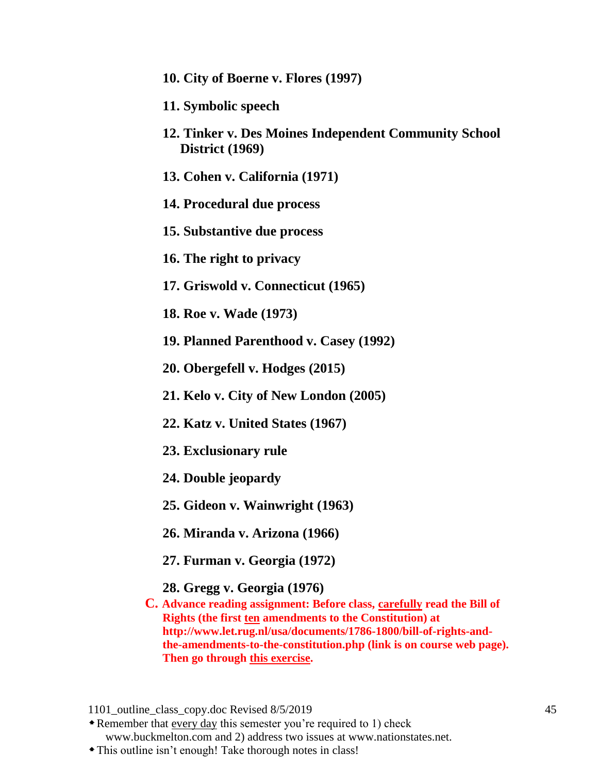- **10. City of Boerne v. Flores (1997)**
- **11. Symbolic speech**
- **12. Tinker v. Des Moines Independent Community School District (1969)**
- **13. Cohen v. California (1971)**
- **14. Procedural due process**
- **15. Substantive due process**
- **16. The right to privacy**
- **17. Griswold v. Connecticut (1965)**
- **18. Roe v. Wade (1973)**
- **19. Planned Parenthood v. Casey (1992)**
- **20. Obergefell v. Hodges (2015)**
- **21. Kelo v. City of New London (2005)**
- **22. Katz v. United States (1967)**
- **23. Exclusionary rule**
- **24. Double jeopardy**
- **25. Gideon v. Wainwright (1963)**
- **26. Miranda v. Arizona (1966)**
- **27. Furman v. Georgia (1972)**
- **28. Gregg v. Georgia (1976)**
- **C. Advance reading assignment: Before class, carefully read the Bill of Rights (the first ten amendments to the Constitution) at http://www.let.rug.nl/usa/documents/1786-1800/bill-of-rights-andthe-amendments-to-the-constitution.php (link is on course web page). Then go through [this exercise.](http://constitutioncenter.org/billofrightsgame/)**

<sup>1101</sup> outline class copy.doc Revised 8/5/2019 45

Remember that every day this semester you're required to 1) check www.buckmelton.com and 2) address two issues at www.nationstates.net.

This outline isn't enough! Take thorough notes in class!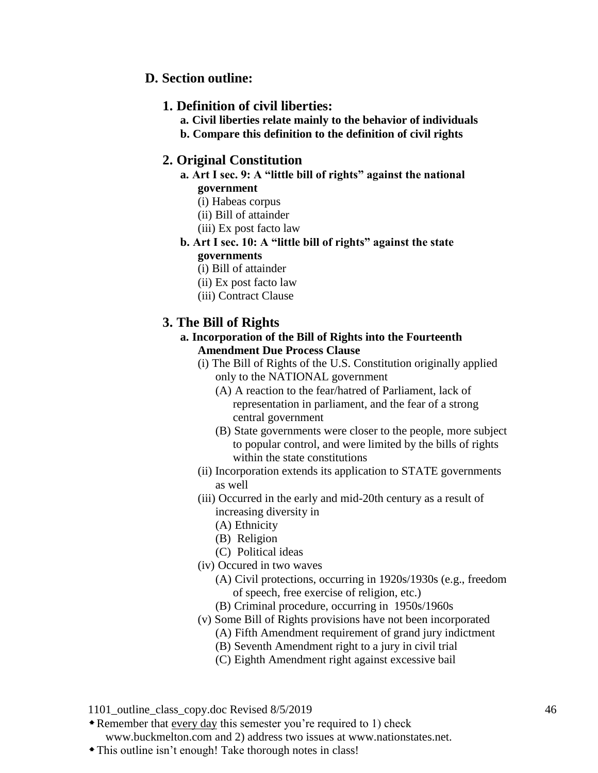## **D. Section outline:**

### **1. Definition of civil liberties:**

**a. Civil liberties relate mainly to the behavior of individuals b. Compare this definition to the definition of civil rights**

## **2. Original Constitution**

- **a. Art I sec. 9: A "little bill of rights" against the national government**
	- (i) Habeas corpus
	- (ii) Bill of attainder
	- (iii) Ex post facto law
- **b. Art I sec. 10: A "little bill of rights" against the state governments**
	- (i) Bill of attainder
	- (ii) Ex post facto law
	- (iii) Contract Clause

## **3. The Bill of Rights**

- **a. Incorporation of the Bill of Rights into the Fourteenth Amendment Due Process Clause**
	- (i) The Bill of Rights of the U.S. Constitution originally applied only to the NATIONAL government
		- (A) A reaction to the fear/hatred of Parliament, lack of representation in parliament, and the fear of a strong central government
		- (B) State governments were closer to the people, more subject to popular control, and were limited by the bills of rights within the state constitutions
	- (ii) Incorporation extends its application to STATE governments as well
	- (iii) Occurred in the early and mid-20th century as a result of increasing diversity in
		- (A) Ethnicity
		- (B) Religion
		- (C) Political ideas
	- (iv) Occured in two waves
		- (A) Civil protections, occurring in 1920s/1930s (e.g., freedom of speech, free exercise of religion, etc.)
		- (B) Criminal procedure, occurring in 1950s/1960s
	- (v) Some Bill of Rights provisions have not been incorporated
		- (A) Fifth Amendment requirement of grand jury indictment
		- (B) Seventh Amendment right to a jury in civil trial
		- (C) Eighth Amendment right against excessive bail

1101 outline class copy.doc Revised 8/5/2019 46

Remember that every day this semester you're required to 1) check

www.buckmelton.com and 2) address two issues at www.nationstates.net.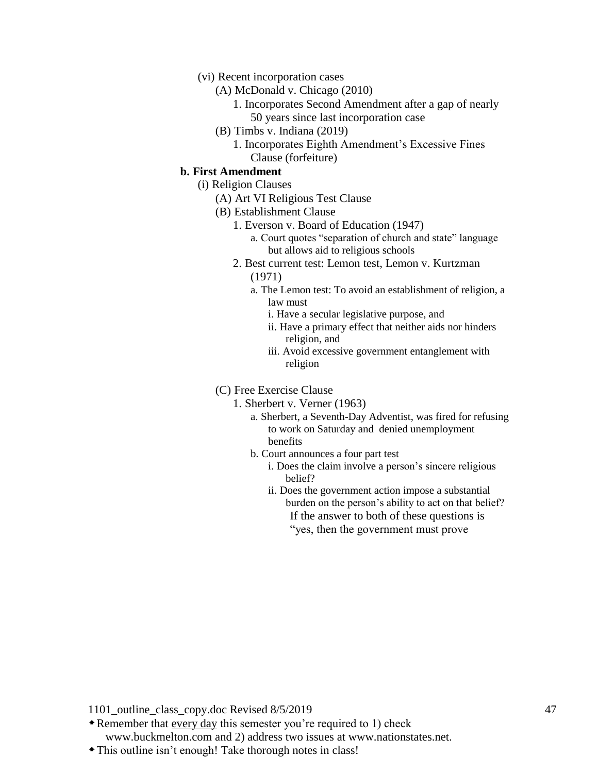#### (vi) Recent incorporation cases

- (A) McDonald v. Chicago (2010)
	- 1. Incorporates Second Amendment after a gap of nearly 50 years since last incorporation case
- (B) Timbs v. Indiana (2019)
	- 1. Incorporates Eighth Amendment's Excessive Fines Clause (forfeiture)

#### **b. First Amendment**

- (i) Religion Clauses
	- (A) Art VI Religious Test Clause
	- (B) Establishment Clause
		- 1. Everson v. Board of Education (1947)
			- a. Court quotes "separation of church and state" language but allows aid to religious schools
		- 2. Best current test: Lemon test, Lemon v. Kurtzman (1971)
			- a. The Lemon test: To avoid an establishment of religion, a law must
				- i. Have a secular legislative purpose, and
				- ii. Have a primary effect that neither aids nor hinders religion, and
				- iii. Avoid excessive government entanglement with religion

(C) Free Exercise Clause

- 1. Sherbert v. Verner (1963)
	- a. Sherbert, a Seventh-Day Adventist, was fired for refusing to work on Saturday and denied unemployment benefits
	- b. Court announces a four part test
		- i. Does the claim involve a person's sincere religious belief?
		- ii. Does the government action impose a substantial burden on the person's ability to act on that belief? If the answer to both of these questions is ―yes, then the government must prove

- Remember that every day this semester you're required to 1) check www.buckmelton.com and 2) address two issues at www.nationstates.net.
- This outline isn't enough! Take thorough notes in class!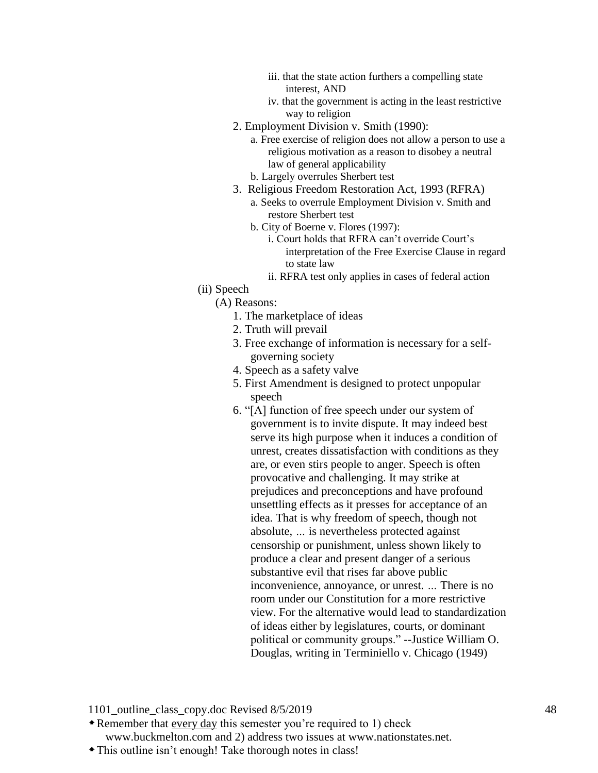- iii. that the state action furthers a compelling state interest, AND
- iv. that the government is acting in the least restrictive way to religion
- 2. Employment Division v. Smith (1990):

a. Free exercise of religion does not allow a person to use a religious motivation as a reason to disobey a neutral law of general applicability

- b. Largely overrules Sherbert test
- 3. Religious Freedom Restoration Act, 1993 (RFRA)
	- a. Seeks to overrule Employment Division v. Smith and restore Sherbert test
	- b. City of Boerne v. Flores (1997):
		- i. Court holds that RFRA can't override Court's interpretation of the Free Exercise Clause in regard to state law
		- ii. RFRA test only applies in cases of federal action
- (ii) Speech
	- (A) Reasons:
		- 1. The marketplace of ideas
		- 2. Truth will prevail
		- 3. Free exchange of information is necessary for a selfgoverning society
		- 4. Speech as a safety valve
		- 5. First Amendment is designed to protect unpopular speech
		- 6. "[A] function of free speech under our system of government is to invite dispute. It may indeed best serve its high purpose when it induces a condition of unrest, creates dissatisfaction with conditions as they are, or even stirs people to anger. Speech is often provocative and challenging. It may strike at prejudices and preconceptions and have profound unsettling effects as it presses for acceptance of an idea. That is why freedom of speech, though not absolute, *…* is nevertheless protected against censorship or punishment, unless shown likely to produce a clear and present danger of a serious substantive evil that rises far above public inconvenience, annoyance, or unrest. *…* There is no room under our Constitution for a more restrictive view. For the alternative would lead to standardization of ideas either by legislatures, courts, or dominant political or community groups." --Justice William O. Douglas, writing in Terminiello v. Chicago (1949)

- Remember that every day this semester you're required to 1) check www.buckmelton.com and 2) address two issues at www.nationstates.net.
- This outline isn't enough! Take thorough notes in class!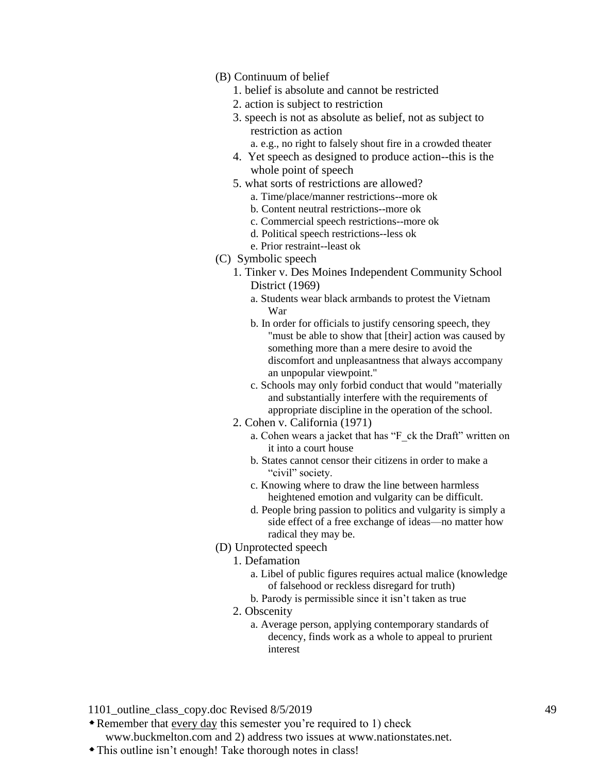- (B) Continuum of belief
	- 1. belief is absolute and cannot be restricted
	- 2. action is subject to restriction
	- 3. speech is not as absolute as belief, not as subject to restriction as action
		- a. e.g., no right to falsely shout fire in a crowded theater
	- 4. Yet speech as designed to produce action--this is the whole point of speech
	- 5. what sorts of restrictions are allowed?
		- a. Time/place/manner restrictions--more ok
		- b. Content neutral restrictions--more ok
		- c. Commercial speech restrictions--more ok
		- d. Political speech restrictions--less ok
		- e. Prior restraint--least ok
- (C) Symbolic speech
	- 1. Tinker v. Des Moines Independent Community School District (1969)
		- a. Students wear black armbands to protest the Vietnam War
		- b. In order for officials to justify censoring speech, they "must be able to show that [their] action was caused by something more than a mere desire to avoid the discomfort and unpleasantness that always accompany an unpopular viewpoint."
		- c. Schools may only forbid conduct that would "materially and substantially interfere with the requirements of appropriate discipline in the operation of the school.
	- 2. Cohen v. California (1971)
		- a. Cohen wears a jacket that has "F\_ck the Draft" written on it into a court house
		- b. States cannot censor their citizens in order to make a "civil" society.
		- c. Knowing where to draw the line between harmless heightened emotion and vulgarity can be difficult.
		- d. People bring passion to politics and vulgarity is simply a side effect of a free exchange of ideas—no matter how radical they may be.
- (D) Unprotected speech
	- 1. Defamation
		- a. Libel of public figures requires actual malice (knowledge of falsehood or reckless disregard for truth)
		- b. Parody is permissible since it isn't taken as true
	- 2. Obscenity
		- a. Average person, applying contemporary standards of decency, finds work as a whole to appeal to prurient interest

Remember that every day this semester you're required to 1) check

www.buckmelton.com and 2) address two issues at www.nationstates.net.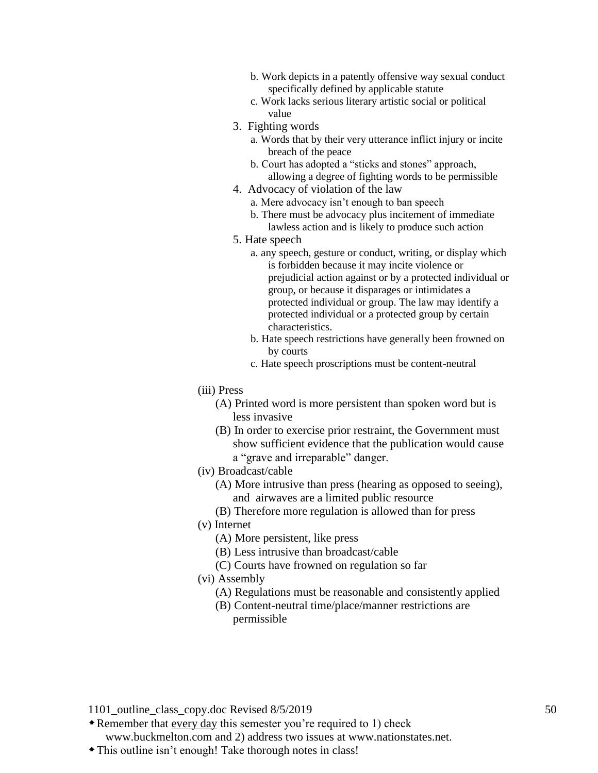- b. Work depicts in a patently offensive way sexual conduct specifically defined by applicable statute
- c. Work lacks serious literary artistic social or political value
- 3. Fighting words
	- a. Words that by their very utterance inflict injury or incite breach of the peace
	- b. Court has adopted a "sticks and stones" approach, allowing a degree of fighting words to be permissible
- 4. Advocacy of violation of the law
	- a. Mere advocacy isn't enough to ban speech
	- b. There must be advocacy plus incitement of immediate lawless action and is likely to produce such action
- 5. Hate speech
	- a. any speech, gesture or conduct, writing, or display which is forbidden because it may incite violence or prejudicial action against or by a protected individual or group, or because it disparages or intimidates a protected individual or group. The law may identify a protected individual or a protected group by certain characteristics.
	- b. Hate speech restrictions have generally been frowned on by courts
	- c. Hate speech proscriptions must be content-neutral
- (iii) Press
	- (A) Printed word is more persistent than spoken word but is less invasive
	- (B) In order to exercise prior restraint, the Government must show sufficient evidence that the publication would cause a "grave and irreparable" danger.
- (iv) Broadcast/cable
	- (A) More intrusive than press (hearing as opposed to seeing), and airwaves are a limited public resource
	- (B) Therefore more regulation is allowed than for press
- (v) Internet
	- (A) More persistent, like press
	- (B) Less intrusive than broadcast/cable
	- (C) Courts have frowned on regulation so far
- (vi) Assembly
	- (A) Regulations must be reasonable and consistently applied
	- (B) Content-neutral time/place/manner restrictions are permissible

Remember that every day this semester you're required to 1) check

www.buckmelton.com and 2) address two issues at www.nationstates.net. This outline isn't enough! Take thorough notes in class!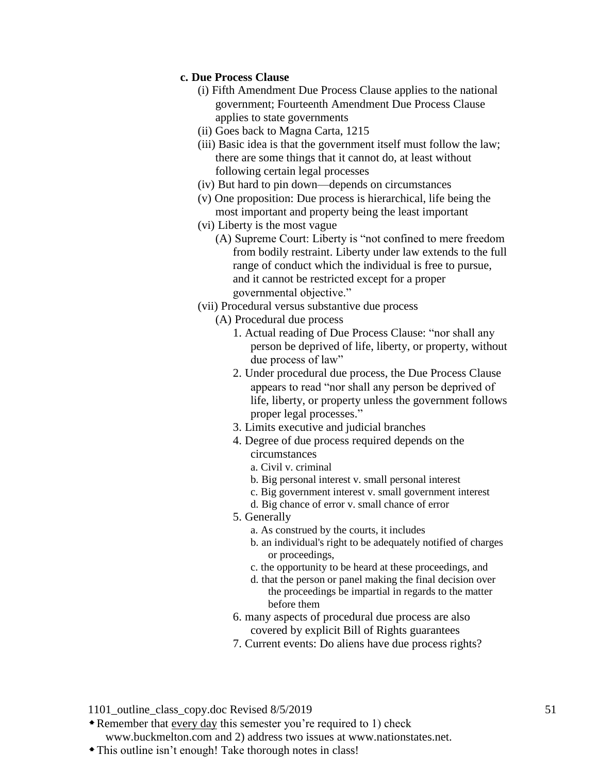#### **c. Due Process Clause**

- (i) Fifth Amendment Due Process Clause applies to the national government; Fourteenth Amendment Due Process Clause applies to state governments
- (ii) Goes back to Magna Carta, 1215
- (iii) Basic idea is that the government itself must follow the law; there are some things that it cannot do, at least without following certain legal processes
- (iv) But hard to pin down—depends on circumstances
- (v) One proposition: Due process is hierarchical, life being the most important and property being the least important
- (vi) Liberty is the most vague
	- (A) Supreme Court: Liberty is "not confined to mere freedom from bodily restraint. Liberty under law extends to the full range of conduct which the individual is free to pursue, and it cannot be restricted except for a proper governmental objective."
- (vii) Procedural versus substantive due process
	- (A) Procedural due process
		- 1. Actual reading of Due Process Clause: "nor shall any person be deprived of life, liberty, or property, without due process of law"
		- 2. Under procedural due process, the Due Process Clause appears to read "nor shall any person be deprived of life, liberty, or property unless the government follows proper legal processes."
		- 3. Limits executive and judicial branches
		- 4. Degree of due process required depends on the circumstances
			- a. Civil v. criminal
			- b. Big personal interest v. small personal interest
			- c. Big government interest v. small government interest
			- d. Big chance of error v. small chance of error
		- 5. Generally
			- a. As construed by the courts, it includes
			- b. an individual's right to be adequately notified of charges or proceedings,
			- c. the opportunity to be heard at these proceedings, and
			- d. that the person or panel making the final decision over the proceedings be impartial in regards to the matter before them
		- 6. many aspects of procedural due process are also covered by explicit Bill of Rights guarantees
		- 7. Current events: Do aliens have due process rights?

1101 outline class copy.doc Revised 8/5/2019 51

Remember that every day this semester you're required to 1) check

www.buckmelton.com and 2) address two issues at www.nationstates.net.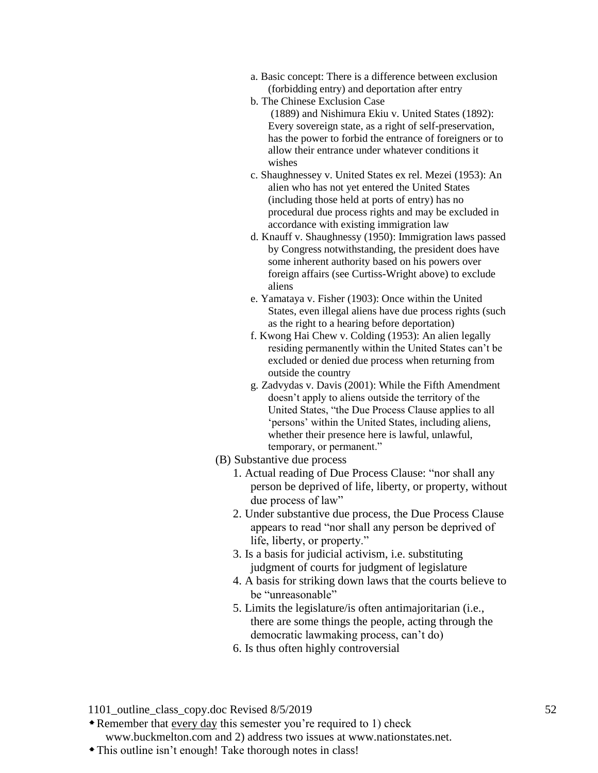- a. Basic concept: There is a difference between exclusion (forbidding entry) and deportation after entry
- b. The Chinese Exclusion Case (1889) and Nishimura Ekiu v. United States (1892): Every sovereign state, as a right of self-preservation, has the power to forbid the entrance of foreigners or to allow their entrance under whatever conditions it wishes
- c. Shaughnessey v. United States ex rel. Mezei (1953): An alien who has not yet entered the United States (including those held at ports of entry) has no procedural due process rights and may be excluded in accordance with existing immigration law
- d. Knauff v. Shaughnessy (1950): Immigration laws passed by Congress notwithstanding, the president does have some inherent authority based on his powers over foreign affairs (see Curtiss-Wright above) to exclude aliens
- e. Yamataya v. Fisher (1903): Once within the United States, even illegal aliens have due process rights (such as the right to a hearing before deportation)
- f. Kwong Hai Chew v. Colding (1953): An alien legally residing permanently within the United States can't be excluded or denied due process when returning from outside the country
- g. Zadvydas v. Davis (2001): While the Fifth Amendment doesn't apply to aliens outside the territory of the United States, "the Due Process Clause applies to all ‗persons' within the United States, including aliens, whether their presence here is lawful, unlawful, temporary, or permanent."
- (B) Substantive due process
	- 1. Actual reading of Due Process Clause: "nor shall any person be deprived of life, liberty, or property, without due process of law"
	- 2. Under substantive due process, the Due Process Clause appears to read "nor shall any person be deprived of life, liberty, or property."
	- 3. Is a basis for judicial activism, i.e. substituting judgment of courts for judgment of legislature
	- 4. A basis for striking down laws that the courts believe to be "unreasonable"
	- 5. Limits the legislature/is often antimajoritarian (i.e., there are some things the people, acting through the democratic lawmaking process, can't do)
	- 6. Is thus often highly controversial

Remember that every day this semester you're required to 1) check

www.buckmelton.com and 2) address two issues at www.nationstates.net.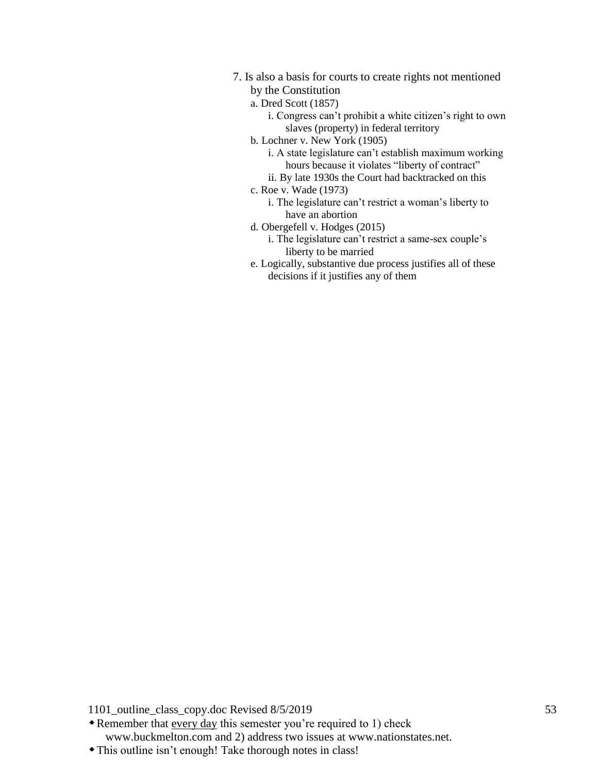- 7. Is also a basis for courts to create rights not mentioned by the Constitution
	- a. Dred Scott (1857)
		- i. Congress can't prohibit a white citizen's right to own slaves (property) in federal territory
	- b. Lochner v. New York (1905)

i. A state legislature can't establish maximum working hours because it violates "liberty of contract"

- ii. By late 1930s the Court had backtracked on this
- c. Roe v. Wade (1973)
	- i. The legislature can't restrict a woman's liberty to have an abortion
- d. Obergefell v. Hodges (2015)
	- i. The legislature can't restrict a same-sex couple's liberty to be married
- e. Logically, substantive due process justifies all of these decisions if it justifies any of them

1101\_outline\_class\_copy.doc Revised 8/5/2019 53

Remember that every day this semester you're required to 1) check www.buckmelton.com and 2) address two issues at www.nationstates.net.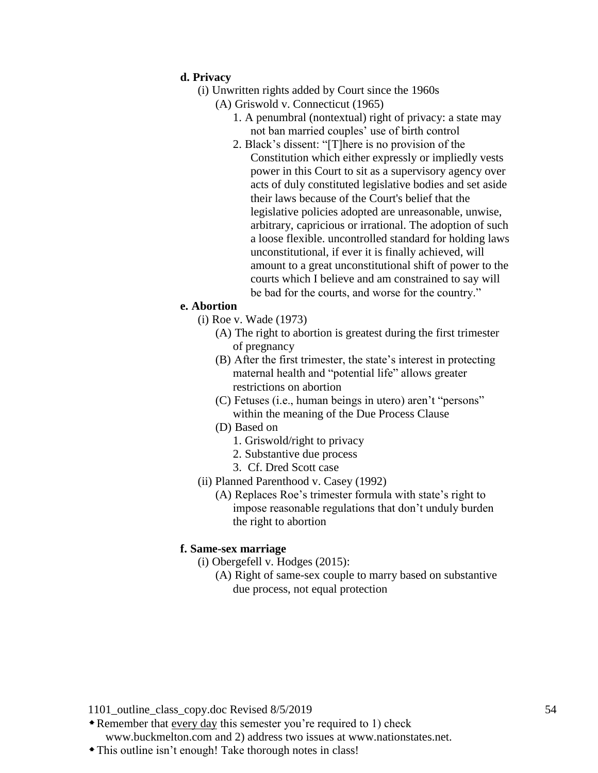#### **d. Privacy**

- (i) Unwritten rights added by Court since the 1960s
	- (A) Griswold v. Connecticut (1965)
		- 1. A penumbral (nontextual) right of privacy: a state may not ban married couples' use of birth control
		- 2. Black's dissent: "[T]here is no provision of the Constitution which either expressly or impliedly vests power in this Court to sit as a supervisory agency over acts of duly constituted legislative bodies and set aside their laws because of the Court's belief that the legislative policies adopted are unreasonable, unwise, arbitrary, capricious or irrational. The adoption of such a loose flexible. uncontrolled standard for holding laws unconstitutional, if ever it is finally achieved, will amount to a great unconstitutional shift of power to the courts which I believe and am constrained to say will be bad for the courts, and worse for the country."

#### **e. Abortion**

- (i) Roe v. Wade (1973)
	- (A) The right to abortion is greatest during the first trimester of pregnancy
	- (B) After the first trimester, the state's interest in protecting maternal health and "potential life" allows greater restrictions on abortion
	- $(C)$  Fetuses (i.e., human beings in utero) aren't "persons" within the meaning of the Due Process Clause
	- (D) Based on
		- 1. Griswold/right to privacy
		- 2. Substantive due process
		- 3. Cf. Dred Scott case
- (ii) Planned Parenthood v. Casey (1992)
	- (A) Replaces Roe's trimester formula with state's right to impose reasonable regulations that don't unduly burden the right to abortion

#### **f. Same-sex marriage**

- (i) Obergefell v. Hodges (2015):
	- (A) Right of same-sex couple to marry based on substantive due process, not equal protection

- Remember that every day this semester you're required to 1) check www.buckmelton.com and 2) address two issues at www.nationstates.net.
- This outline isn't enough! Take thorough notes in class!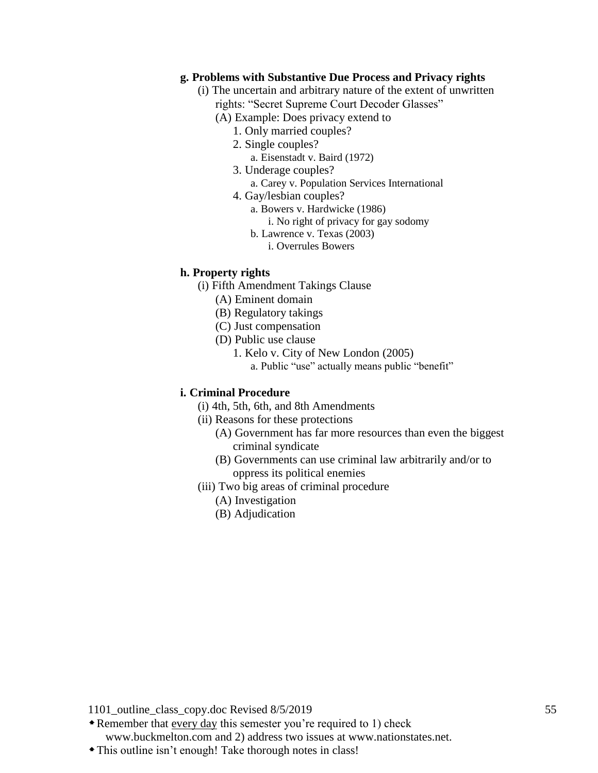#### **g. Problems with Substantive Due Process and Privacy rights**

- (i) The uncertain and arbitrary nature of the extent of unwritten rights: "Secret Supreme Court Decoder Glasses"
	- (A) Example: Does privacy extend to
		- 1. Only married couples?
		- 2. Single couples?
			- a. Eisenstadt v. Baird (1972)
		- 3. Underage couples?
			- a. Carey v. Population Services International
		- 4. Gay/lesbian couples?
			- a. Bowers v. Hardwicke (1986)
				- i. No right of privacy for gay sodomy
			- b. Lawrence v. Texas (2003)
				- i. Overrules Bowers

#### **h. Property rights**

- (i) Fifth Amendment Takings Clause
	- (A) Eminent domain
	- (B) Regulatory takings
	- (C) Just compensation
	- (D) Public use clause
		- 1. Kelo v. City of New London (2005) a. Public "use" actually means public "benefit"

#### **i. Criminal Procedure**

- (i) 4th, 5th, 6th, and 8th Amendments
- (ii) Reasons for these protections
	- (A) Government has far more resources than even the biggest criminal syndicate
	- (B) Governments can use criminal law arbitrarily and/or to oppress its political enemies
- (iii) Two big areas of criminal procedure
	- (A) Investigation
	- (B) Adjudication

- Remember that every day this semester you're required to 1) check www.buckmelton.com and 2) address two issues at www.nationstates.net.
- This outline isn't enough! Take thorough notes in class!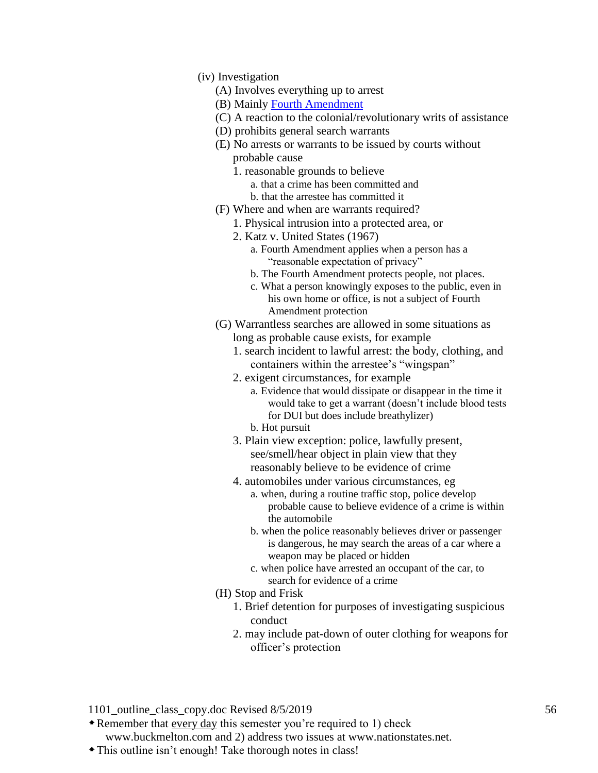- (iv) Investigation
	- (A) Involves everything up to arrest
	- (B) Mainly [Fourth Amendment](https://www.youtube.com/watch?v=tb6MGRCY318&list=PLBeAtDe5MEHr4ZvQp8ii3bSZ4h3yL-rkV&index=1)
	- (C) A reaction to the colonial/revolutionary writs of assistance
	- (D) prohibits general search warrants
	- (E) No arrests or warrants to be issued by courts without probable cause
		- 1. reasonable grounds to believe
			- a. that a crime has been committed and
			- b. that the arrestee has committed it
	- (F) Where and when are warrants required?
		- 1. Physical intrusion into a protected area, or
		- 2. Katz v. United States (1967)
			- a. Fourth Amendment applies when a person has a "reasonable expectation of privacy"
			- b. The Fourth Amendment protects people, not places.
			- c. What a person knowingly exposes to the public, even in his own home or office, is not a subject of Fourth Amendment protection
	- (G) Warrantless searches are allowed in some situations as long as probable cause exists, for example
		- 1. search incident to lawful arrest: the body, clothing, and containers within the arrestee's "wingspan"
		- 2. exigent circumstances, for example
			- a. Evidence that would dissipate or disappear in the time it would take to get a warrant (doesn't include blood tests for DUI but does include breathylizer)
			- b. Hot pursuit
		- 3. Plain view exception: police, lawfully present, see/smell/hear object in plain view that they reasonably believe to be evidence of crime
		- 4. automobiles under various circumstances, eg
			- a. when, during a routine traffic stop, police develop probable cause to believe evidence of a crime is within the automobile
			- b. when the police reasonably believes driver or passenger is dangerous, he may search the areas of a car where a weapon may be placed or hidden
			- c. when police have arrested an occupant of the car, to search for evidence of a crime
	- (H) Stop and Frisk
		- 1. Brief detention for purposes of investigating suspicious conduct
		- 2. may include pat-down of outer clothing for weapons for officer's protection

Remember that every day this semester you're required to 1) check

www.buckmelton.com and 2) address two issues at www.nationstates.net.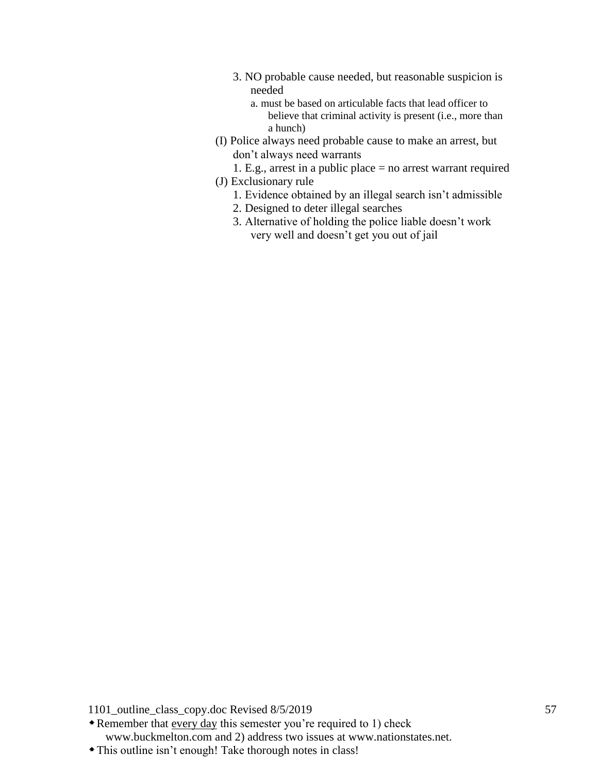- 3. NO probable cause needed, but reasonable suspicion is needed
	- a. must be based on articulable facts that lead officer to believe that criminal activity is present (i.e., more than a hunch)
- (I) Police always need probable cause to make an arrest, but don't always need warrants
- 1. E.g., arrest in a public place = no arrest warrant required (J) Exclusionary rule
	- 1. Evidence obtained by an illegal search isn't admissible
	- 2. Designed to deter illegal searches
	- 3. Alternative of holding the police liable doesn't work very well and doesn't get you out of jail

Remember that every day this semester you're required to 1) check www.buckmelton.com and 2) address two issues at www.nationstates.net.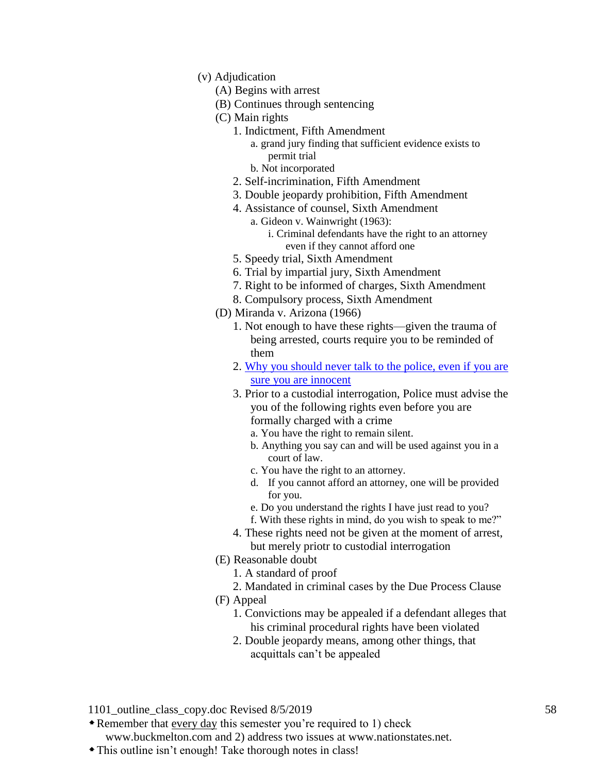- (v) Adjudication
	- (A) Begins with arrest
	- (B) Continues through sentencing
	- (C) Main rights
		- 1. Indictment, Fifth Amendment
			- a. grand jury finding that sufficient evidence exists to permit trial
			- b. Not incorporated
		- 2. Self-incrimination, Fifth Amendment
		- 3. Double jeopardy prohibition, Fifth Amendment
		- 4. Assistance of counsel, Sixth Amendment a. Gideon v. Wainwright (1963):
			- i. Criminal defendants have the right to an attorney even if they cannot afford one
		- 5. Speedy trial, Sixth Amendment
		- 6. Trial by impartial jury, Sixth Amendment
		- 7. Right to be informed of charges, Sixth Amendment
		- 8. Compulsory process, Sixth Amendment
	- (D) Miranda v. Arizona (1966)
		- 1. Not enough to have these rights—given the trauma of being arrested, courts require you to be reminded of them
		- 2. [Why you should never talk to the police, even if you are](https://www.youtube.com/watch?v=i8z7NC5sgik&t=0s&index=5&list=PLBeAtDe5MEHr4ZvQp8ii3bSZ4h3yL-rkV)  [sure you are innocent](https://www.youtube.com/watch?v=i8z7NC5sgik&t=0s&index=5&list=PLBeAtDe5MEHr4ZvQp8ii3bSZ4h3yL-rkV)
		- 3. Prior to a custodial interrogation, Police must advise the you of the following rights even before you are formally charged with a crime
			- a. You have the right to remain silent.
			- b. Anything you say can and will be used against you in a court of law.
			- c. You have the right to an attorney.
			- d. If you cannot afford an attorney, one will be provided for you.
			- e. Do you understand the rights I have just read to you? f. With these rights in mind, do you wish to speak to me?"
		- 4. These rights need not be given at the moment of arrest, but merely priotr to custodial interrogation
	- (E) Reasonable doubt
		- 1. A standard of proof
		- 2. Mandated in criminal cases by the Due Process Clause
	- (F) Appeal
		- 1. Convictions may be appealed if a defendant alleges that his criminal procedural rights have been violated
		- 2. Double jeopardy means, among other things, that acquittals can't be appealed

Remember that every day this semester you're required to 1) check

www.buckmelton.com and 2) address two issues at www.nationstates.net.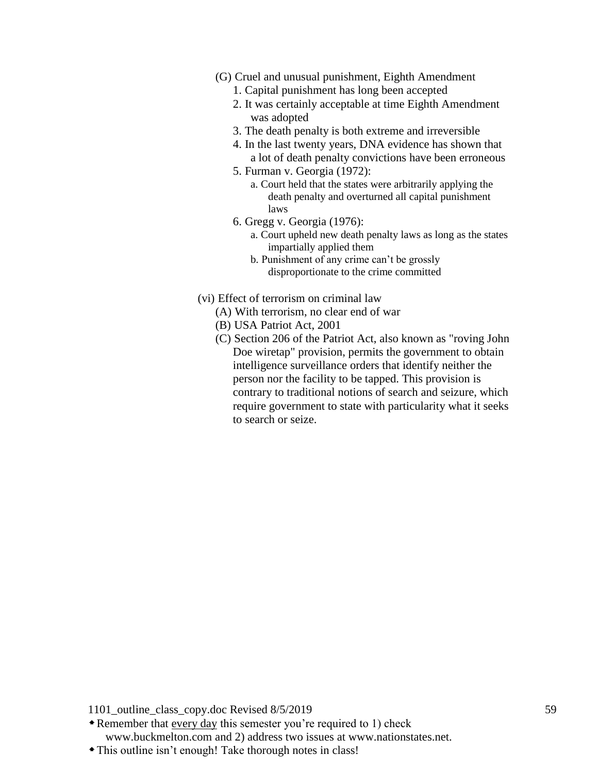- (G) Cruel and unusual punishment, Eighth Amendment
	- 1. Capital punishment has long been accepted
	- 2. It was certainly acceptable at time Eighth Amendment was adopted
	- 3. The death penalty is both extreme and irreversible
	- 4. In the last twenty years, DNA evidence has shown that a lot of death penalty convictions have been erroneous
	- 5. Furman v. Georgia (1972):
		- a. Court held that the states were arbitrarily applying the death penalty and overturned all capital punishment laws
	- 6. Gregg v. Georgia (1976):
		- a. Court upheld new death penalty laws as long as the states impartially applied them
		- b. Punishment of any crime can't be grossly disproportionate to the crime committed
- (vi) Effect of terrorism on criminal law
	- (A) With terrorism, no clear end of war
	- (B) USA Patriot Act, 2001
	- (C) Section 206 of the Patriot Act, also known as "roving John Doe wiretap" provision, permits the government to obtain intelligence surveillance orders that identify neither the person nor the facility to be tapped. This provision is contrary to traditional notions of search and seizure, which require government to state with particularity what it seeks to search or seize.

- Remember that every day this semester you're required to 1) check www.buckmelton.com and 2) address two issues at www.nationstates.net.
- This outline isn't enough! Take thorough notes in class!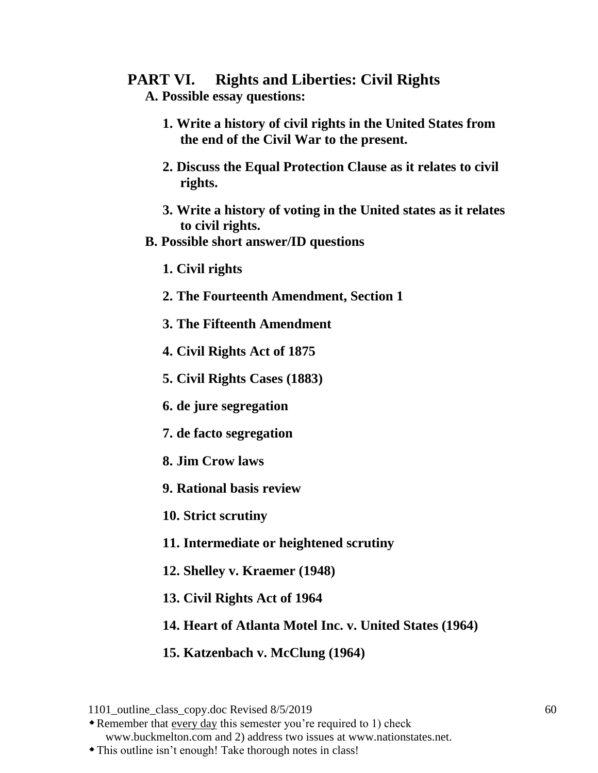# **PART VI. Rights and Liberties: Civil Rights**

- **A. Possible essay questions:**
	- **1. Write a history of civil rights in the United States from the end of the Civil War to the present.**
	- **2. Discuss the Equal Protection Clause as it relates to civil rights.**
	- **3. Write a history of voting in the United states as it relates to civil rights.**
- **B. Possible short answer/ID questions**
	- **1. Civil rights**
	- **2. The Fourteenth Amendment, Section 1**
	- **3. The Fifteenth Amendment**
	- **4. Civil Rights Act of 1875**
	- **5. Civil Rights Cases (1883)**
	- **6. de jure segregation**
	- **7. de facto segregation**
	- **8. Jim Crow laws**
	- **9. Rational basis review**
	- **10. Strict scrutiny**
	- **11. Intermediate or heightened scrutiny**
	- **12. Shelley v. Kraemer (1948)**
	- **13. Civil Rights Act of 1964**
	- **14. Heart of Atlanta Motel Inc. v. United States (1964)**
	- **15. Katzenbach v. McClung (1964)**

Remember that every day this semester you're required to 1) check www.buckmelton.com and 2) address two issues at www.nationstates.net.

<sup>1101</sup> outline class copy.doc Revised 8/5/2019 60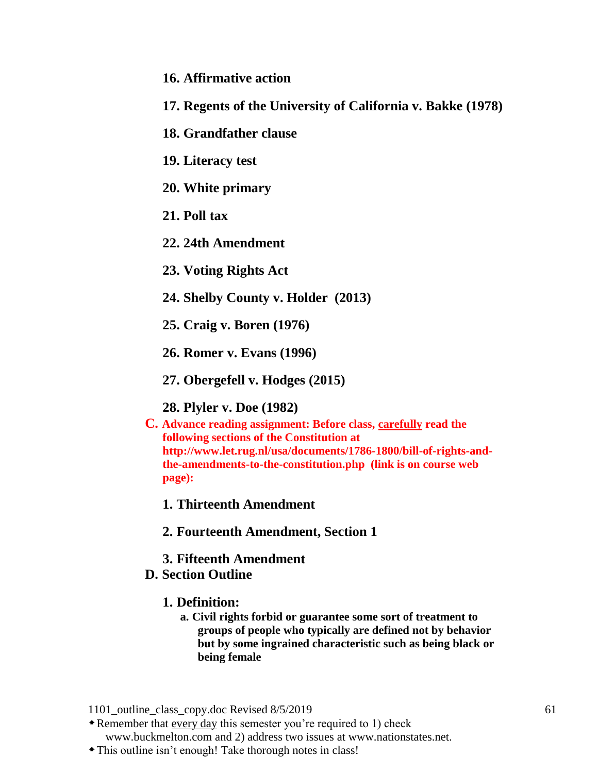- **16. Affirmative action**
- **17. Regents of the University of California v. Bakke (1978)**
- **18. Grandfather clause**
- **19. Literacy test**
- **20. White primary**
- **21. Poll tax**
- **22. 24th Amendment**
- **23. Voting Rights Act**
- **24. Shelby County v. Holder (2013)**
- **25. Craig v. Boren (1976)**
- **26. Romer v. Evans (1996)**
- **27. Obergefell v. Hodges (2015)**

**28. Plyler v. Doe (1982)**

**C. Advance reading assignment: Before class, carefully read the following sections of the Constitution at http://www.let.rug.nl/usa/documents/1786-1800/bill-of-rights-andthe-amendments-to-the-constitution.php (link is on course web page):**

**1. Thirteenth Amendment**

**2. Fourteenth Amendment, Section 1**

**3. Fifteenth Amendment**

## **D. Section Outline**

### **1. Definition:**

**a. Civil rights forbid or guarantee some sort of treatment to groups of people who typically are defined not by behavior but by some ingrained characteristic such as being black or being female**

1101 outline class copy.doc Revised 8/5/2019 61

Remember that every day this semester you're required to 1) check www.buckmelton.com and 2) address two issues at www.nationstates.net.

This outline isn't enough! Take thorough notes in class!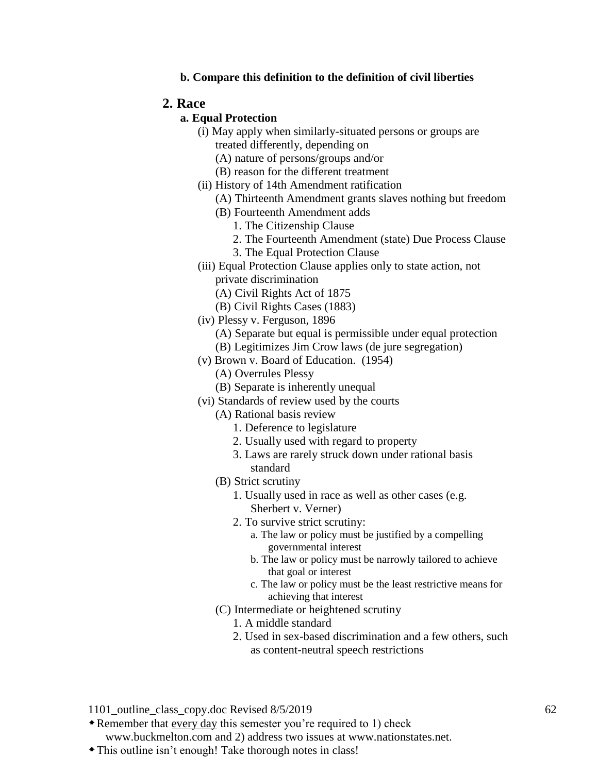**b. Compare this definition to the definition of civil liberties**

### **2. Race**

### **a. Equal Protection**

- (i) May apply when similarly-situated persons or groups are treated differently, depending on
	- (A) nature of persons/groups and/or
	- (B) reason for the different treatment
- (ii) History of 14th Amendment ratification
	- (A) Thirteenth Amendment grants slaves nothing but freedom
	- (B) Fourteenth Amendment adds
		- 1. The Citizenship Clause
		- 2. The Fourteenth Amendment (state) Due Process Clause
		- 3. The Equal Protection Clause
- (iii) Equal Protection Clause applies only to state action, not private discrimination
	- (A) Civil Rights Act of 1875
	- (B) Civil Rights Cases (1883)
- (iv) Plessy v. Ferguson, 1896
	- (A) Separate but equal is permissible under equal protection
	- (B) Legitimizes Jim Crow laws (de jure segregation)
- (v) Brown v. Board of Education. (1954)
	- (A) Overrules Plessy
	- (B) Separate is inherently unequal
- (vi) Standards of review used by the courts
	- (A) Rational basis review
		- 1. Deference to legislature
		- 2. Usually used with regard to property
		- 3. Laws are rarely struck down under rational basis standard
	- (B) Strict scrutiny
		- 1. Usually used in race as well as other cases (e.g. Sherbert v. Verner)
		- 2. To survive strict scrutiny:
			- a. The law or policy must be justified by a compelling governmental interest
			- b. The law or policy must be narrowly tailored to achieve that goal or interest
			- c. The law or policy must be the least restrictive means for achieving that interest
	- (C) Intermediate or heightened scrutiny
		- 1. A middle standard
		- 2. Used in sex-based discrimination and a few others, such as content-neutral speech restrictions

1101 outline class copy.doc Revised 8/5/2019 62

Remember that every day this semester you're required to 1) check

www.buckmelton.com and 2) address two issues at www.nationstates.net.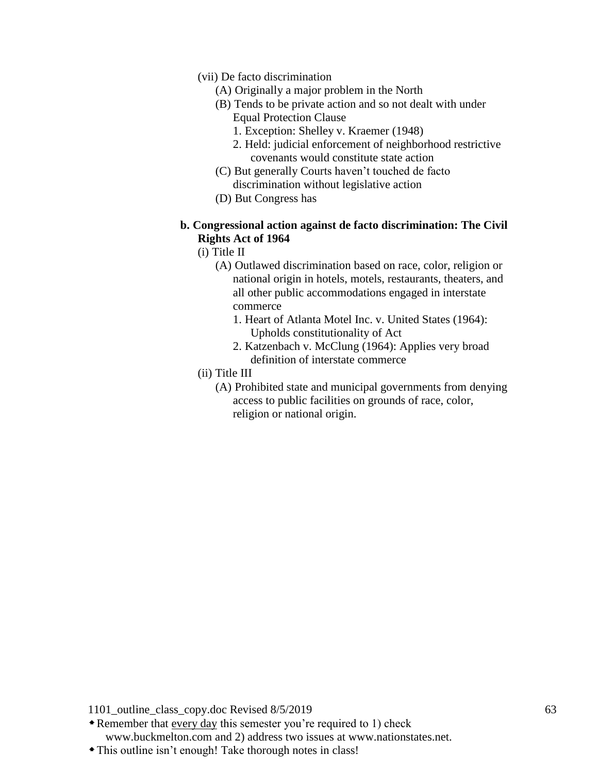- (vii) De facto discrimination
	- (A) Originally a major problem in the North
	- (B) Tends to be private action and so not dealt with under Equal Protection Clause
		- 1. Exception: Shelley v. Kraemer (1948)
		- 2. Held: judicial enforcement of neighborhood restrictive covenants would constitute state action
	- (C) But generally Courts haven't touched de facto discrimination without legislative action
	- (D) But Congress has
- **b. Congressional action against de facto discrimination: The Civil Rights Act of 1964**
	- (i) Title II
		- (A) Outlawed discrimination based on race, color, religion or national origin in hotels, motels, restaurants, theaters, and all other public accommodations engaged in interstate commerce
			- 1. Heart of Atlanta Motel Inc. v. United States (1964): Upholds constitutionality of Act
			- 2. Katzenbach v. McClung (1964): Applies very broad definition of interstate commerce
	- (ii) Title III
		- (A) Prohibited state and municipal governments from denying access to public facilities on grounds of race, color, religion or national origin.

- Remember that every day this semester you're required to 1) check www.buckmelton.com and 2) address two issues at www.nationstates.net.
- This outline isn't enough! Take thorough notes in class!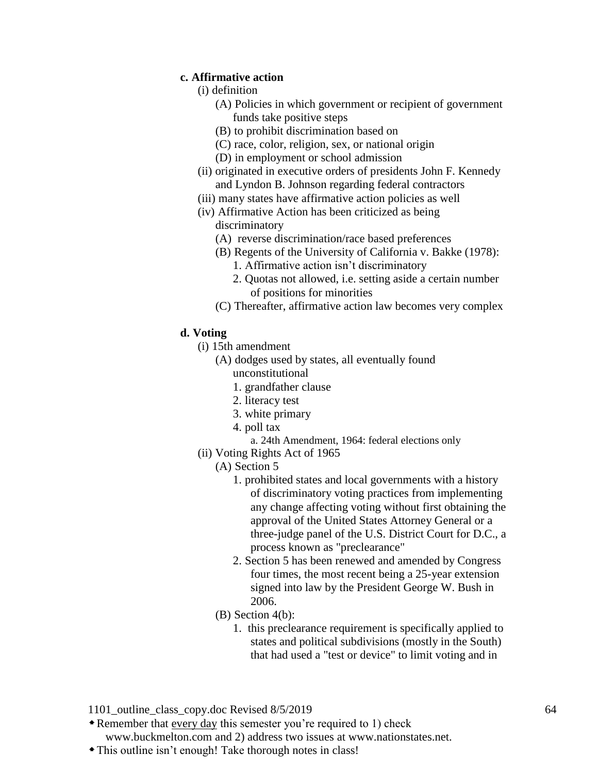### **c. Affirmative action**

- (i) definition
	- (A) Policies in which government or recipient of government funds take positive steps
	- (B) to prohibit discrimination based on
	- (C) race, color, religion, sex, or national origin
	- (D) in employment or school admission
- (ii) originated in executive orders of presidents John F. Kennedy and Lyndon B. Johnson regarding federal contractors
- (iii) many states have affirmative action policies as well
- (iv) Affirmative Action has been criticized as being discriminatory
	- (A) reverse discrimination/race based preferences
	- (B) Regents of the University of California v. Bakke (1978):
		- 1. Affirmative action isn't discriminatory
		- 2. Quotas not allowed, i.e. setting aside a certain number of positions for minorities
	- (C) Thereafter, affirmative action law becomes very complex
- **d. Voting**
	- (i) 15th amendment
		- (A) dodges used by states, all eventually found unconstitutional
			- 1. grandfather clause
			- 2. literacy test
			- 3. white primary
			- 4. poll tax
				- a. 24th Amendment, 1964: federal elections only
	- (ii) Voting Rights Act of 1965
		- (A) Section 5
			- 1. prohibited states and local governments with a history of discriminatory voting practices from implementing any change affecting voting without first obtaining the approval of the United States Attorney General or a three-judge panel of the U.S. District Court for D.C., a process known as "preclearance"
			- 2. Section 5 has been renewed and amended by Congress four times, the most recent being a 25-year extension signed into law by the President George W. Bush in 2006.
		- (B) Section 4(b):
			- 1. this preclearance requirement is specifically applied to states and political subdivisions (mostly in the South) that had used a "test or device" to limit voting and in

Remember that every day this semester you're required to 1) check

www.buckmelton.com and 2) address two issues at www.nationstates.net.

<sup>1101</sup> outline class copy.doc Revised 8/5/2019 64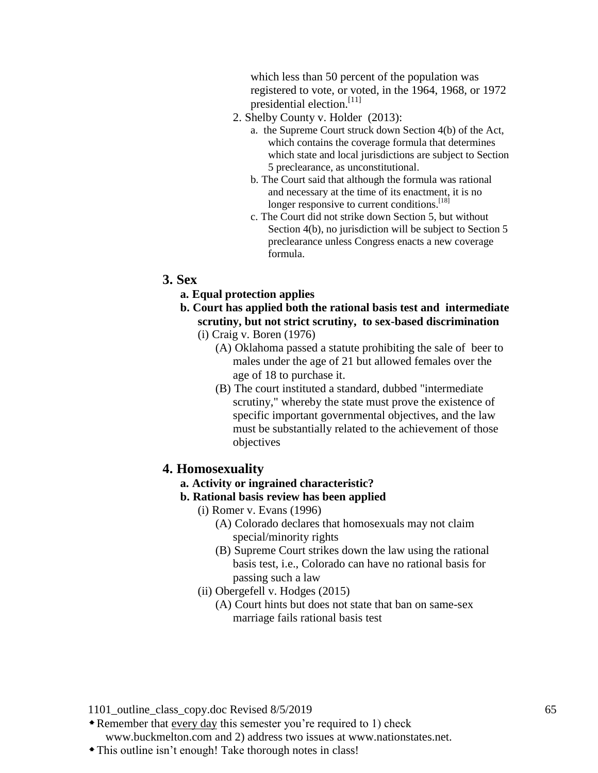which less than 50 percent of the population was registered to vote, or voted, in the 1964, 1968, or 1972 presidential election.<sup>[11]</sup>

- 2. Shelby County v. Holder (2013):
	- a. the Supreme Court struck down Section 4(b) of the Act, which contains the coverage formula that determines which state and local jurisdictions are subject to Section 5 preclearance, as unconstitutional.
	- b. The Court said that although the formula was rational and necessary at the time of its enactment, it is no longer responsive to current conditions.<sup>[18]</sup>
	- c. The Court did not strike down Section 5, but without Section 4(b), no jurisdiction will be subject to Section 5 preclearance unless Congress enacts a new coverage formula.

### **3. Sex**

- **a. Equal protection applies**
- **b. Court has applied both the rational basis test and intermediate scrutiny, but not strict scrutiny, to sex-based discrimination** (i) Craig v. Boren (1976)
	- (A) Oklahoma passed a statute prohibiting the sale of beer to males under the age of 21 but allowed females over the age of 18 to purchase it.
	- (B) The court instituted a standard, dubbed "intermediate scrutiny," whereby the state must prove the existence of specific important governmental objectives, and the law must be substantially related to the achievement of those objectives

#### **4. Homosexuality**

#### **a. Activity or ingrained characteristic?**

- **b. Rational basis review has been applied**
	- (i) Romer v. Evans (1996)
		- (A) Colorado declares that homosexuals may not claim special/minority rights
		- (B) Supreme Court strikes down the law using the rational basis test, i.e., Colorado can have no rational basis for passing such a law
		- (ii) Obergefell v. Hodges (2015)
			- (A) Court hints but does not state that ban on same-sex marriage fails rational basis test

- Remember that every day this semester you're required to 1) check www.buckmelton.com and 2) address two issues at www.nationstates.net.
- This outline isn't enough! Take thorough notes in class!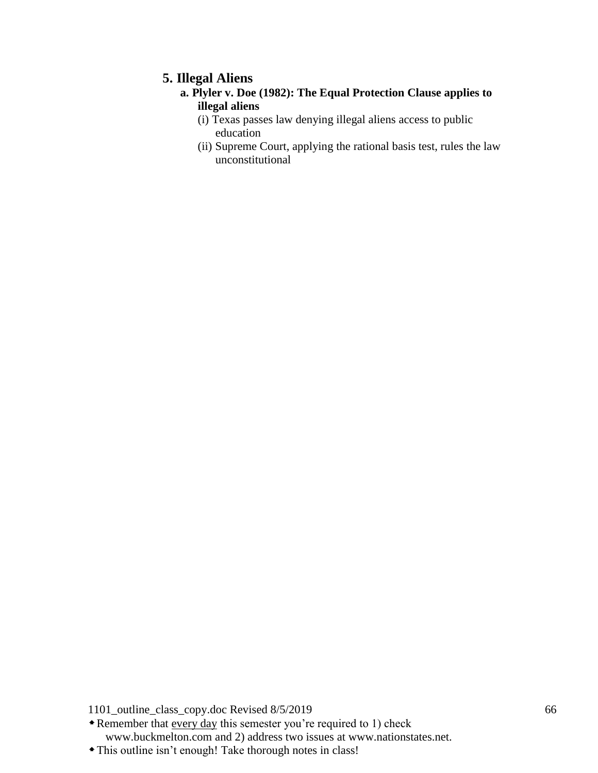## **5. Illegal Aliens**

## **a. Plyler v. Doe (1982): The Equal Protection Clause applies to illegal aliens**

- (i) Texas passes law denying illegal aliens access to public education
- (ii) Supreme Court, applying the rational basis test, rules the law unconstitutional

1101\_outline\_class\_copy.doc Revised 8/5/2019 66

• Remember that every day this semester you're required to 1) check www.buckmelton.com and 2) address two issues at www.nationstates.net.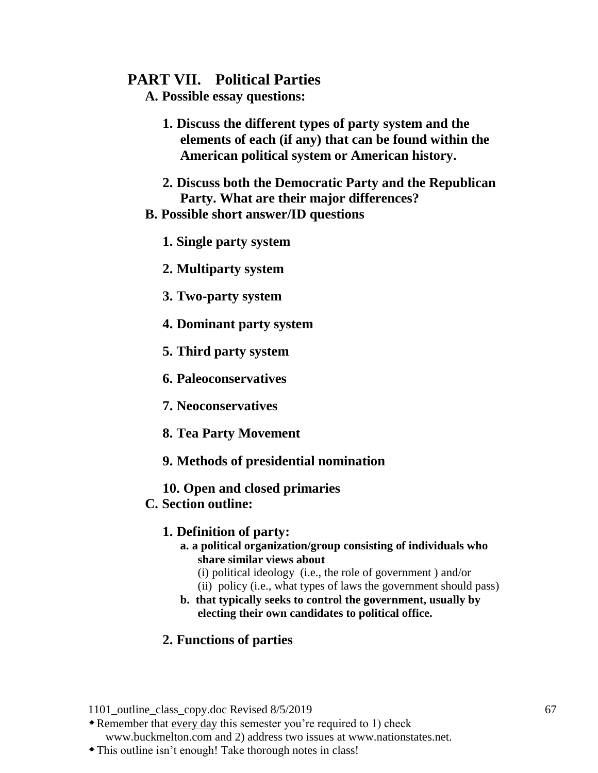## **PART VII. Political Parties**

**A. Possible essay questions:**

- **1. Discuss the different types of party system and the elements of each (if any) that can be found within the American political system or American history.**
- **2. Discuss both the Democratic Party and the Republican Party. What are their major differences?**

## **B. Possible short answer/ID questions**

- **1. Single party system**
- **2. Multiparty system**
- **3. Two-party system**
- **4. Dominant party system**
- **5. Third party system**
- **6. Paleoconservatives**
- **7. Neoconservatives**
- **8. Tea Party Movement**
- **9. Methods of presidential nomination**
- **10. Open and closed primaries**

## **C. Section outline:**

## **1. Definition of party:**

- **a. a political organization/group consisting of individuals who share similar views about**
	- (i) political ideology (i.e., the role of government ) and/or
	- (ii) policy (i.e., what types of laws the government should pass)
- **b. that typically seeks to control the government, usually by electing their own candidates to political office.**

## **2. Functions of parties**

1101 outline class copy.doc Revised 8/5/2019 67

Remember that every day this semester you're required to 1) check www.buckmelton.com and 2) address two issues at www.nationstates.net.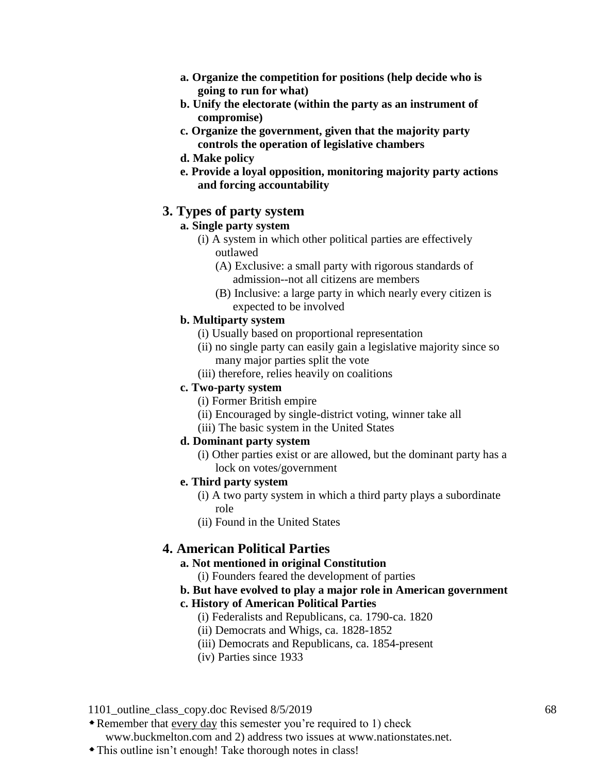- **a. Organize the competition for positions (help decide who is going to run for what)**
- **b. Unify the electorate (within the party as an instrument of compromise)**
- **c. Organize the government, given that the majority party controls the operation of legislative chambers**
- **d. Make policy**
- **e. Provide a loyal opposition, monitoring majority party actions and forcing accountability**

## **3. Types of party system**

## **a. Single party system**

- (i) A system in which other political parties are effectively outlawed
	- (A) Exclusive: a small party with rigorous standards of admission--not all citizens are members
	- (B) Inclusive: a large party in which nearly every citizen is expected to be involved

### **b. Multiparty system**

- (i) Usually based on proportional representation
- (ii) no single party can easily gain a legislative majority since so many major parties split the vote
- (iii) therefore, relies heavily on coalitions

### **c. Two-party system**

- (i) Former British empire
- (ii) Encouraged by single-district voting, winner take all
- (iii) The basic system in the United States

### **d. Dominant party system**

(i) Other parties exist or are allowed, but the dominant party has a lock on votes/government

## **e. Third party system**

- (i) A two party system in which a third party plays a subordinate role
- (ii) Found in the United States

# **4. American Political Parties**

### **a. Not mentioned in original Constitution**

(i) Founders feared the development of parties

### **b. But have evolved to play a major role in American government**

### **c. History of American Political Parties**

- (i) Federalists and Republicans, ca. 1790-ca. 1820
- (ii) Democrats and Whigs, ca. 1828-1852
- (iii) Democrats and Republicans, ca. 1854-present
- (iv) Parties since 1933

1101 outline class copy.doc Revised 8/5/2019 68

Remember that every day this semester you're required to 1) check

www.buckmelton.com and 2) address two issues at www.nationstates.net.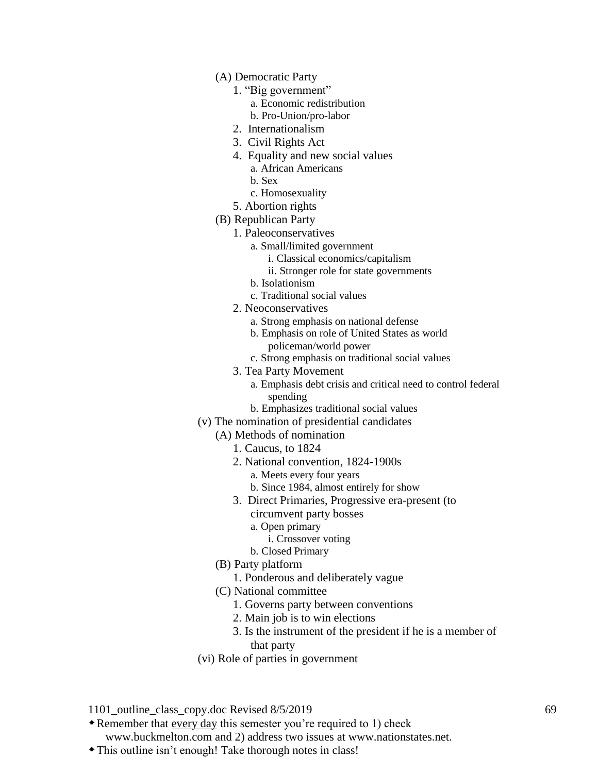- (A) Democratic Party
	- 1. "Big government"
		- a. Economic redistribution
		- b. Pro-Union/pro-labor
	- 2. Internationalism
	- 3. Civil Rights Act
	- 4. Equality and new social values
		- a. African Americans
		- b. Sex
		- c. Homosexuality
- 5. Abortion rights
- (B) Republican Party
	- 1. Paleoconservatives
		- a. Small/limited government
			- i. Classical economics/capitalism
			- ii. Stronger role for state governments
		- b. Isolationism
		- c. Traditional social values
	- 2. Neoconservatives
		- a. Strong emphasis on national defense
		- b. Emphasis on role of United States as world policeman/world power
		- c. Strong emphasis on traditional social values
	- 3. Tea Party Movement
		- a. Emphasis debt crisis and critical need to control federal spending
		- b. Emphasizes traditional social values
- (v) The nomination of presidential candidates
	- (A) Methods of nomination
		- 1. Caucus, to 1824
		- 2. National convention, 1824-1900s
			- a. Meets every four years
			- b. Since 1984, almost entirely for show
		- 3. Direct Primaries, Progressive era-present (to
			- circumvent party bosses
			- a. Open primary
				- i. Crossover voting
			- b. Closed Primary
	- (B) Party platform
		- 1. Ponderous and deliberately vague
	- (C) National committee
		- 1. Governs party between conventions
		- 2. Main job is to win elections
		- 3. Is the instrument of the president if he is a member of that party
- (vi) Role of parties in government
- 1101 outline class copy.doc Revised 8/5/2019 69
- Remember that every day this semester you're required to 1) check

www.buckmelton.com and 2) address two issues at www.nationstates.net.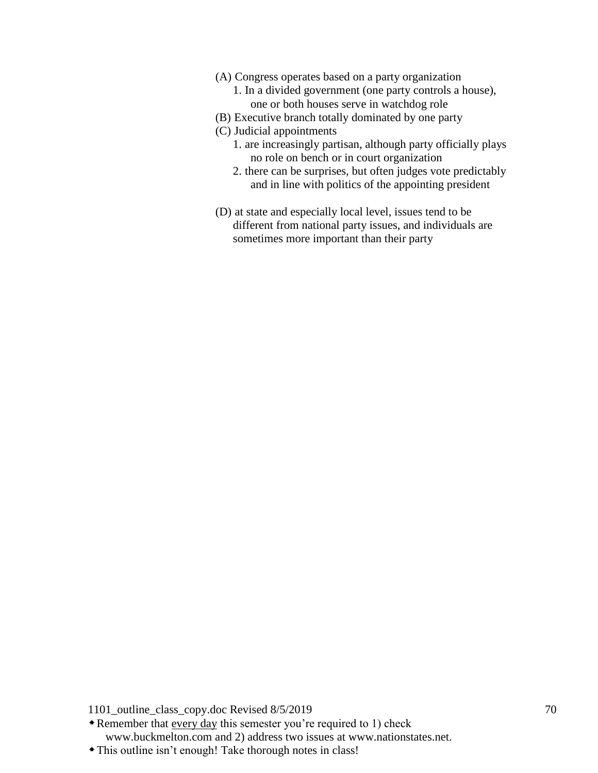- (A) Congress operates based on a party organization
	- 1. In a divided government (one party controls a house), one or both houses serve in watchdog role
- (B) Executive branch totally dominated by one party
- (C) Judicial appointments
	- 1. are increasingly partisan, although party officially plays no role on bench or in court organization
	- 2. there can be surprises, but often judges vote predictably and in line with politics of the appointing president
- (D) at state and especially local level, issues tend to be different from national party issues, and individuals are sometimes more important than their party

Remember that every day this semester you're required to 1) check www.buckmelton.com and 2) address two issues at www.nationstates.net.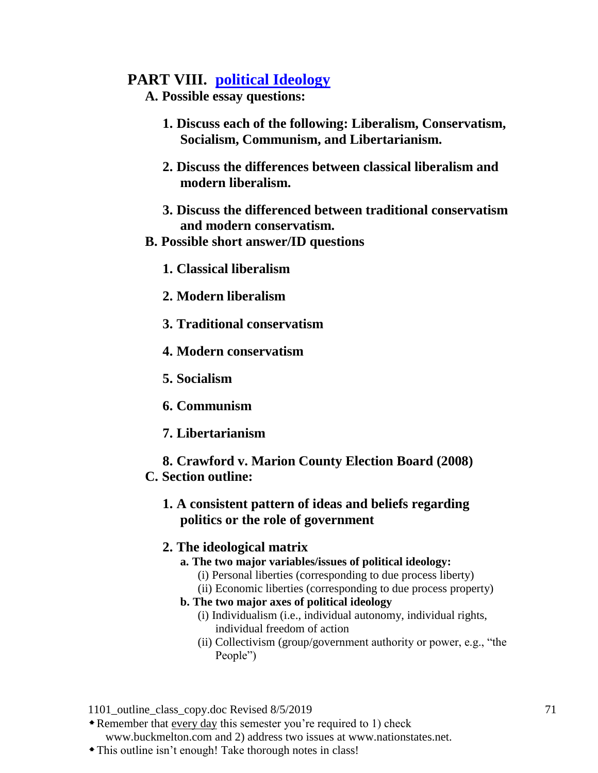# **PART VIII. [political Ideology](http://www.buckmelton.com/nolan_chart_variant.gif)**

- **A. Possible essay questions:**
	- **1. Discuss each of the following: Liberalism, Conservatism, Socialism, Communism, and Libertarianism.**
	- **2. Discuss the differences between classical liberalism and modern liberalism.**
	- **3. Discuss the differenced between traditional conservatism and modern conservatism.**
- **B. Possible short answer/ID questions**
	- **1. Classical liberalism**
	- **2. Modern liberalism**
	- **3. Traditional conservatism**
	- **4. Modern conservatism**
	- **5. Socialism**
	- **6. Communism**
	- **7. Libertarianism**
- **8. Crawford v. Marion County Election Board (2008) C. Section outline:**

## **1. A consistent pattern of ideas and beliefs regarding politics or the role of government**

## **2. The ideological matrix**

- **a. The two major variables/issues of political ideology:**
	- (i) Personal liberties (corresponding to due process liberty)
	- (ii) Economic liberties (corresponding to due process property)
- **b. The two major axes of political ideology**
	- (i) Individualism (i.e., individual autonomy, individual rights, individual freedom of action
	- (ii) Collectivism (group/government authority or power, e.g., "the People")

1101 outline class copy.doc Revised 8/5/2019 71

Remember that every day this semester you're required to 1) check

www.buckmelton.com and 2) address two issues at www.nationstates.net.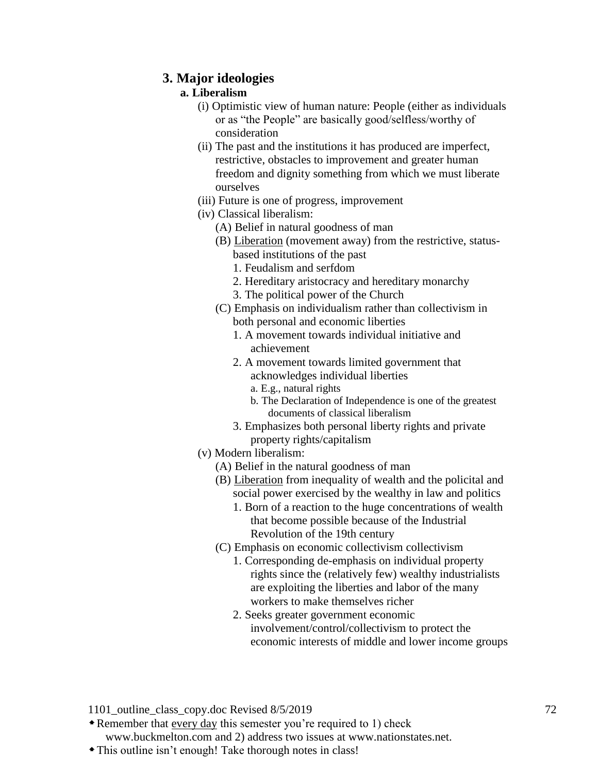## **3. Major ideologies**

### **a. Liberalism**

- (i) Optimistic view of human nature: People (either as individuals or as "the People" are basically good/selfless/worthy of consideration
- (ii) The past and the institutions it has produced are imperfect, restrictive, obstacles to improvement and greater human freedom and dignity something from which we must liberate ourselves
- (iii) Future is one of progress, improvement
- (iv) Classical liberalism:
	- (A) Belief in natural goodness of man
	- (B) Liberation (movement away) from the restrictive, statusbased institutions of the past
		- 1. Feudalism and serfdom
		- 2. Hereditary aristocracy and hereditary monarchy
		- 3. The political power of the Church
	- (C) Emphasis on individualism rather than collectivism in both personal and economic liberties
		- 1. A movement towards individual initiative and achievement
		- 2. A movement towards limited government that acknowledges individual liberties
			- a. E.g., natural rights
			- b. The Declaration of Independence is one of the greatest documents of classical liberalism
		- 3. Emphasizes both personal liberty rights and private property rights/capitalism
- (v) Modern liberalism:
	- (A) Belief in the natural goodness of man
	- (B) Liberation from inequality of wealth and the policital and social power exercised by the wealthy in law and politics
		- 1. Born of a reaction to the huge concentrations of wealth that become possible because of the Industrial Revolution of the 19th century
	- (C) Emphasis on economic collectivism collectivism
		- 1. Corresponding de-emphasis on individual property rights since the (relatively few) wealthy industrialists are exploiting the liberties and labor of the many workers to make themselves richer
		- 2. Seeks greater government economic involvement/control/collectivism to protect the economic interests of middle and lower income groups

- Remember that every day this semester you're required to 1) check www.buckmelton.com and 2) address two issues at www.nationstates.net.
- This outline isn't enough! Take thorough notes in class!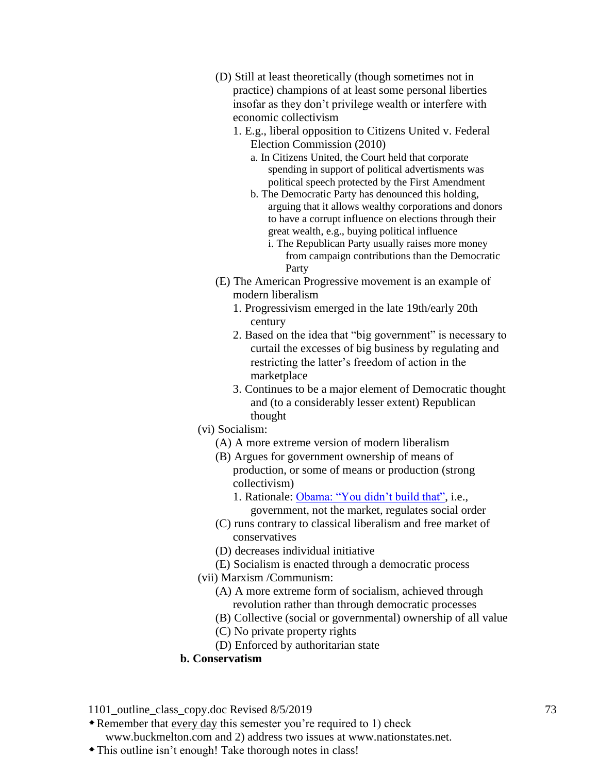- (D) Still at least theoretically (though sometimes not in practice) champions of at least some personal liberties insofar as they don't privilege wealth or interfere with economic collectivism
	- 1. E.g., liberal opposition to Citizens United v. Federal Election Commission (2010)
		- a. In Citizens United, the Court held that corporate spending in support of political advertisments was political speech protected by the First Amendment
		- b. The Democratic Party has denounced this holding, arguing that it allows wealthy corporations and donors to have a corrupt influence on elections through their great wealth, e.g., buying political influence
			- i. The Republican Party usually raises more money from campaign contributions than the Democratic Party
- (E) The American Progressive movement is an example of modern liberalism
	- 1. Progressivism emerged in the late 19th/early 20th century
	- 2. Based on the idea that "big government" is necessary to curtail the excesses of big business by regulating and restricting the latter's freedom of action in the marketplace
	- 3. Continues to be a major element of Democratic thought and (to a considerably lesser extent) Republican thought
- (vi) Socialism:
	- (A) A more extreme version of modern liberalism
	- (B) Argues for government ownership of means of production, or some of means or production (strong collectivism)
		- 1. Rationale: Obama: "You didn't build that", i.e., government, not the market, regulates social order
	- (C) runs contrary to classical liberalism and free market of conservatives
	- (D) decreases individual initiative
	- (E) Socialism is enacted through a democratic process
- (vii) Marxism /Communism:
	- (A) A more extreme form of socialism, achieved through revolution rather than through democratic processes
	- (B) Collective (social or governmental) ownership of all value
	- (C) No private property rights
	- (D) Enforced by authoritarian state
- **b. Conservatism**

1101 outline class copy.doc Revised 8/5/2019 73

Remember that every day this semester you're required to 1) check

www.buckmelton.com and 2) address two issues at www.nationstates.net.

This outline isn't enough! Take thorough notes in class!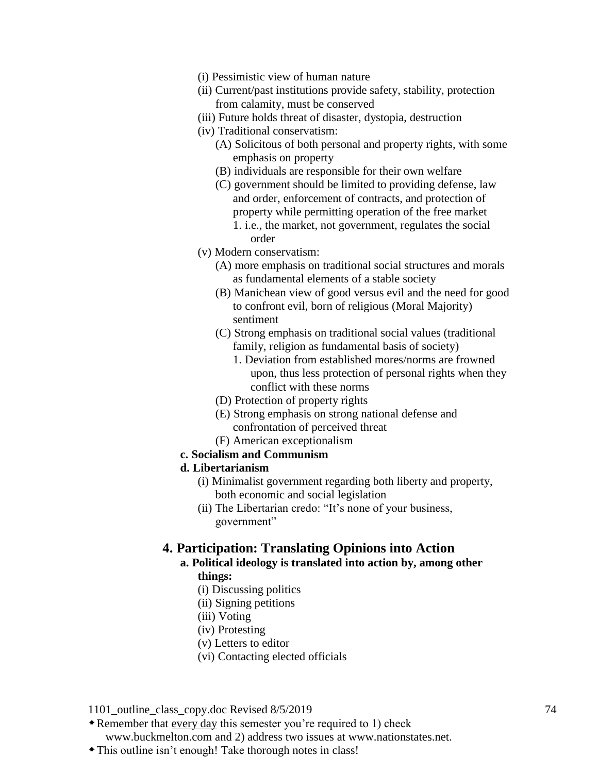- (i) Pessimistic view of human nature
- (ii) Current/past institutions provide safety, stability, protection from calamity, must be conserved
- (iii) Future holds threat of disaster, dystopia, destruction
- (iv) Traditional conservatism:
	- (A) Solicitous of both personal and property rights, with some emphasis on property
	- (B) individuals are responsible for their own welfare
	- (C) government should be limited to providing defense, law and order, enforcement of contracts, and protection of property while permitting operation of the free market 1. i.e., the market, not government, regulates the social order
- (v) Modern conservatism:
	- (A) more emphasis on traditional social structures and morals as fundamental elements of a stable society
	- (B) Manichean view of good versus evil and the need for good to confront evil, born of religious (Moral Majority) sentiment
	- (C) Strong emphasis on traditional social values (traditional family, religion as fundamental basis of society)
		- 1. Deviation from established mores/norms are frowned upon, thus less protection of personal rights when they conflict with these norms
	- (D) Protection of property rights
	- (E) Strong emphasis on strong national defense and confrontation of perceived threat
	- (F) American exceptionalism
- **c. Socialism and Communism**

#### **d. Libertarianism**

- (i) Minimalist government regarding both liberty and property, both economic and social legislation
- (ii) The Libertarian credo: "It's none of your business, government"

### **4. Participation: Translating Opinions into Action**

# **a. Political ideology is translated into action by, among other things:**

- (i) Discussing politics
- (ii) Signing petitions
- (iii) Voting
- (iv) Protesting
- (v) Letters to editor
- (vi) Contacting elected officials

1101 outline class copy.doc Revised 8/5/2019 74

Remember that every day this semester you're required to 1) check

www.buckmelton.com and 2) address two issues at www.nationstates.net.

This outline isn't enough! Take thorough notes in class!